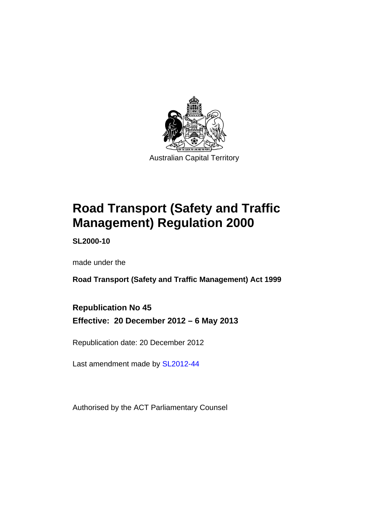

# **Road Transport (Safety and Traffic Management) Regulation 2000**

**SL2000-10** 

made under the

**Road Transport (Safety and Traffic Management) Act 1999** 

**Republication No 45 Effective: 20 December 2012 – 6 May 2013** 

Republication date: 20 December 2012

Last amendment made by [SL2012-44](http://www.legislation.act.gov.au/sl/2012-44)

Authorised by the ACT Parliamentary Counsel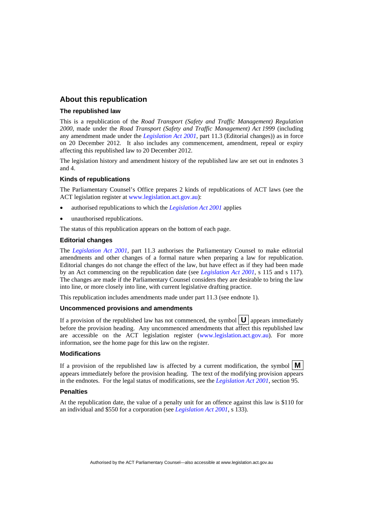#### **About this republication**

#### **The republished law**

This is a republication of the *Road Transport (Safety and Traffic Management) Regulation 2000*, made under the *Road Transport (Safety and Traffic Management) Act 1999* (including any amendment made under the *[Legislation Act 2001](http://www.legislation.act.gov.au/a/2001-14)*, part 11.3 (Editorial changes)) as in force on 20 December 2012*.* It also includes any commencement, amendment, repeal or expiry affecting this republished law to 20 December 2012.

The legislation history and amendment history of the republished law are set out in endnotes 3 and 4.

#### **Kinds of republications**

The Parliamentary Counsel's Office prepares 2 kinds of republications of ACT laws (see the ACT legislation register at [www.legislation.act.gov.au](http://www.legislation.act.gov.au/)):

- authorised republications to which the *[Legislation Act 2001](http://www.legislation.act.gov.au/a/2001-14)* applies
- unauthorised republications.

The status of this republication appears on the bottom of each page.

#### **Editorial changes**

The *[Legislation Act 2001](http://www.legislation.act.gov.au/a/2001-14)*, part 11.3 authorises the Parliamentary Counsel to make editorial amendments and other changes of a formal nature when preparing a law for republication. Editorial changes do not change the effect of the law, but have effect as if they had been made by an Act commencing on the republication date (see *[Legislation Act 2001](http://www.legislation.act.gov.au/a/2001-14)*, s 115 and s 117). The changes are made if the Parliamentary Counsel considers they are desirable to bring the law into line, or more closely into line, with current legislative drafting practice.

This republication includes amendments made under part 11.3 (see endnote 1).

#### **Uncommenced provisions and amendments**

If a provision of the republished law has not commenced, the symbol  $\mathbf{U}$  appears immediately before the provision heading. Any uncommenced amendments that affect this republished law are accessible on the ACT legislation register [\(www.legislation.act.gov.au](http://www.legislation.act.gov.au/)). For more information, see the home page for this law on the register.

#### **Modifications**

If a provision of the republished law is affected by a current modification, the symbol  $\mathbf{M}$ appears immediately before the provision heading. The text of the modifying provision appears in the endnotes. For the legal status of modifications, see the *[Legislation Act 2001](http://www.legislation.act.gov.au/a/2001-14)*, section 95.

#### **Penalties**

At the republication date, the value of a penalty unit for an offence against this law is \$110 for an individual and \$550 for a corporation (see *[Legislation Act 2001](http://www.legislation.act.gov.au/a/2001-14)*, s 133).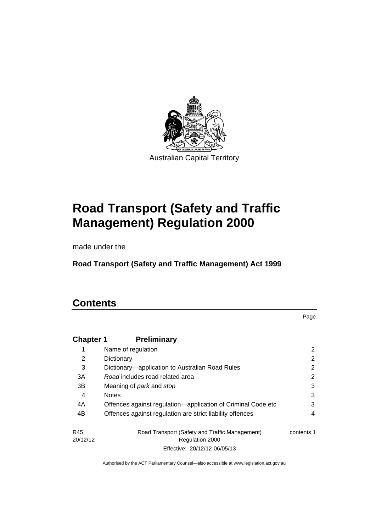

# **Road Transport (Safety and Traffic Management) Regulation 2000**

made under the

**Road Transport (Safety and Traffic Management) Act 1999** 

# **Contents**

Page

| <b>Chapter 1</b> | <b>Preliminary</b>                                           |            |
|------------------|--------------------------------------------------------------|------------|
|                  | Name of regulation                                           | 2          |
| 2                | Dictionary                                                   | 2          |
| 3                | Dictionary—application to Australian Road Rules              | 2          |
| 3A               | Road includes road related area                              | 2          |
| 3B               | Meaning of <i>park</i> and <i>stop</i>                       | 3          |
| 4                | <b>Notes</b>                                                 | 3          |
| 4A               | Offences against regulation-application of Criminal Code etc | 3          |
| 4B               | Offences against regulation are strict liability offences    | 4          |
| R45              | Road Transport (Safety and Traffic Management)               | contents 1 |
| 20/12/12         | <b>Regulation 2000</b>                                       |            |
|                  | Effective: 20/12/12-06/05/13                                 |            |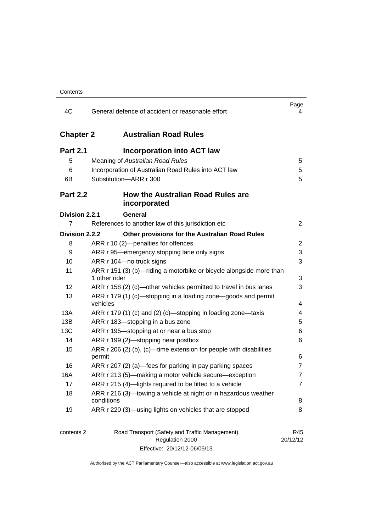| 4C               | General defence of accident or reasonable effort                                                  | Page<br>4       |
|------------------|---------------------------------------------------------------------------------------------------|-----------------|
| <b>Chapter 2</b> | <b>Australian Road Rules</b>                                                                      |                 |
| <b>Part 2.1</b>  | <b>Incorporation into ACT law</b>                                                                 |                 |
| 5                | Meaning of Australian Road Rules                                                                  | 5               |
| 6                | Incorporation of Australian Road Rules into ACT law                                               | 5               |
| 6B               | Substitution-ARR r 300                                                                            | 5               |
| <b>Part 2.2</b>  | <b>How the Australian Road Rules are</b><br>incorporated                                          |                 |
| Division 2.2.1   | General                                                                                           |                 |
| 7                | References to another law of this jurisdiction etc                                                | 2               |
| Division 2.2.2   | Other provisions for the Australian Road Rules                                                    |                 |
| 8                | ARR r 10 (2)-penalties for offences                                                               | 2               |
| 9                | ARR r 95—emergency stopping lane only signs                                                       | 3               |
| 10               | ARR r 104-no truck signs                                                                          | 3               |
| 11               | ARR r 151 (3) (b)-riding a motorbike or bicycle alongside more than<br>1 other rider              | 3               |
| 12               | ARR r 158 (2) (c)—other vehicles permitted to travel in bus lanes                                 | 3               |
| 13               | ARR r 179 (1) (c)—stopping in a loading zone—goods and permit<br>vehicles                         | 4               |
| 13A              | ARR r 179 (1) (c) and (2) (c)-stopping in loading zone-taxis                                      | 4               |
| 13B              | ARR r 183-stopping in a bus zone                                                                  | 5               |
| 13C              | ARR r 195-stopping at or near a bus stop                                                          | 6               |
| 14               | ARR r 199 (2)-stopping near postbox                                                               | 6               |
| 15               | ARR $r$ 206 (2) (b), (c)—time extension for people with disabilities                              |                 |
|                  | permit                                                                                            | 6               |
| 16               | ARR r 207 (2) (a)—fees for parking in pay parking spaces                                          | $\overline{7}$  |
| 16A              | ARR r 213 (5)-making a motor vehicle secure-exception                                             | $\overline{7}$  |
| 17               | ARR r 215 (4)-lights required to be fitted to a vehicle                                           | 7               |
| 18               | ARR r 216 (3)-towing a vehicle at night or in hazardous weather<br>conditions                     | 8               |
| 19               | ARR r 220 (3)—using lights on vehicles that are stopped                                           | 8               |
| contents 2       | Road Transport (Safety and Traffic Management)<br>Regulation 2000<br>Effective: 20/12/12-06/05/13 | R45<br>20/12/12 |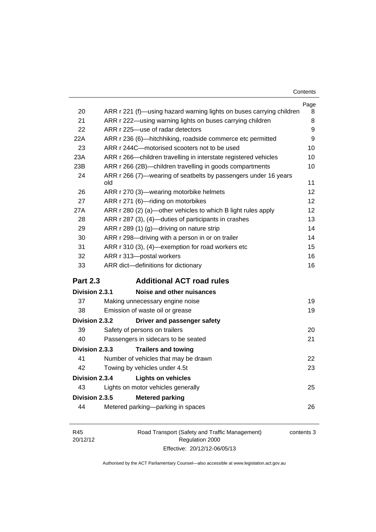| Contents |
|----------|
|----------|

|                                          |                                                                        | Page |  |
|------------------------------------------|------------------------------------------------------------------------|------|--|
| 20                                       | ARR r 221 (f)—using hazard warning lights on buses carrying children   | 8    |  |
| 21                                       | ARR r 222—using warning lights on buses carrying children              | 8    |  |
| 22                                       | ARR r 225-use of radar detectors                                       | 9    |  |
| 22A                                      | ARR r 236 (6)-hitchhiking, roadside commerce etc permitted             | 9    |  |
| 23                                       | ARR r 244C-motorised scooters not to be used                           | 10   |  |
| 23A                                      | ARR r 266—children travelling in interstate registered vehicles        | 10   |  |
| 23B                                      | ARR r 266 (2B)-children travelling in goods compartments               | 10   |  |
| 24                                       | ARR r 266 (7)—wearing of seatbelts by passengers under 16 years<br>old | 11   |  |
| 26                                       | ARR r 270 (3)—wearing motorbike helmets                                | 12   |  |
| 27                                       | ARR r 271 (6)-riding on motorbikes                                     | 12   |  |
| 27A                                      | ARR r 280 (2) (a)—other vehicles to which B light rules apply          | 12   |  |
| 28                                       | ARR r 287 (3), (4)—duties of participants in crashes                   | 13   |  |
| 29                                       | ARR r 289 (1) (g)—driving on nature strip                              | 14   |  |
| 30                                       | ARR r 298-driving with a person in or on trailer                       | 14   |  |
| 31                                       | ARR r 310 (3), (4)—exemption for road workers etc                      | 15   |  |
| 32                                       | ARR r 313-postal workers                                               | 16   |  |
| 33                                       | ARR dict-definitions for dictionary                                    | 16   |  |
| <b>Part 2.3</b>                          | <b>Additional ACT road rules</b>                                       |      |  |
| Division 2.3.1                           | Noise and other nuisances                                              |      |  |
| 37                                       | Making unnecessary engine noise                                        | 19   |  |
| 38                                       | Emission of waste oil or grease                                        | 19   |  |
| Division 2.3.2                           | Driver and passenger safety                                            |      |  |
| 39                                       | Safety of persons on trailers                                          | 20   |  |
| 40                                       | Passengers in sidecars to be seated                                    | 21   |  |
| Division 2.3.3                           | <b>Trailers and towing</b>                                             |      |  |
| 41                                       | Number of vehicles that may be drawn                                   | 22   |  |
| 42                                       | Towing by vehicles under 4.5t                                          | 23   |  |
| Division 2.3.4                           | <b>Lights on vehicles</b>                                              |      |  |
| 43                                       | Lights on motor vehicles generally                                     | 25   |  |
| Division 2.3.5<br><b>Metered parking</b> |                                                                        |      |  |
| 44                                       | Metered parking-parking in spaces                                      | 26   |  |
|                                          |                                                                        |      |  |
|                                          |                                                                        |      |  |

| R45      | Road Transport (Safety and Traffic Management) | contents 3 |
|----------|------------------------------------------------|------------|
| 20/12/12 | Regulation 2000                                |            |
|          | Effective: 20/12/12-06/05/13                   |            |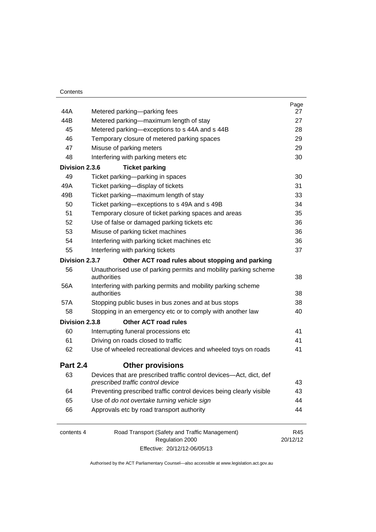| 44A             | Metered parking-parking fees                                                                            | Page<br>27      |
|-----------------|---------------------------------------------------------------------------------------------------------|-----------------|
| 44B             | Metered parking-maximum length of stay                                                                  | 27              |
| 45              | Metered parking—exceptions to s 44A and s 44B                                                           | 28              |
| 46              | Temporary closure of metered parking spaces                                                             | 29              |
| 47              | Misuse of parking meters                                                                                | 29              |
| 48              | Interfering with parking meters etc                                                                     | 30              |
| Division 2.3.6  | <b>Ticket parking</b>                                                                                   |                 |
| 49              | Ticket parking-parking in spaces                                                                        | 30              |
| 49A             | Ticket parking-display of tickets                                                                       | 31              |
| 49B             | Ticket parking—maximum length of stay                                                                   | 33              |
| 50              | Ticket parking—exceptions to s 49A and s 49B                                                            | 34              |
| 51              | Temporary closure of ticket parking spaces and areas                                                    | 35              |
| 52              | Use of false or damaged parking tickets etc                                                             | 36              |
| 53              | Misuse of parking ticket machines                                                                       | 36              |
| 54              | Interfering with parking ticket machines etc                                                            | 36              |
| 55              | Interfering with parking tickets                                                                        | 37              |
| Division 2.3.7  | Other ACT road rules about stopping and parking                                                         |                 |
| 56              | Unauthorised use of parking permits and mobility parking scheme<br>authorities                          | 38              |
| 56A             | Interfering with parking permits and mobility parking scheme<br>authorities                             | 38              |
| 57A             | Stopping public buses in bus zones and at bus stops                                                     | 38              |
| 58              | Stopping in an emergency etc or to comply with another law                                              | 40              |
| Division 2.3.8  | <b>Other ACT road rules</b>                                                                             |                 |
| 60              | Interrupting funeral processions etc                                                                    | 41              |
| 61              | Driving on roads closed to traffic                                                                      | 41              |
| 62              | Use of wheeled recreational devices and wheeled toys on roads                                           | 41              |
| <b>Part 2.4</b> | <b>Other provisions</b>                                                                                 |                 |
| 63              | Devices that are prescribed traffic control devices-Act, dict, def<br>prescribed traffic control device | 43              |
| 64              | Preventing prescribed traffic control devices being clearly visible                                     | 43              |
| 65              | Use of do not overtake turning vehicle sign                                                             | 44              |
| 66              | Approvals etc by road transport authority                                                               | 44              |
| contents 4      | Road Transport (Safety and Traffic Management)<br>Regulation 2000                                       | R45<br>20/12/12 |

Effective: 20/12/12-06/05/13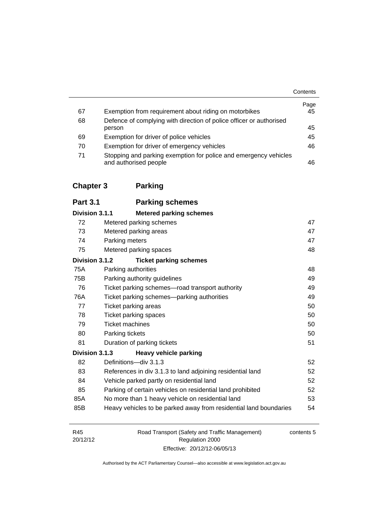|    |                                                                                           | Contents   |
|----|-------------------------------------------------------------------------------------------|------------|
| 67 | Exemption from requirement about riding on motorbikes                                     | Page<br>45 |
| 68 | Defence of complying with direction of police officer or authorised                       |            |
|    | person                                                                                    | 45         |
| 69 | Exemption for driver of police vehicles                                                   | 45         |
| 70 | Exemption for driver of emergency vehicles                                                | 46         |
| 71 | Stopping and parking exemption for police and emergency vehicles<br>and authorised people | 46         |

# **[Chapter 3](#page-65-0) Parking**

| <b>Part 3.1</b> | <b>Parking schemes</b>                                            |    |
|-----------------|-------------------------------------------------------------------|----|
| Division 3.1.1  | <b>Metered parking schemes</b>                                    |    |
| 72              | Metered parking schemes                                           | 47 |
| 73              | Metered parking areas                                             | 47 |
| 74              | Parking meters                                                    | 47 |
| 75              | Metered parking spaces                                            | 48 |
| Division 3.1.2  | <b>Ticket parking schemes</b>                                     |    |
| 75A             | Parking authorities                                               | 48 |
| 75B             | Parking authority guidelines                                      | 49 |
| 76              | Ticket parking schemes—road transport authority                   | 49 |
| 76A             | Ticket parking schemes—parking authorities                        | 49 |
| 77              | Ticket parking areas                                              | 50 |
| 78              | Ticket parking spaces                                             | 50 |
| 79              | <b>Ticket machines</b>                                            | 50 |
| 80              | Parking tickets                                                   | 50 |
| 81              | Duration of parking tickets                                       | 51 |
| Division 3.1.3  | <b>Heavy vehicle parking</b>                                      |    |
| 82              | Definitions-div 3.1.3                                             | 52 |
| 83              | References in div 3.1.3 to land adjoining residential land        | 52 |
| 84              | Vehicle parked partly on residential land                         | 52 |
| 85              | Parking of certain vehicles on residential land prohibited        | 52 |
| 85A             | No more than 1 heavy vehicle on residential land                  | 53 |
| 85B             | Heavy vehicles to be parked away from residential land boundaries | 54 |

| R45      | Road Transport (Safety and Traffic Management) | contents 5 |
|----------|------------------------------------------------|------------|
| 20/12/12 | Regulation 2000                                |            |
|          | Effective: 20/12/12-06/05/13                   |            |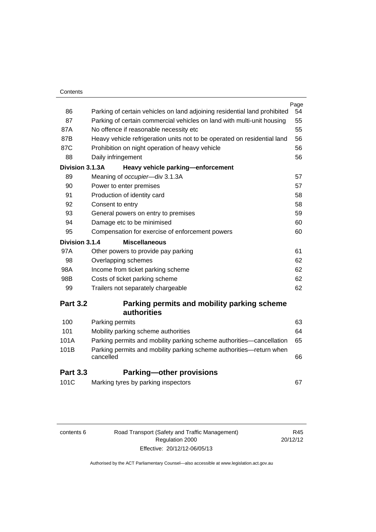|                 |                                                                           | Page |
|-----------------|---------------------------------------------------------------------------|------|
| 86              | Parking of certain vehicles on land adjoining residential land prohibited | 54   |
| 87              | Parking of certain commercial vehicles on land with multi-unit housing    | 55   |
| 87A             | No offence if reasonable necessity etc                                    | 55   |
| 87B             | Heavy vehicle refrigeration units not to be operated on residential land  | 56   |
| 87C             | Prohibition on night operation of heavy vehicle                           | 56   |
| 88              | Daily infringement                                                        | 56   |
| Division 3.1.3A | Heavy vehicle parking-enforcement                                         |      |
| 89              | Meaning of occupier-div 3.1.3A                                            | 57   |
| 90              | Power to enter premises                                                   | 57   |
| 91              | Production of identity card                                               | 58   |
| 92              | Consent to entry                                                          | 58   |
| 93              | General powers on entry to premises                                       | 59   |
| 94              | Damage etc to be minimised                                                | 60   |
| 95              | Compensation for exercise of enforcement powers                           | 60   |
| Division 3.1.4  | <b>Miscellaneous</b>                                                      |      |
| 97A             | Other powers to provide pay parking                                       | 61   |
| 98              | Overlapping schemes                                                       | 62   |
| 98A             | Income from ticket parking scheme                                         | 62   |
| 98B             | Costs of ticket parking scheme                                            | 62   |
| 99              | Trailers not separately chargeable                                        | 62   |
| <b>Part 3.2</b> | Parking permits and mobility parking scheme                               |      |
|                 | <b>authorities</b>                                                        |      |
| 100             | Parking permits                                                           | 63   |
| 101             | Mobility parking scheme authorities                                       | 64   |
| 101A            | Parking permits and mobility parking scheme authorities—cancellation      | 65   |
| 101B            | Parking permits and mobility parking scheme authorities-return when       |      |

| <b>Part 3.3</b> | <b>Parking-other provisions</b> |  |
|-----------------|---------------------------------|--|
|                 |                                 |  |

| 101C | Marking tyres by parking inspectors |  |
|------|-------------------------------------|--|
|------|-------------------------------------|--|

| contents 6 | Road Transport (Safety and Traffic Management) |
|------------|------------------------------------------------|
|            | Regulation 2000                                |

Authorised by the ACT Parliamentary Counsel—also accessible at www.legislation.act.gov.au

[cancelled 66](#page-84-0)

Effective: 20/12/12-06/05/13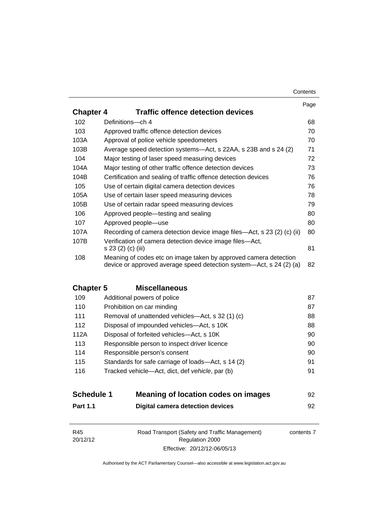#### **Contents**

|                  |                                                                                                                                         | Page |
|------------------|-----------------------------------------------------------------------------------------------------------------------------------------|------|
| <b>Chapter 4</b> | <b>Traffic offence detection devices</b>                                                                                                |      |
| 102              | Definitions-ch 4                                                                                                                        | 68   |
| 103              | Approved traffic offence detection devices                                                                                              | 70   |
| 103A             | Approval of police vehicle speedometers                                                                                                 | 70   |
| 103B             | Average speed detection systems—Act, s 22AA, s 23B and s 24 (2)                                                                         | 71   |
| 104              | Major testing of laser speed measuring devices                                                                                          | 72   |
| 104A             | Major testing of other traffic offence detection devices                                                                                | 73   |
| 104B             | Certification and sealing of traffic offence detection devices                                                                          | 76   |
| 105              | Use of certain digital camera detection devices                                                                                         | 76   |
| 105A             | Use of certain laser speed measuring devices                                                                                            | 78   |
| 105B             | Use of certain radar speed measuring devices                                                                                            | 79   |
| 106              | Approved people—testing and sealing                                                                                                     | 80   |
| 107              | Approved people-use                                                                                                                     | 80   |
| 107A             | Recording of camera detection device image files—Act, s 23 (2) (c) (ii)                                                                 | 80   |
| 107B             | Verification of camera detection device image files—Act,<br>s 23 (2) (c) (iii)                                                          | 81   |
| 108              | Meaning of codes etc on image taken by approved camera detection<br>device or approved average speed detection system—Act, s 24 (2) (a) | 82   |

# **Chapter 5 [Miscellaneous](#page-105-0)**

| 109  | Additional powers of police                        | 87 |
|------|----------------------------------------------------|----|
| 110  | Prohibition on car minding                         | 87 |
| 111  | Removal of unattended vehicles—Act, s 32 (1) (c)   | 88 |
| 112  | Disposal of impounded vehicles—Act, s 10K          | 88 |
| 112A | Disposal of forfeited vehicles—Act, s 10K          | 90 |
| 113  | Responsible person to inspect driver licence       | 90 |
| 114  | Responsible person's consent                       | 90 |
| 115  | Standards for safe carriage of loads—Act, s 14 (2) | 91 |
| 116  | Tracked vehicle-Act, dict, def vehicle, par (b)    | 91 |
|      |                                                    |    |

| <b>Schedule 1</b> | Meaning of location codes on images | 92 |
|-------------------|-------------------------------------|----|
| <b>Part 1.1</b>   | Digital camera detection devices    |    |

| R45                         | Road Transport (Safety and Traffic Management) | contents 7 |
|-----------------------------|------------------------------------------------|------------|
| 20/12/12<br>Regulation 2000 |                                                |            |
|                             | Effective: 20/12/12-06/05/13                   |            |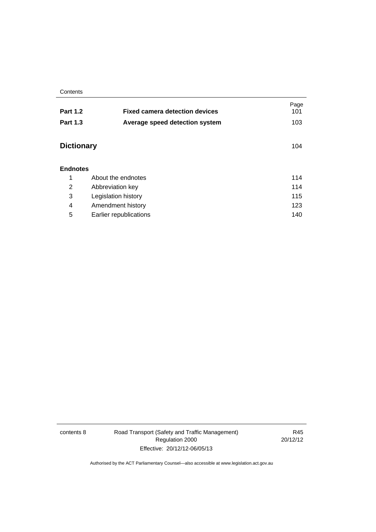**Contents** 

| <b>Part 1.2</b>   | <b>Fixed camera detection devices</b> | Page<br>101 |
|-------------------|---------------------------------------|-------------|
|                   |                                       |             |
| <b>Part 1.3</b>   | Average speed detection system        | 103         |
|                   |                                       |             |
| <b>Dictionary</b> |                                       | 104         |
|                   |                                       |             |
| <b>Endnotes</b>   |                                       |             |
|                   |                                       |             |
| 1                 | About the endnotes                    | 114         |
| 2                 | Abbreviation key                      | 114         |
| 3                 | Legislation history                   |             |
| 4                 | Amendment history                     | 123         |
| 5                 | Earlier republications                | 140         |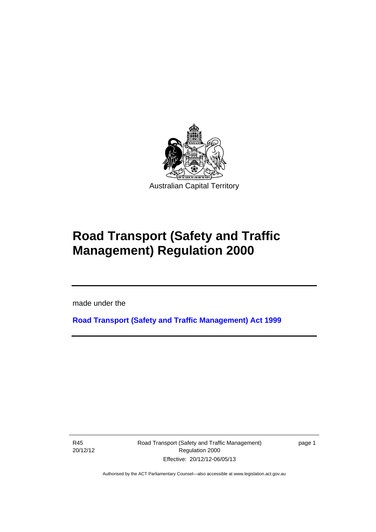

# **Road Transport (Safety and Traffic Management) Regulation 2000**

made under the

**[Road Transport \(Safety and Traffic Management\) Act 1999](http://www.legislation.act.gov.au/a/1999-80)**

R45 20/12/12

l

Road Transport (Safety and Traffic Management) Regulation 2000 Effective: 20/12/12-06/05/13

page 1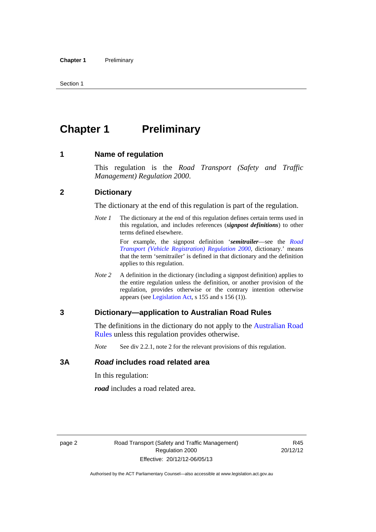# <span id="page-11-0"></span>**Chapter 1** Preliminary

#### <span id="page-11-1"></span>**1 Name of regulation**

This regulation is the *Road Transport (Safety and Traffic Management) Regulation 2000*.

#### <span id="page-11-2"></span>**2 Dictionary**

The dictionary at the end of this regulation is part of the regulation.

*Note 1* The dictionary at the end of this regulation defines certain terms used in this regulation, and includes references (*signpost definitions*) to other terms defined elsewhere.

> For example, the signpost definition '*semitrailer*—see the *[Road](http://www.legislation.act.gov.au/sl/2000-12)  [Transport \(Vehicle Registration\) Regulation 2000](http://www.legislation.act.gov.au/sl/2000-12)*, dictionary.' means that the term 'semitrailer' is defined in that dictionary and the definition applies to this regulation.

*Note 2* A definition in the dictionary (including a signpost definition) applies to the entire regulation unless the definition, or another provision of the regulation, provides otherwise or the contrary intention otherwise appears (see [Legislation Act,](http://www.legislation.act.gov.au/a/2001-14) s 155 and s 156 (1)).

#### <span id="page-11-3"></span>**3 Dictionary—application to Australian Road Rules**

The definitions in the dictionary do not apply to the [Australian Road](http://www.legislation.act.gov.au//ni/db_37271/default.asp)  [Rules](http://www.legislation.act.gov.au//ni/db_37271/default.asp) unless this regulation provides otherwise.

*Note* See div 2.2.1, note 2 for the relevant provisions of this regulation.

#### <span id="page-11-4"></span>**3A** *Road* **includes road related area**

In this regulation:

*road* includes a road related area.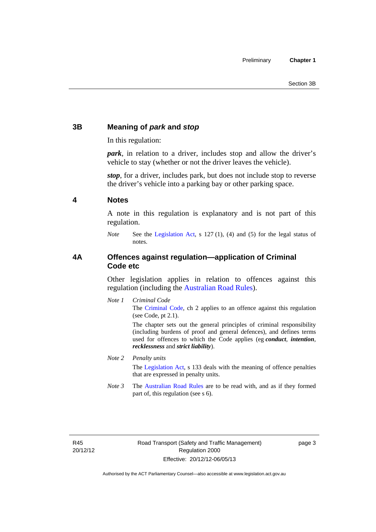# <span id="page-12-0"></span>**3B Meaning of** *park* **and** *stop*

In this regulation:

*park*, in relation to a driver, includes stop and allow the driver's vehicle to stay (whether or not the driver leaves the vehicle).

*stop*, for a driver, includes park, but does not include stop to reverse the driver's vehicle into a parking bay or other parking space.

#### <span id="page-12-1"></span>**4 Notes**

A note in this regulation is explanatory and is not part of this regulation.

*Note* See the [Legislation Act,](http://www.legislation.act.gov.au/a/2001-14) s 127 (1), (4) and (5) for the legal status of notes.

### <span id="page-12-2"></span>**4A Offences against regulation—application of Criminal Code etc**

Other legislation applies in relation to offences against this regulation (including the [Australian Road Rules](http://www.legislation.act.gov.au//ni/db_37271/default.asp)).

*Note 1 Criminal Code* The [Criminal Code,](http://www.legislation.act.gov.au/a/2002-51) ch 2 applies to an offence against this regulation (see Code, pt 2.1).

> The chapter sets out the general principles of criminal responsibility (including burdens of proof and general defences), and defines terms used for offences to which the Code applies (eg *conduct*, *intention*, *recklessness* and *strict liability*).

#### *Note 2 Penalty units*

The [Legislation Act](http://www.legislation.act.gov.au/a/2001-14), s 133 deals with the meaning of offence penalties that are expressed in penalty units.

*Note 3* The [Australian Road Rules](http://www.legislation.act.gov.au//ni/db_37271/default.asp) are to be read with, and as if they formed part of, this regulation (see s 6).

R45 20/12/12 page 3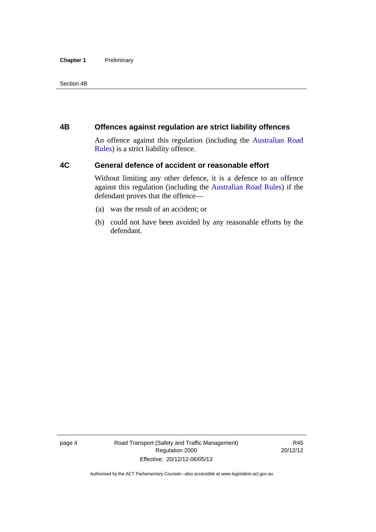#### **Chapter 1** Preliminary

Section 4B

### <span id="page-13-0"></span>**4B Offences against regulation are strict liability offences**

An offence against this regulation (including the [Australian Road](http://www.legislation.act.gov.au//ni/db_37271/default.asp)  [Rules](http://www.legislation.act.gov.au//ni/db_37271/default.asp)) is a strict liability offence.

## <span id="page-13-1"></span>**4C General defence of accident or reasonable effort**

Without limiting any other defence, it is a defence to an offence against this regulation (including the [Australian Road Rules\)](http://www.legislation.act.gov.au//ni/db_37271/default.asp) if the defendant proves that the offence—

- (a) was the result of an accident; or
- (b) could not have been avoided by any reasonable efforts by the defendant.

page 4 Road Transport (Safety and Traffic Management) Regulation 2000 Effective: 20/12/12-06/05/13

R45 20/12/12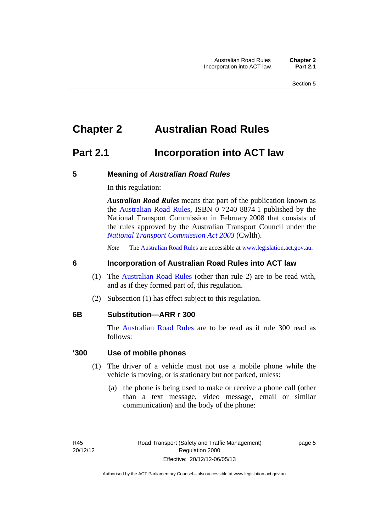# <span id="page-14-0"></span>**Chapter 2 Australian Road Rules**

# <span id="page-14-1"></span>**Part 2.1 Incorporation into ACT law**

#### <span id="page-14-2"></span>**5 Meaning of** *Australian Road Rules*

In this regulation:

*Australian Road Rules* means that part of the publication known as the [Australian Road Rules](http://www.legislation.act.gov.au//ni/db_37271/default.asp), ISBN 0 7240 8874 1 published by the National Transport Commission in February 2008 that consists of the rules approved by the Australian Transport Council under the *[National Transport Commission Act 2003](http://www.comlaw.gov.au/Series/C2004A01166)* (Cwlth).

*Note* The [Australian Road Rules](http://www.legislation.act.gov.au//ni/db_37271/default.asp) are accessible at [www.legislation.act.gov.au](http://www.legislation.act.gov.au/).

#### <span id="page-14-3"></span>**6 Incorporation of Australian Road Rules into ACT law**

- (1) The [Australian Road Rules](http://www.legislation.act.gov.au//ni/db_37271/default.asp) (other than rule 2) are to be read with, and as if they formed part of, this regulation.
- (2) Subsection (1) has effect subject to this regulation.

#### <span id="page-14-4"></span>**6B Substitution—ARR r 300**

The [Australian Road Rules](http://www.legislation.act.gov.au//ni/db_37271/default.asp) are to be read as if rule 300 read as follows:

#### **'300 Use of mobile phones**

- (1) The driver of a vehicle must not use a mobile phone while the vehicle is moving, or is stationary but not parked, unless:
	- (a) the phone is being used to make or receive a phone call (other than a text message, video message, email or similar communication) and the body of the phone:

page 5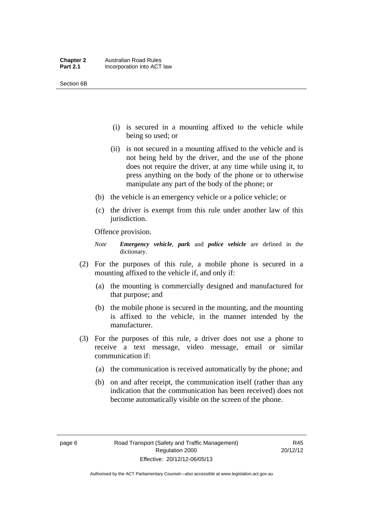- (i) is secured in a mounting affixed to the vehicle while being so used; or
- (ii) is not secured in a mounting affixed to the vehicle and is not being held by the driver, and the use of the phone does not require the driver, at any time while using it, to press anything on the body of the phone or to otherwise manipulate any part of the body of the phone; or
- (b) the vehicle is an emergency vehicle or a police vehicle; or
- (c) the driver is exempt from this rule under another law of this jurisdiction.

Offence provision.

- *Note Emergency vehicle*, *park* and *police vehicle* are defined in the dictionary.
- (2) For the purposes of this rule, a mobile phone is secured in a mounting affixed to the vehicle if, and only if:
	- (a) the mounting is commercially designed and manufactured for that purpose; and
	- (b) the mobile phone is secured in the mounting, and the mounting is affixed to the vehicle, in the manner intended by the manufacturer.
- (3) For the purposes of this rule, a driver does not use a phone to receive a text message, video message, email or similar communication if:
	- (a) the communication is received automatically by the phone; and
	- (b) on and after receipt, the communication itself (rather than any indication that the communication has been received) does not become automatically visible on the screen of the phone.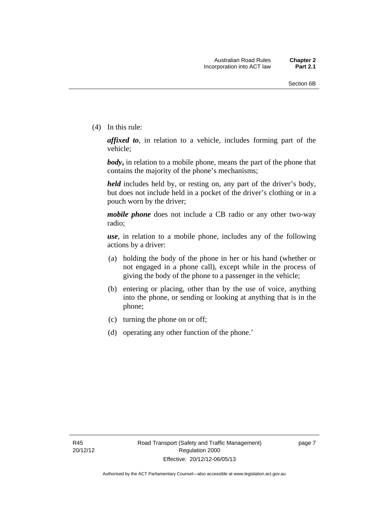(4) In this rule:

*affixed to*, in relation to a vehicle, includes forming part of the vehicle;

*body***,** in relation to a mobile phone, means the part of the phone that contains the majority of the phone's mechanisms;

*held* includes held by, or resting on, any part of the driver's body, but does not include held in a pocket of the driver's clothing or in a pouch worn by the driver;

*mobile phone* does not include a CB radio or any other two-way radio;

*use*, in relation to a mobile phone, includes any of the following actions by a driver:

- (a) holding the body of the phone in her or his hand (whether or not engaged in a phone call), except while in the process of giving the body of the phone to a passenger in the vehicle;
- (b) entering or placing, other than by the use of voice, anything into the phone, or sending or looking at anything that is in the phone;
- (c) turning the phone on or off;
- (d) operating any other function of the phone.'

page 7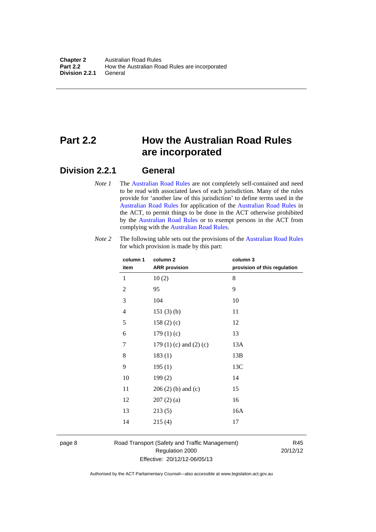# <span id="page-17-0"></span>**Part 2.2 How the Australian Road Rules are incorporated**

## <span id="page-17-1"></span>**Division 2.2.1 General**

*Note 1* The [Australian Road Rules](http://www.legislation.act.gov.au//ni/db_37271/default.asp) are not completely self-contained and need to be read with associated laws of each jurisdiction. Many of the rules provide for 'another law of this jurisdiction' to define terms used in the [Australian Road Rules](http://www.legislation.act.gov.au//ni/db_37271/default.asp) for application of the [Australian Road Rules](http://www.legislation.act.gov.au//ni/db_37271/default.asp) in the ACT, to permit things to be done in the ACT otherwise prohibited by the [Australian Road Rules](http://www.legislation.act.gov.au//ni/db_37271/default.asp) or to exempt persons in the ACT from complying with the [Australian Road Rules.](http://www.legislation.act.gov.au//ni/db_37271/default.asp)

| column 1<br>item | column <sub>2</sub><br><b>ARR</b> provision | column 3<br>provision of this regulation |
|------------------|---------------------------------------------|------------------------------------------|
| 1                | 10(2)                                       | 8                                        |
| $\overline{2}$   | 95                                          | 9                                        |
| 3                | 104                                         | 10                                       |
| $\overline{4}$   | 151(3)(b)                                   | 11                                       |
| 5                | 158 $(2)(c)$                                | 12                                       |
| 6                | 179(1)(c)                                   | 13                                       |
| 7                | 179 $(1)$ $(c)$ and $(2)$ $(c)$             | 13A                                      |
| 8                | 183(1)                                      | 13B                                      |
| 9                | 195(1)                                      | 13C                                      |
| 10               | 199(2)                                      | 14                                       |
| 11               | $206(2)$ (b) and (c)                        | 15                                       |
| 12               | 207(2)(a)                                   | 16                                       |
| 13               | 213(5)                                      | 16A                                      |
| 14               | 215(4)                                      | 17                                       |

*Note 2* The following table sets out the provisions of the [Australian Road Rules](http://www.legislation.act.gov.au//ni/db_37271/default.asp) for which provision is made by this part:

page 8 Road Transport (Safety and Traffic Management) Regulation 2000 Effective: 20/12/12-06/05/13

R45 20/12/12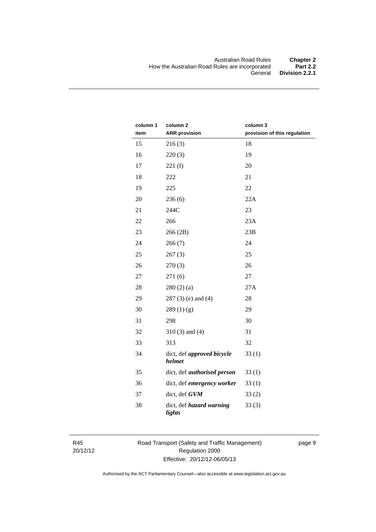| column 1<br>item | column <sub>2</sub><br><b>ARR</b> provision | column 3<br>provision of this regulation |
|------------------|---------------------------------------------|------------------------------------------|
| 15               | 216(3)                                      | 18                                       |
| 16               |                                             | 19                                       |
|                  | 220(3)                                      |                                          |
| 17               | 221(f)                                      | 20                                       |
| 18               | 222                                         | 21                                       |
| 19               | 225                                         | 22                                       |
| 20               | 236(6)                                      | 22A                                      |
| 21               | 244C                                        | 23                                       |
| 22               | 266                                         | 23A                                      |
| 23               | 266 (2B)                                    | 23B                                      |
| 24               | 266(7)                                      | 24                                       |
| 25               | 267(3)                                      | 25                                       |
| 26               | 270(3)                                      | 26                                       |
| 27               | 271(6)                                      | 27                                       |
| 28               | 280(2)(a)                                   | 27A                                      |
| 29               | $287(3)$ (e) and (4)                        | 28                                       |
| 30               | 289(1)(g)                                   | 29                                       |
| 31               | 298                                         | 30                                       |
| 32               | $310(3)$ and $(4)$                          | 31                                       |
| 33               | 313                                         | 32                                       |
| 34               | dict, def approved bicycle<br>helmet        | 33(1)                                    |
| 35               | dict, def <i>authorised</i> person          | 33(1)                                    |
| 36               | dict, def emergency worker                  | 33(1)                                    |
| 37               | dict, def GVM                               | 33(2)                                    |
| 38               | dict, def hazard warning<br>lights          | 33(3)                                    |

R45 20/12/12 Road Transport (Safety and Traffic Management) Regulation 2000 Effective: 20/12/12-06/05/13

page 9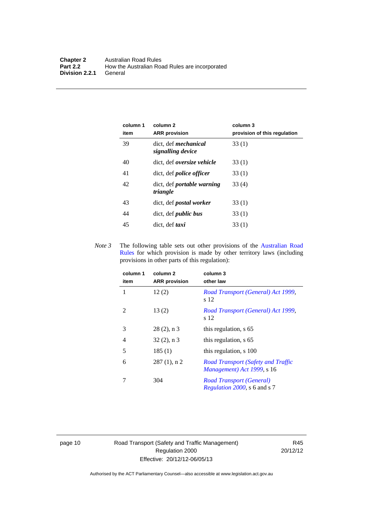| column 1<br>item | column 2<br><b>ARR</b> provision                 | column 3<br>provision of this regulation |
|------------------|--------------------------------------------------|------------------------------------------|
| 39               | dict, def <i>mechanical</i><br>signalling device | 33(1)                                    |
| 40               | dict, def <i>oversize</i> vehicle                | 33(1)                                    |
| 41               | dict, def <i>police officer</i>                  | 33(1)                                    |
| 42               | dict, def portable warning<br>triangle           | 33(4)                                    |
| 43               | dict, def <i>postal</i> worker                   | 33(1)                                    |
| 44               | dict, def <i>public</i> bus                      | 33(1)                                    |
| 45               | dict, def <i>taxi</i>                            | 33(1)                                    |

*Note 3* The following table sets out other provisions of the [Australian Road](http://www.legislation.act.gov.au//ni/db_37271/default.asp)  [Rules](http://www.legislation.act.gov.au//ni/db_37271/default.asp) for which provision is made by other territory laws (including provisions in other parts of this regulation):

| column 1<br>item | column <sub>2</sub><br><b>ARR</b> provision | column 3<br>other law                                                   |
|------------------|---------------------------------------------|-------------------------------------------------------------------------|
| 1                | 12(2)                                       | Road Transport (General) Act 1999,<br>s 12                              |
| 2                | 13(2)                                       | Road Transport (General) Act 1999,<br>s 12                              |
| 3                | $28(2)$ , n 3                               | this regulation, s 65                                                   |
| 4                | $32(2)$ , n 3                               | this regulation, s 65                                                   |
| 5                | 185(1)                                      | this regulation, s 100                                                  |
| 6                | $287(1)$ , n 2                              | <b>Road Transport (Safety and Traffic</b><br>Management) Act 1999, s 16 |
|                  | 304                                         | Road Transport (General)<br>Regulation 2000, s 6 and s 7                |

page 10 Road Transport (Safety and Traffic Management) Regulation 2000 Effective: 20/12/12-06/05/13

R45 20/12/12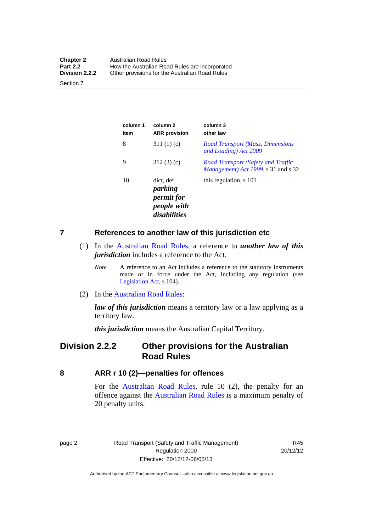| <b>Chapter 2</b> | Australian Road Rules                          |
|------------------|------------------------------------------------|
| <b>Part 2.2</b>  | How the Australian Road Rules are incorporated |
| Division 2.2.2   | Other provisions for the Australian Road Rules |

Section 7

| column 1<br>item | column 2<br><b>ARR</b> provision                                         | column 3<br>other law                                                            |
|------------------|--------------------------------------------------------------------------|----------------------------------------------------------------------------------|
| 8                | 311 $(1)(c)$                                                             | <b>Road Transport (Mass, Dimensions</b><br>and Loading) Act 2009                 |
| 9                | 312(3)(c)                                                                | <b>Road Transport (Safety and Traffic</b><br>Management) Act 1999, s 31 and s 32 |
| 10               | dict. def<br>parking<br><i>permit for</i><br>people with<br>disabilities | this regulation, s 101                                                           |

#### <span id="page-20-0"></span>**7 References to another law of this jurisdiction etc**

- (1) In the [Australian Road Rules,](http://www.legislation.act.gov.au//ni/db_37271/default.asp) a reference to *another law of this jurisdiction* includes a reference to the Act.
	- *Note* A reference to an Act includes a reference to the statutory instruments made or in force under the Act, including any regulation (see [Legislation Act,](http://www.legislation.act.gov.au/a/2001-14) s 104).
- (2) In the [Australian Road Rules](http://www.legislation.act.gov.au//ni/db_37271/default.asp):

*law of this jurisdiction* means a territory law or a law applying as a territory law.

*this jurisdiction* means the Australian Capital Territory.

# <span id="page-20-1"></span>**Division 2.2.2 Other provisions for the Australian Road Rules**

<span id="page-20-2"></span>**8 ARR r 10 (2)—penalties for offences**

For the [Australian Road Rules,](http://www.legislation.act.gov.au//ni/db_37271/default.asp) rule 10 (2), the penalty for an offence against the [Australian Road Rules](http://www.legislation.act.gov.au//ni/db_37271/default.asp) is a maximum penalty of 20 penalty units.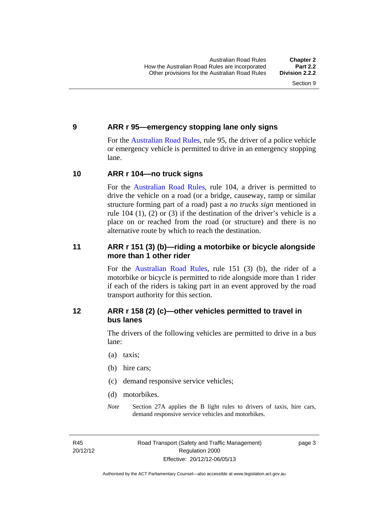#### <span id="page-21-0"></span>**9 ARR r 95—emergency stopping lane only signs**

For the [Australian Road Rules,](http://www.legislation.act.gov.au//ni/db_37271/default.asp) rule 95, the driver of a police vehicle or emergency vehicle is permitted to drive in an emergency stopping lane.

#### <span id="page-21-1"></span>**10 ARR r 104—no truck signs**

For the [Australian Road Rules,](http://www.legislation.act.gov.au//ni/db_37271/default.asp) rule 104, a driver is permitted to drive the vehicle on a road (or a bridge, causeway, ramp or similar structure forming part of a road) past a *no trucks sign* mentioned in rule 104 (1), (2) or (3) if the destination of the driver's vehicle is a place on or reached from the road (or structure) and there is no alternative route by which to reach the destination.

### <span id="page-21-2"></span>**11 ARR r 151 (3) (b)—riding a motorbike or bicycle alongside more than 1 other rider**

For the [Australian Road Rules](http://www.legislation.act.gov.au//ni/db_37271/default.asp), rule 151 (3) (b), the rider of a motorbike or bicycle is permitted to ride alongside more than 1 rider if each of the riders is taking part in an event approved by the road transport authority for this section.

## <span id="page-21-3"></span>**12 ARR r 158 (2) (c)—other vehicles permitted to travel in bus lanes**

The drivers of the following vehicles are permitted to drive in a bus lane:

- (a) taxis;
- (b) hire cars;
- (c) demand responsive service vehicles;
- (d) motorbikes.
- *Note* Section 27A applies the B light rules to drivers of taxis, hire cars, demand responsive service vehicles and motorbikes.

R45 20/12/12 page 3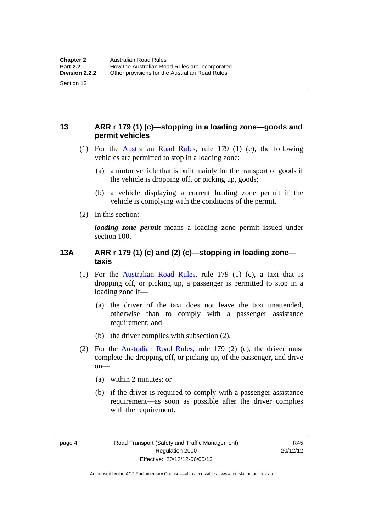# <span id="page-22-0"></span>**13 ARR r 179 (1) (c)—stopping in a loading zone—goods and permit vehicles**

- (1) For the [Australian Road Rules,](http://www.legislation.act.gov.au//ni/db_37271/default.asp) rule 179 (1) (c), the following vehicles are permitted to stop in a loading zone:
	- (a) a motor vehicle that is built mainly for the transport of goods if the vehicle is dropping off, or picking up, goods;
	- (b) a vehicle displaying a current loading zone permit if the vehicle is complying with the conditions of the permit.
- (2) In this section:

Section 13

*loading zone permit* means a loading zone permit issued under section 100.

### <span id="page-22-1"></span>**13A ARR r 179 (1) (c) and (2) (c)—stopping in loading zone taxis**

- (1) For the [Australian Road Rules,](http://www.legislation.act.gov.au//ni/db_37271/default.asp) rule 179 (1) (c), a taxi that is dropping off, or picking up, a passenger is permitted to stop in a loading zone if—
	- (a) the driver of the taxi does not leave the taxi unattended, otherwise than to comply with a passenger assistance requirement; and
	- (b) the driver complies with subsection (2).
- (2) For the [Australian Road Rules,](http://www.legislation.act.gov.au//ni/db_37271/default.asp) rule 179 (2) (c), the driver must complete the dropping off, or picking up, of the passenger, and drive on—
	- (a) within 2 minutes; or
	- (b) if the driver is required to comply with a passenger assistance requirement—as soon as possible after the driver complies with the requirement.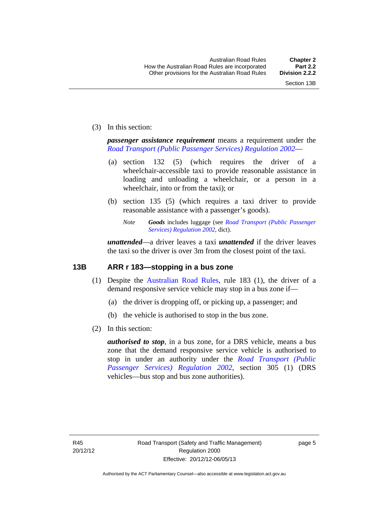(3) In this section:

*passenger assistance requirement* means a requirement under the *[Road Transport \(Public Passenger Services\) Regulation 2002](http://www.legislation.act.gov.au/sl/2002-3)*—

- (a) section 132 (5) (which requires the driver of a wheelchair-accessible taxi to provide reasonable assistance in loading and unloading a wheelchair, or a person in a wheelchair, into or from the taxi); or
- (b) section 135 (5) (which requires a taxi driver to provide reasonable assistance with a passenger's goods).
	- *Note Goods* includes luggage (see *[Road Transport \(Public Passenger](http://www.legislation.act.gov.au/sl/2002-3)  [Services\) Regulation 2002](http://www.legislation.act.gov.au/sl/2002-3)*, dict).

*unattended*—a driver leaves a taxi *unattended* if the driver leaves the taxi so the driver is over 3m from the closest point of the taxi.

### <span id="page-23-0"></span>**13B ARR r 183—stopping in a bus zone**

- (1) Despite the [Australian Road Rules](http://www.legislation.act.gov.au//ni/db_37271/default.asp), rule 183 (1), the driver of a demand responsive service vehicle may stop in a bus zone if—
	- (a) the driver is dropping off, or picking up, a passenger; and
	- (b) the vehicle is authorised to stop in the bus zone.
- (2) In this section:

*authorised to stop*, in a bus zone, for a DRS vehicle, means a bus zone that the demand responsive service vehicle is authorised to stop in under an authority under the *[Road Transport \(Public](http://www.legislation.act.gov.au/sl/2002-3)  [Passenger Services\) Regulation 2002](http://www.legislation.act.gov.au/sl/2002-3)*, section 305 (1) (DRS vehicles—bus stop and bus zone authorities).

page 5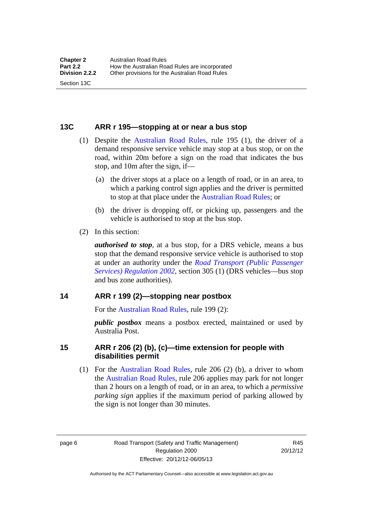#### <span id="page-24-0"></span>**13C ARR r 195—stopping at or near a bus stop**

- (1) Despite the [Australian Road Rules](http://www.legislation.act.gov.au//ni/db_37271/default.asp), rule 195 (1), the driver of a demand responsive service vehicle may stop at a bus stop, or on the road, within 20m before a sign on the road that indicates the bus stop, and 10m after the sign, if—
	- (a) the driver stops at a place on a length of road, or in an area, to which a parking control sign applies and the driver is permitted to stop at that place under the [Australian Road Rules;](http://www.legislation.act.gov.au//ni/db_37271/default.asp) or
	- (b) the driver is dropping off, or picking up, passengers and the vehicle is authorised to stop at the bus stop.
- (2) In this section:

Section 13C

*authorised to stop*, at a bus stop, for a DRS vehicle, means a bus stop that the demand responsive service vehicle is authorised to stop at under an authority under the *[Road Transport \(Public Passenger](http://www.legislation.act.gov.au/sl/2002-3)  [Services\) Regulation 2002](http://www.legislation.act.gov.au/sl/2002-3)*, section 305 (1) (DRS vehicles—bus stop and bus zone authorities).

#### <span id="page-24-1"></span>**14 ARR r 199 (2)—stopping near postbox**

For the [Australian Road Rules,](http://www.legislation.act.gov.au//ni/db_37271/default.asp) rule 199 (2):

*public postbox* means a postbox erected, maintained or used by Australia Post.

#### <span id="page-24-2"></span>**15 ARR r 206 (2) (b), (c)—time extension for people with disabilities permit**

 (1) For the [Australian Road Rules](http://www.legislation.act.gov.au//ni/db_37271/default.asp), rule 206 (2) (b), a driver to whom the [Australian Road Rules](http://www.legislation.act.gov.au//ni/db_37271/default.asp), rule 206 applies may park for not longer than 2 hours on a length of road, or in an area, to which a *permissive parking sign* applies if the maximum period of parking allowed by the sign is not longer than 30 minutes.

page 6 Road Transport (Safety and Traffic Management) Regulation 2000 Effective: 20/12/12-06/05/13

R45 20/12/12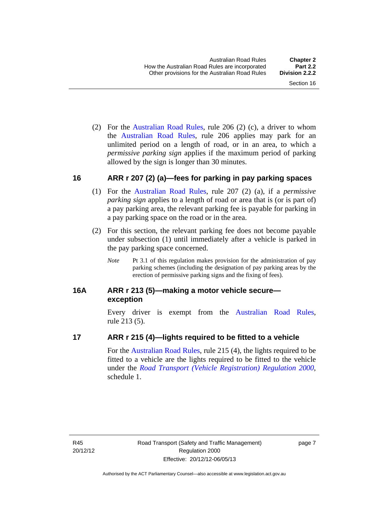(2) For the [Australian Road Rules,](http://www.legislation.act.gov.au//ni/db_37271/default.asp) rule 206 (2) (c), a driver to whom the [Australian Road Rules](http://www.legislation.act.gov.au//ni/db_37271/default.asp), rule 206 applies may park for an unlimited period on a length of road, or in an area, to which a *permissive parking sign* applies if the maximum period of parking allowed by the sign is longer than 30 minutes.

#### <span id="page-25-0"></span>**16 ARR r 207 (2) (a)—fees for parking in pay parking spaces**

- (1) For the [Australian Road Rules,](http://www.legislation.act.gov.au//ni/db_37271/default.asp) rule 207 (2) (a), if a *permissive parking sign* applies to a length of road or area that is (or is part of) a pay parking area, the relevant parking fee is payable for parking in a pay parking space on the road or in the area.
- (2) For this section, the relevant parking fee does not become payable under subsection (1) until immediately after a vehicle is parked in the pay parking space concerned.
	- *Note* Pt 3.1 of this regulation makes provision for the administration of pay parking schemes (including the designation of pay parking areas by the erection of permissive parking signs and the fixing of fees).

### <span id="page-25-1"></span>**16A ARR r 213 (5)—making a motor vehicle secure exception**

Every driver is exempt from the [Australian Road Rules](http://www.legislation.act.gov.au//ni/db_37271/default.asp), rule 213 (5).

#### <span id="page-25-2"></span>**17 ARR r 215 (4)—lights required to be fitted to a vehicle**

For the [Australian Road Rules,](http://www.legislation.act.gov.au//ni/db_37271/default.asp) rule 215 (4), the lights required to be fitted to a vehicle are the lights required to be fitted to the vehicle under the *[Road Transport \(Vehicle Registration\) Regulation 2000](http://www.legislation.act.gov.au/sl/2000-12),*  schedule 1.

page 7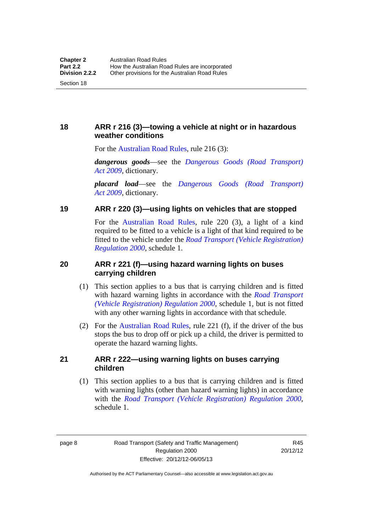<span id="page-26-0"></span>**18 ARR r 216 (3)—towing a vehicle at night or in hazardous weather conditions** 

For the [Australian Road Rules,](http://www.legislation.act.gov.au//ni/db_37271/default.asp) rule 216 (3):

*dangerous goods*—see the *[Dangerous Goods \(Road Transport\)](http://www.legislation.act.gov.au/a/2009-34)  [Act 2009](http://www.legislation.act.gov.au/a/2009-34)*, dictionary.

*placard load*—see the *[Dangerous Goods \(Road Transport\)](http://www.legislation.act.gov.au/a/2009-34)  [Act 2009](http://www.legislation.act.gov.au/a/2009-34)*, dictionary.

#### <span id="page-26-1"></span>**19 ARR r 220 (3)—using lights on vehicles that are stopped**

For the [Australian Road Rules](http://www.legislation.act.gov.au//ni/db_37271/default.asp), rule 220 (3), a light of a kind required to be fitted to a vehicle is a light of that kind required to be fitted to the vehicle under the *[Road Transport \(Vehicle Registration\)](http://www.legislation.act.gov.au/sl/2000-12)  [Regulation 2000](http://www.legislation.act.gov.au/sl/2000-12)*, schedule 1.

### <span id="page-26-2"></span>**20 ARR r 221 (f)—using hazard warning lights on buses carrying children**

- (1) This section applies to a bus that is carrying children and is fitted with hazard warning lights in accordance with the *[Road Transport](http://www.legislation.act.gov.au/sl/2000-12)  [\(Vehicle Registration\) Regulation 2000](http://www.legislation.act.gov.au/sl/2000-12)*, schedule 1, but is not fitted with any other warning lights in accordance with that schedule.
- (2) For the [Australian Road Rules](http://www.legislation.act.gov.au//ni/db_37271/default.asp), rule 221 (f), if the driver of the bus stops the bus to drop off or pick up a child, the driver is permitted to operate the hazard warning lights.

#### <span id="page-26-3"></span>**21 ARR r 222—using warning lights on buses carrying children**

(1) This section applies to a bus that is carrying children and is fitted with warning lights (other than hazard warning lights) in accordance with the *[Road Transport \(Vehicle Registration\) Regulation 2000](http://www.legislation.act.gov.au/sl/2000-12)*, schedule 1.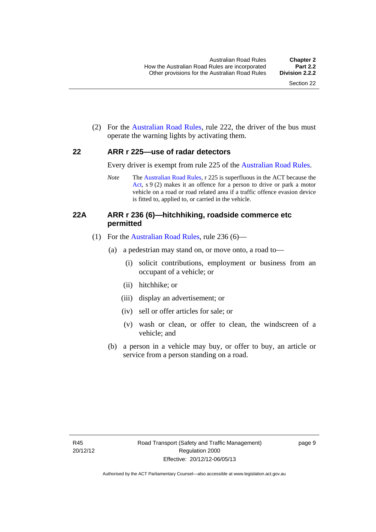(2) For the [Australian Road Rules](http://www.legislation.act.gov.au//ni/db_37271/default.asp), rule 222, the driver of the bus must operate the warning lights by activating them.

#### <span id="page-27-0"></span>**22 ARR r 225—use of radar detectors**

Every driver is exempt from rule 225 of the [Australian Road Rules.](http://www.legislation.act.gov.au//ni/db_37271/default.asp)

*Note* The [Australian Road Rules](http://www.legislation.act.gov.au//ni/db_37271/default.asp), r 225 is superfluous in the ACT because the [Act,](http://www.legislation.act.gov.au/a/1999-80/default.asp) s 9 (2) makes it an offence for a person to drive or park a motor vehicle on a road or road related area if a traffic offence evasion device is fitted to, applied to, or carried in the vehicle.

#### <span id="page-27-1"></span>**22A ARR r 236 (6)—hitchhiking, roadside commerce etc permitted**

- (1) For the [Australian Road Rules](http://www.legislation.act.gov.au//ni/db_37271/default.asp), rule 236 (6)—
	- (a) a pedestrian may stand on, or move onto, a road to—
		- (i) solicit contributions, employment or business from an occupant of a vehicle; or
		- (ii) hitchhike; or
		- (iii) display an advertisement; or
		- (iv) sell or offer articles for sale; or
		- (v) wash or clean, or offer to clean, the windscreen of a vehicle; and
	- (b) a person in a vehicle may buy, or offer to buy, an article or service from a person standing on a road.

page 9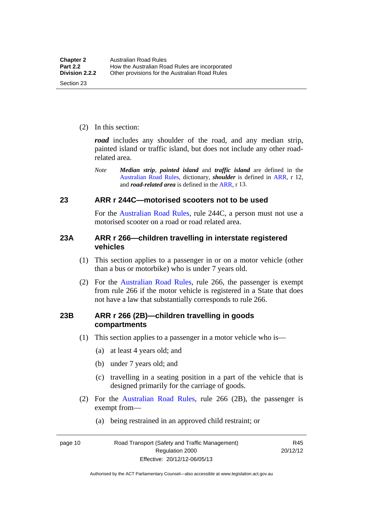(2) In this section:

*road* includes any shoulder of the road, and any median strip, painted island or traffic island, but does not include any other roadrelated area.

*Note Median strip*, *painted island* and *traffic island* are defined in the [Australian Road Rules](http://www.legislation.act.gov.au//ni/db_37271/default.asp), dictionary, *shoulder* is defined in [ARR,](http://www.legislation.act.gov.au//ni/db_37271/default.asp) r 12, and *road-related area* is defined in the [ARR,](http://www.legislation.act.gov.au//ni/db_37271/default.asp) r 13.

#### <span id="page-28-0"></span>**23 ARR r 244C—motorised scooters not to be used**

For the [Australian Road Rules](http://www.legislation.act.gov.au//ni/db_37271/default.asp), rule 244C, a person must not use a motorised scooter on a road or road related area.

#### <span id="page-28-1"></span>**23A ARR r 266—children travelling in interstate registered vehicles**

- (1) This section applies to a passenger in or on a motor vehicle (other than a bus or motorbike) who is under 7 years old.
- (2) For the [Australian Road Rules](http://www.legislation.act.gov.au//ni/db_37271/default.asp), rule 266, the passenger is exempt from rule 266 if the motor vehicle is registered in a State that does not have a law that substantially corresponds to rule 266.

#### <span id="page-28-2"></span>**23B ARR r 266 (2B)—children travelling in goods compartments**

- (1) This section applies to a passenger in a motor vehicle who is—
	- (a) at least 4 years old; and
	- (b) under 7 years old; and
	- (c) travelling in a seating position in a part of the vehicle that is designed primarily for the carriage of goods.
- (2) For the [Australian Road Rules,](http://www.legislation.act.gov.au//ni/db_37271/default.asp) rule 266 (2B), the passenger is exempt from—
	- (a) being restrained in an approved child restraint; or

page 10 Road Transport (Safety and Traffic Management) Regulation 2000 Effective: 20/12/12-06/05/13

R45 20/12/12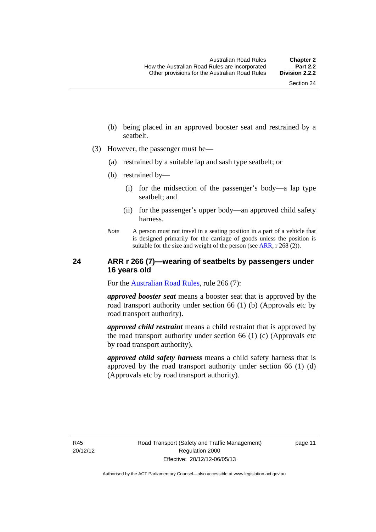- (b) being placed in an approved booster seat and restrained by a seatbelt.
- (3) However, the passenger must be—
	- (a) restrained by a suitable lap and sash type seatbelt; or
	- (b) restrained by—
		- (i) for the midsection of the passenger's body—a lap type seatbelt; and
		- (ii) for the passenger's upper body—an approved child safety harness.
	- *Note* A person must not travel in a seating position in a part of a vehicle that is designed primarily for the carriage of goods unless the position is suitable for the size and weight of the person (see [ARR](http://www.legislation.act.gov.au//ni/db_37271/default.asp), r 268 (2)).

#### <span id="page-29-0"></span>**24 ARR r 266 (7)—wearing of seatbelts by passengers under 16 years old**

For the [Australian Road Rules](http://www.legislation.act.gov.au//ni/db_37271/default.asp), rule 266 (7):

*approved booster seat* means a booster seat that is approved by the road transport authority under section 66 (1) (b) (Approvals etc by road transport authority).

*approved child restraint* means a child restraint that is approved by the road transport authority under section 66 (1) (c) (Approvals etc by road transport authority).

*approved child safety harness* means a child safety harness that is approved by the road transport authority under section 66 (1) (d) (Approvals etc by road transport authority).

R45 20/12/12 page 11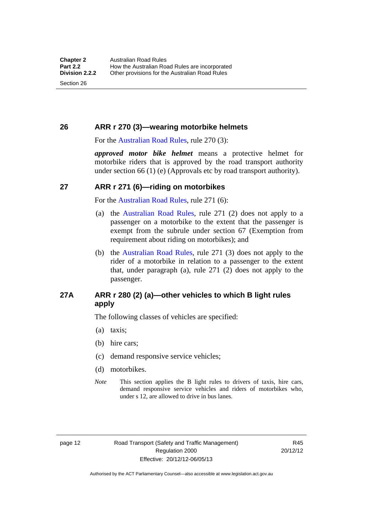Section 26

# <span id="page-30-0"></span>**26 ARR r 270 (3)—wearing motorbike helmets**

For the [Australian Road Rules,](http://www.legislation.act.gov.au//ni/db_37271/default.asp) rule 270 (3):

*approved motor bike helmet* means a protective helmet for motorbike riders that is approved by the road transport authority under section 66 (1) (e) (Approvals etc by road transport authority).

## <span id="page-30-1"></span>**27 ARR r 271 (6)—riding on motorbikes**

For the [Australian Road Rules,](http://www.legislation.act.gov.au//ni/db_37271/default.asp) rule 271 (6):

- (a) the [Australian Road Rules](http://www.legislation.act.gov.au//ni/db_37271/default.asp), rule 271 (2) does not apply to a passenger on a motorbike to the extent that the passenger is exempt from the subrule under section 67 (Exemption from requirement about riding on motorbikes); and
- (b) the [Australian Road Rules,](http://www.legislation.act.gov.au//ni/db_37271/default.asp) rule 271 (3) does not apply to the rider of a motorbike in relation to a passenger to the extent that, under paragraph (a), rule 271 (2) does not apply to the passenger.

# <span id="page-30-2"></span>**27A ARR r 280 (2) (a)—other vehicles to which B light rules apply**

The following classes of vehicles are specified:

- (a) taxis;
- (b) hire cars;
- (c) demand responsive service vehicles;
- (d) motorbikes.
- *Note* This section applies the B light rules to drivers of taxis, hire cars, demand responsive service vehicles and riders of motorbikes who, under s 12, are allowed to drive in bus lanes.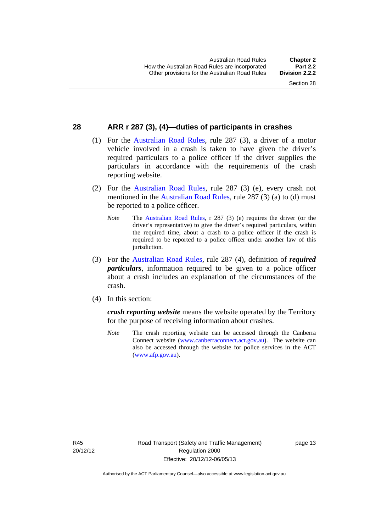### <span id="page-31-0"></span>**28 ARR r 287 (3), (4)—duties of participants in crashes**

- (1) For the [Australian Road Rules,](http://www.legislation.act.gov.au//ni/db_37271/default.asp) rule 287 (3), a driver of a motor vehicle involved in a crash is taken to have given the driver's required particulars to a police officer if the driver supplies the particulars in accordance with the requirements of the crash reporting website.
- (2) For the [Australian Road Rules,](http://www.legislation.act.gov.au//ni/db_37271/default.asp) rule 287 (3) (e), every crash not mentioned in the [Australian Road Rules,](http://www.legislation.act.gov.au//ni/db_37271/default.asp) rule 287 (3) (a) to (d) must be reported to a police officer.
	- *Note* The [Australian Road Rules,](http://www.legislation.act.gov.au//ni/db_37271/default.asp) r 287 (3) (e) requires the driver (or the driver's representative) to give the driver's required particulars, within the required time, about a crash to a police officer if the crash is required to be reported to a police officer under another law of this jurisdiction.
- (3) For the [Australian Road Rules](http://www.legislation.act.gov.au//ni/db_37271/default.asp), rule 287 (4), definition of *required particulars*, information required to be given to a police officer about a crash includes an explanation of the circumstances of the crash.
- (4) In this section:

*crash reporting website* means the website operated by the Territory for the purpose of receiving information about crashes.

*Note* The crash reporting website can be accessed through the Canberra Connect website [\(www.canberraconnect.act.gov.au\)](http://www.canberraconnect.act.gov.au/). The website can also be accessed through the website for police services in the ACT [\(www.afp.gov.au\)](http://www.afp.gov.au/).

R45 20/12/12 page 13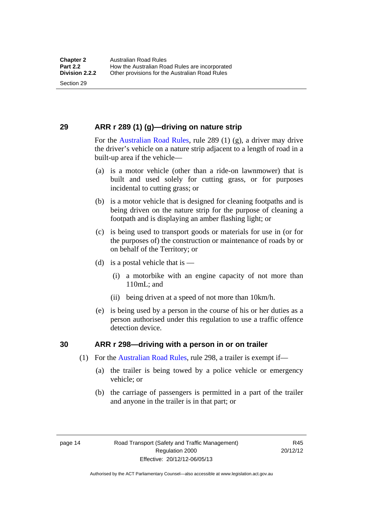Section 29

# <span id="page-32-0"></span>**29 ARR r 289 (1) (g)—driving on nature strip**

For the [Australian Road Rules](http://www.legislation.act.gov.au//ni/db_37271/default.asp), rule 289 (1) (g), a driver may drive the driver's vehicle on a nature strip adjacent to a length of road in a built-up area if the vehicle—

- (a) is a motor vehicle (other than a ride-on lawnmower) that is built and used solely for cutting grass, or for purposes incidental to cutting grass; or
- (b) is a motor vehicle that is designed for cleaning footpaths and is being driven on the nature strip for the purpose of cleaning a footpath and is displaying an amber flashing light; or
- (c) is being used to transport goods or materials for use in (or for the purposes of) the construction or maintenance of roads by or on behalf of the Territory; or
- (d) is a postal vehicle that is  $-$ 
	- (i) a motorbike with an engine capacity of not more than 110mL; and
	- (ii) being driven at a speed of not more than 10km/h.
- (e) is being used by a person in the course of his or her duties as a person authorised under this regulation to use a traffic offence detection device.

#### <span id="page-32-1"></span>**30 ARR r 298—driving with a person in or on trailer**

- (1) For the [Australian Road Rules,](http://www.legislation.act.gov.au//ni/db_37271/default.asp) rule 298, a trailer is exempt if—
	- (a) the trailer is being towed by a police vehicle or emergency vehicle; or
	- (b) the carriage of passengers is permitted in a part of the trailer and anyone in the trailer is in that part; or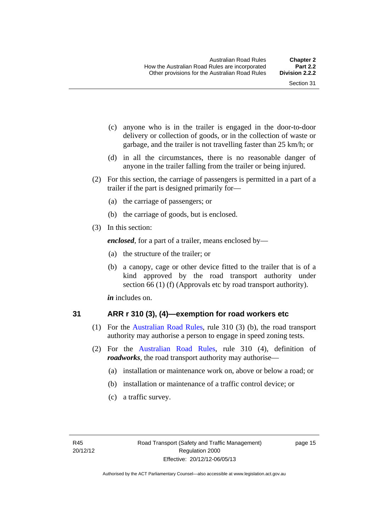- (c) anyone who is in the trailer is engaged in the door-to-door delivery or collection of goods, or in the collection of waste or garbage, and the trailer is not travelling faster than 25 km/h; or
- (d) in all the circumstances, there is no reasonable danger of anyone in the trailer falling from the trailer or being injured.
- (2) For this section, the carriage of passengers is permitted in a part of a trailer if the part is designed primarily for—
	- (a) the carriage of passengers; or
	- (b) the carriage of goods, but is enclosed.
- (3) In this section:

*enclosed*, for a part of a trailer, means enclosed by—

- (a) the structure of the trailer; or
- (b) a canopy, cage or other device fitted to the trailer that is of a kind approved by the road transport authority under section 66 (1) (f) (Approvals etc by road transport authority).

*in* includes on.

#### <span id="page-33-0"></span>**31 ARR r 310 (3), (4)—exemption for road workers etc**

- (1) For the [Australian Road Rules](http://www.legislation.act.gov.au//ni/db_37271/default.asp), rule 310 (3) (b), the road transport authority may authorise a person to engage in speed zoning tests.
- (2) For the [Australian Road Rules](http://www.legislation.act.gov.au//ni/db_37271/default.asp), rule 310 (4), definition of *roadworks*, the road transport authority may authorise—
	- (a) installation or maintenance work on, above or below a road; or
	- (b) installation or maintenance of a traffic control device; or
	- (c) a traffic survey.

page 15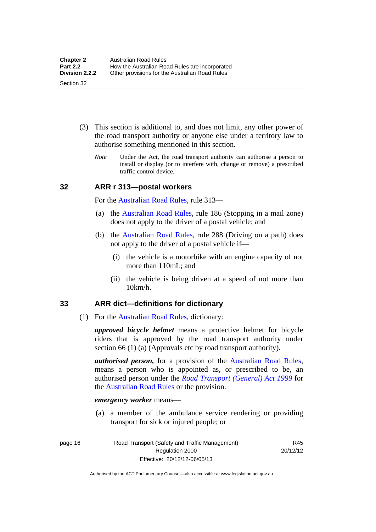- (3) This section is additional to, and does not limit, any other power of the road transport authority or anyone else under a territory law to authorise something mentioned in this section.
	- *Note* Under the Act, the road transport authority can authorise a person to install or display (or to interfere with, change or remove) a prescribed traffic control device.

#### <span id="page-34-0"></span>**32 ARR r 313—postal workers**

For the [Australian Road Rules,](http://www.legislation.act.gov.au//ni/db_37271/default.asp) rule 313—

- (a) the [Australian Road Rules,](http://www.legislation.act.gov.au//ni/db_37271/default.asp) rule 186 (Stopping in a mail zone) does not apply to the driver of a postal vehicle; and
- (b) the [Australian Road Rules](http://www.legislation.act.gov.au//ni/db_37271/default.asp), rule 288 (Driving on a path) does not apply to the driver of a postal vehicle if—
	- (i) the vehicle is a motorbike with an engine capacity of not more than 110mL; and
	- (ii) the vehicle is being driven at a speed of not more than 10km/h.

#### <span id="page-34-1"></span>**33 ARR dict—definitions for dictionary**

(1) For the [Australian Road Rules,](http://www.legislation.act.gov.au//ni/db_37271/default.asp) dictionary:

*approved bicycle helmet* means a protective helmet for bicycle riders that is approved by the road transport authority under section 66 (1) (a) (Approvals etc by road transport authority).

*authorised person,* for a provision of the [Australian Road Rules](http://www.legislation.act.gov.au//ni/db_37271/default.asp), means a person who is appointed as, or prescribed to be, an authorised person under the *[Road Transport \(General\) Act 1999](http://www.legislation.act.gov.au/a/1999-77)* for the [Australian Road Rules](http://www.legislation.act.gov.au//ni/db_37271/default.asp) or the provision.

#### *emergency worker* means—

 (a) a member of the ambulance service rendering or providing transport for sick or injured people; or

page 16 Road Transport (Safety and Traffic Management) Regulation 2000 Effective: 20/12/12-06/05/13

R45 20/12/12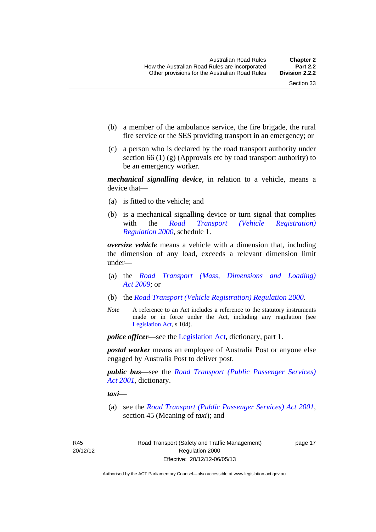- (b) a member of the ambulance service, the fire brigade, the rural fire service or the SES providing transport in an emergency; or
- (c) a person who is declared by the road transport authority under section 66 (1) (g) (Approvals etc by road transport authority) to be an emergency worker.

*mechanical signalling device*, in relation to a vehicle, means a device that—

- (a) is fitted to the vehicle; and
- (b) is a mechanical signalling device or turn signal that complies with the *[Road Transport \(Vehicle Registration\)](http://www.legislation.act.gov.au/sl/2000-12)  [Regulation 2000](http://www.legislation.act.gov.au/sl/2000-12)*, schedule 1.

*oversize vehicle* means a vehicle with a dimension that, including the dimension of any load, exceeds a relevant dimension limit under—

- (a) the *[Road Transport \(Mass, Dimensions and Loading\)](http://www.legislation.act.gov.au/a/2009-22)  [Act 2009](http://www.legislation.act.gov.au/a/2009-22)*; or
- (b) the *[Road Transport \(Vehicle Registration\) Regulation 2000](http://www.legislation.act.gov.au/sl/2000-12)*.
- *Note* A reference to an Act includes a reference to the statutory instruments made or in force under the Act, including any regulation (see [Legislation Act,](http://www.legislation.act.gov.au/a/2001-14) s 104).

*police officer*—see the [Legislation Act](http://www.legislation.act.gov.au/a/2001-14), dictionary, part 1.

*postal worker* means an employee of Australia Post or anyone else engaged by Australia Post to deliver post.

*public bus*—see the *[Road Transport \(Public Passenger Services\)](http://www.legislation.act.gov.au/a/2001-62)  [Act 2001](http://www.legislation.act.gov.au/a/2001-62)*, dictionary.

*taxi*—

 (a) see the *[Road Transport \(Public Passenger Services\) Act 2001](http://www.legislation.act.gov.au/a/2001-62)*, section 45 (Meaning of *taxi*); and

R45 20/12/12 page 17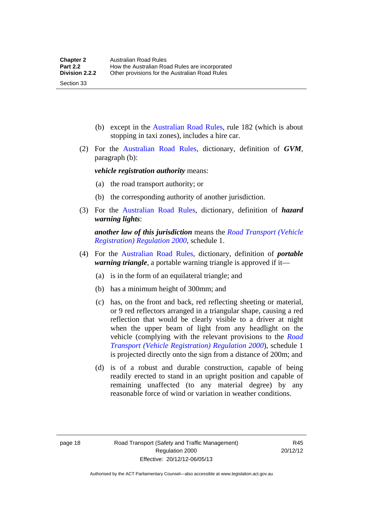(b) except in the [Australian Road Rules,](http://www.legislation.act.gov.au//ni/db_37271/default.asp) rule 182 (which is about stopping in taxi zones), includes a hire car.

 (2) For the [Australian Road Rules](http://www.legislation.act.gov.au//ni/db_37271/default.asp), dictionary, definition of *GVM*, paragraph (b):

*vehicle registration authority* means:

- (a) the road transport authority; or
- (b) the corresponding authority of another jurisdiction.
- (3) For the [Australian Road Rules](http://www.legislation.act.gov.au//ni/db_37271/default.asp), dictionary, definition of *hazard warning lights*:

*another law of this jurisdiction* means the *[Road Transport \(Vehicle](http://www.legislation.act.gov.au/sl/2000-12)  [Registration\) Regulation 2000](http://www.legislation.act.gov.au/sl/2000-12)*, schedule 1.

- (4) For the [Australian Road Rules](http://www.legislation.act.gov.au//ni/db_37271/default.asp), dictionary, definition of *portable warning triangle*, a portable warning triangle is approved if it—
	- (a) is in the form of an equilateral triangle; and
	- (b) has a minimum height of 300mm; and
	- (c) has, on the front and back, red reflecting sheeting or material, or 9 red reflectors arranged in a triangular shape, causing a red reflection that would be clearly visible to a driver at night when the upper beam of light from any headlight on the vehicle (complying with the relevant provisions to the *[Road](http://www.legislation.act.gov.au/sl/2000-12)  [Transport \(Vehicle Registration\) Regulation 2000](http://www.legislation.act.gov.au/sl/2000-12)*), schedule 1 is projected directly onto the sign from a distance of 200m; and
	- (d) is of a robust and durable construction, capable of being readily erected to stand in an upright position and capable of remaining unaffected (to any material degree) by any reasonable force of wind or variation in weather conditions.

Section 33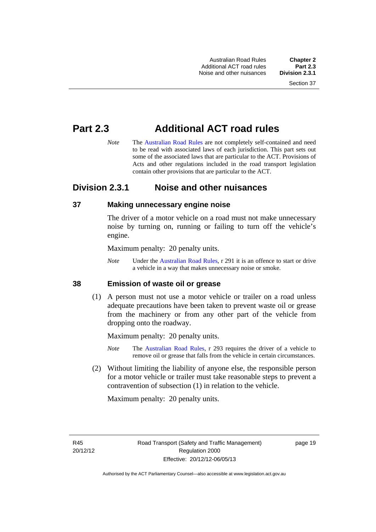Australian Road Rules **Chapter 2** Additional ACT road rules **Part 2.3** Noise and other nuisances

# **Part 2.3 Additional ACT road rules**

*Note* The [Australian Road Rules](http://www.legislation.act.gov.au//ni/db_37271/default.asp) are not completely self-contained and need to be read with associated laws of each jurisdiction. This part sets out some of the associated laws that are particular to the ACT. Provisions of Acts and other regulations included in the road transport legislation contain other provisions that are particular to the ACT.

# **Division 2.3.1 Noise and other nuisances**

# **37 Making unnecessary engine noise**

The driver of a motor vehicle on a road must not make unnecessary noise by turning on, running or failing to turn off the vehicle's engine.

Maximum penalty: 20 penalty units.

*Note* Under the [Australian Road Rules,](http://www.legislation.act.gov.au//ni/db_37271/default.asp) r 291 it is an offence to start or drive a vehicle in a way that makes unnecessary noise or smoke.

### **38 Emission of waste oil or grease**

 (1) A person must not use a motor vehicle or trailer on a road unless adequate precautions have been taken to prevent waste oil or grease from the machinery or from any other part of the vehicle from dropping onto the roadway.

Maximum penalty: 20 penalty units.

- *Note* The [Australian Road Rules,](http://www.legislation.act.gov.au//ni/db_37271/default.asp) r 293 requires the driver of a vehicle to remove oil or grease that falls from the vehicle in certain circumstances.
- (2) Without limiting the liability of anyone else, the responsible person for a motor vehicle or trailer must take reasonable steps to prevent a contravention of subsection (1) in relation to the vehicle.

Maximum penalty: 20 penalty units.

R45 20/12/12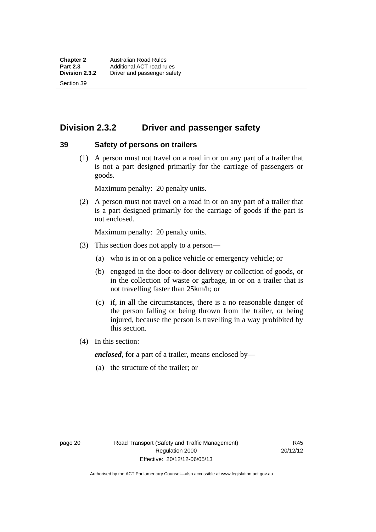Section 39

# **Division 2.3.2 Driver and passenger safety**

### **39 Safety of persons on trailers**

 (1) A person must not travel on a road in or on any part of a trailer that is not a part designed primarily for the carriage of passengers or goods.

Maximum penalty: 20 penalty units.

 (2) A person must not travel on a road in or on any part of a trailer that is a part designed primarily for the carriage of goods if the part is not enclosed.

Maximum penalty: 20 penalty units.

- (3) This section does not apply to a person—
	- (a) who is in or on a police vehicle or emergency vehicle; or
	- (b) engaged in the door-to-door delivery or collection of goods, or in the collection of waste or garbage, in or on a trailer that is not travelling faster than 25km/h; or
	- (c) if, in all the circumstances, there is a no reasonable danger of the person falling or being thrown from the trailer, or being injured, because the person is travelling in a way prohibited by this section.
- (4) In this section:

*enclosed*, for a part of a trailer, means enclosed by—

(a) the structure of the trailer; or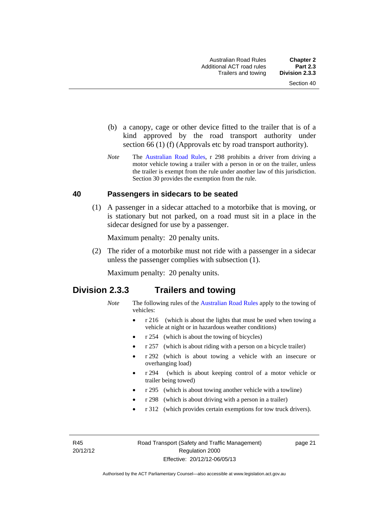- (b) a canopy, cage or other device fitted to the trailer that is of a kind approved by the road transport authority under section 66 (1) (f) (Approvals etc by road transport authority).
- *Note* The [Australian Road Rules](http://www.legislation.act.gov.au//ni/db_37271/default.asp), r 298 prohibits a driver from driving a motor vehicle towing a trailer with a person in or on the trailer, unless the trailer is exempt from the rule under another law of this jurisdiction. Section 30 provides the exemption from the rule.

### **40 Passengers in sidecars to be seated**

 (1) A passenger in a sidecar attached to a motorbike that is moving, or is stationary but not parked, on a road must sit in a place in the sidecar designed for use by a passenger.

Maximum penalty: 20 penalty units.

 (2) The rider of a motorbike must not ride with a passenger in a sidecar unless the passenger complies with subsection (1).

Maximum penalty: 20 penalty units.

# **Division 2.3.3 Trailers and towing**

- *Note* The following rules of the [Australian Road Rules](http://www.legislation.act.gov.au//ni/db_37271/default.asp) apply to the towing of vehicles:
	- r 216 (which is about the lights that must be used when towing a vehicle at night or in hazardous weather conditions)
	- r 254 (which is about the towing of bicycles)
	- r 257 (which is about riding with a person on a bicycle trailer)
	- r 292 (which is about towing a vehicle with an insecure or overhanging load)
	- r 294 (which is about keeping control of a motor vehicle or trailer being towed)
	- r 295 (which is about towing another vehicle with a towline)
	- r 298 (which is about driving with a person in a trailer)
	- r 312 (which provides certain exemptions for tow truck drivers).

R45 20/12/12 page 21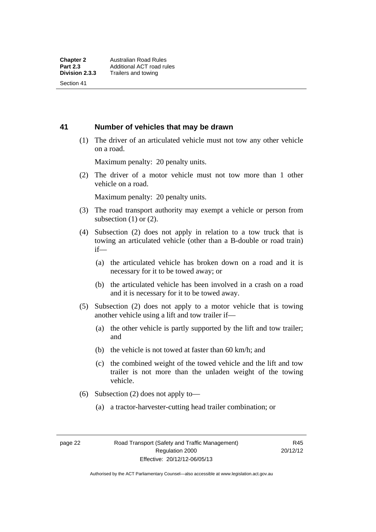Section 41

### **41 Number of vehicles that may be drawn**

 (1) The driver of an articulated vehicle must not tow any other vehicle on a road.

Maximum penalty: 20 penalty units.

 (2) The driver of a motor vehicle must not tow more than 1 other vehicle on a road.

Maximum penalty: 20 penalty units.

- (3) The road transport authority may exempt a vehicle or person from subsection  $(1)$  or  $(2)$ .
- (4) Subsection (2) does not apply in relation to a tow truck that is towing an articulated vehicle (other than a B-double or road train) if—
	- (a) the articulated vehicle has broken down on a road and it is necessary for it to be towed away; or
	- (b) the articulated vehicle has been involved in a crash on a road and it is necessary for it to be towed away.
- (5) Subsection (2) does not apply to a motor vehicle that is towing another vehicle using a lift and tow trailer if—
	- (a) the other vehicle is partly supported by the lift and tow trailer; and
	- (b) the vehicle is not towed at faster than 60 km/h; and
	- (c) the combined weight of the towed vehicle and the lift and tow trailer is not more than the unladen weight of the towing vehicle.
- (6) Subsection (2) does not apply to—
	- (a) a tractor-harvester-cutting head trailer combination; or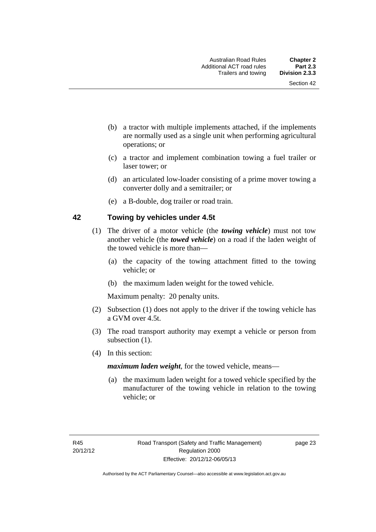- (b) a tractor with multiple implements attached, if the implements are normally used as a single unit when performing agricultural operations; or
- (c) a tractor and implement combination towing a fuel trailer or laser tower; or
- (d) an articulated low-loader consisting of a prime mover towing a converter dolly and a semitrailer; or
- (e) a B-double, dog trailer or road train.

### **42 Towing by vehicles under 4.5t**

- (1) The driver of a motor vehicle (the *towing vehicle*) must not tow another vehicle (the *towed vehicle*) on a road if the laden weight of the towed vehicle is more than—
	- (a) the capacity of the towing attachment fitted to the towing vehicle; or
	- (b) the maximum laden weight for the towed vehicle.

Maximum penalty: 20 penalty units.

- (2) Subsection (1) does not apply to the driver if the towing vehicle has a GVM over 4.5t.
- (3) The road transport authority may exempt a vehicle or person from subsection  $(1)$ .
- (4) In this section:

*maximum laden weight*, for the towed vehicle, means—

 (a) the maximum laden weight for a towed vehicle specified by the manufacturer of the towing vehicle in relation to the towing vehicle; or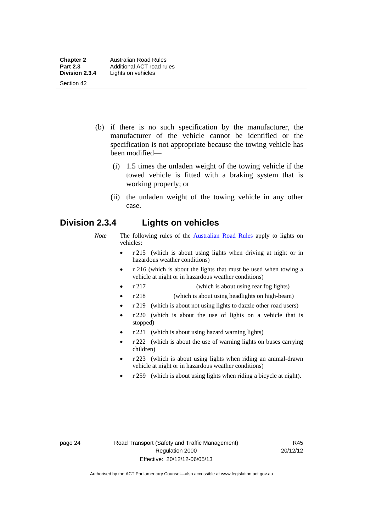- (b) if there is no such specification by the manufacturer, the manufacturer of the vehicle cannot be identified or the specification is not appropriate because the towing vehicle has been modified—
	- (i) 1.5 times the unladen weight of the towing vehicle if the towed vehicle is fitted with a braking system that is working properly; or
	- (ii) the unladen weight of the towing vehicle in any other case.

# **Division 2.3.4 Lights on vehicles**

- *Note* The following rules of the [Australian Road Rules](http://www.legislation.act.gov.au//ni/db_37271/default.asp) apply to lights on vehicles:
	- r 215 (which is about using lights when driving at night or in hazardous weather conditions)
	- r 216 (which is about the lights that must be used when towing a vehicle at night or in hazardous weather conditions)
	- r 217 (which is about using rear fog lights)
	- r 218 (which is about using headlights on high-beam)
	- r 219 (which is about not using lights to dazzle other road users)
	- r 220 (which is about the use of lights on a vehicle that is stopped)
	- r 221 (which is about using hazard warning lights)
	- r 222 (which is about the use of warning lights on buses carrying children)
	- r 223 (which is about using lights when riding an animal-drawn vehicle at night or in hazardous weather conditions)
	- r 259 (which is about using lights when riding a bicycle at night).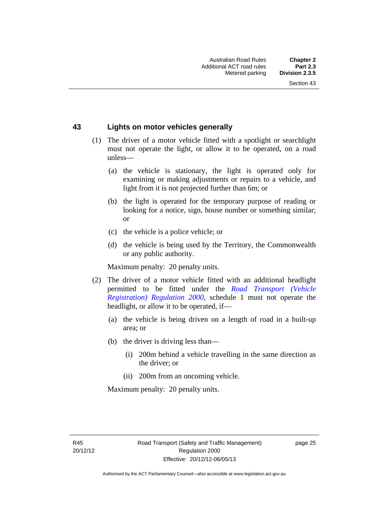### **43 Lights on motor vehicles generally**

- (1) The driver of a motor vehicle fitted with a spotlight or searchlight must not operate the light, or allow it to be operated, on a road unless—
	- (a) the vehicle is stationary, the light is operated only for examining or making adjustments or repairs to a vehicle, and light from it is not projected further than 6m; or
	- (b) the light is operated for the temporary purpose of reading or looking for a notice, sign, house number or something similar; or
	- (c) the vehicle is a police vehicle; or
	- (d) the vehicle is being used by the Territory, the Commonwealth or any public authority.

Maximum penalty: 20 penalty units.

- (2) The driver of a motor vehicle fitted with an additional headlight permitted to be fitted under the *[Road Transport \(Vehicle](http://www.legislation.act.gov.au/sl/2000-12)  [Registration\) Regulation 2000](http://www.legislation.act.gov.au/sl/2000-12)*, schedule 1 must not operate the headlight, or allow it to be operated, if—
	- (a) the vehicle is being driven on a length of road in a built-up area; or
	- (b) the driver is driving less than—
		- (i) 200m behind a vehicle travelling in the same direction as the driver; or
		- (ii) 200m from an oncoming vehicle.

Maximum penalty: 20 penalty units.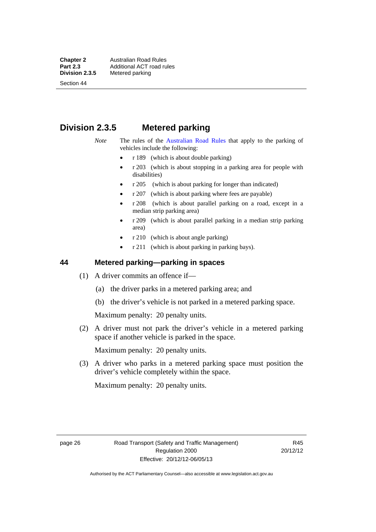**Chapter 2 Australian Road Rules**<br>**Part 2.3 Additional ACT road rules Part 2.3 Additional ACT road rules**<br>**Division 2.3.5** Metered parking

Section 44

# **Metered parking**

# **Division 2.3.5 Metered parking**

- *Note* The rules of the [Australian Road Rules](http://www.legislation.act.gov.au//ni/db_37271/default.asp) that apply to the parking of vehicles include the following:
	- r 189 (which is about double parking)
	- $r$  203 (which is about stopping in a parking area for people with disabilities)
	- r 205 (which is about parking for longer than indicated)
	- r 207 (which is about parking where fees are payable)
	- r 208 (which is about parallel parking on a road, except in a median strip parking area)
	- r 209 (which is about parallel parking in a median strip parking area)
	- r 210 (which is about angle parking)
	- r 211 (which is about parking in parking bays).

# **44 Metered parking—parking in spaces**

- (1) A driver commits an offence if—
	- (a) the driver parks in a metered parking area; and
	- (b) the driver's vehicle is not parked in a metered parking space.

Maximum penalty: 20 penalty units.

 (2) A driver must not park the driver's vehicle in a metered parking space if another vehicle is parked in the space.

Maximum penalty: 20 penalty units.

 (3) A driver who parks in a metered parking space must position the driver's vehicle completely within the space.

Maximum penalty: 20 penalty units.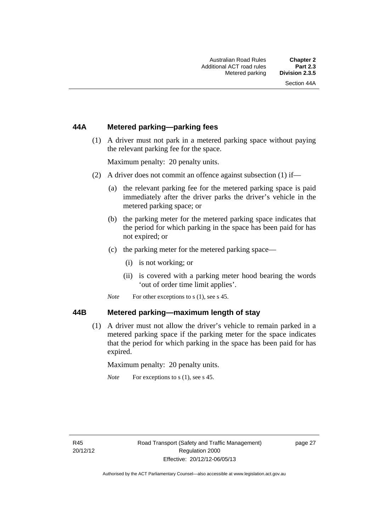# **44A Metered parking—parking fees**

 (1) A driver must not park in a metered parking space without paying the relevant parking fee for the space.

Maximum penalty: 20 penalty units.

- (2) A driver does not commit an offence against subsection (1) if—
	- (a) the relevant parking fee for the metered parking space is paid immediately after the driver parks the driver's vehicle in the metered parking space; or
	- (b) the parking meter for the metered parking space indicates that the period for which parking in the space has been paid for has not expired; or
	- (c) the parking meter for the metered parking space—
		- (i) is not working; or
		- (ii) is covered with a parking meter hood bearing the words 'out of order time limit applies'.
	- *Note* For other exceptions to s (1), see s 45.

#### **44B Metered parking—maximum length of stay**

 (1) A driver must not allow the driver's vehicle to remain parked in a metered parking space if the parking meter for the space indicates that the period for which parking in the space has been paid for has expired.

Maximum penalty: 20 penalty units.

*Note* For exceptions to s (1), see s 45.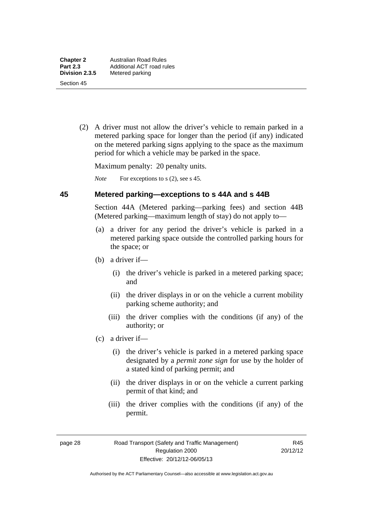(2) A driver must not allow the driver's vehicle to remain parked in a metered parking space for longer than the period (if any) indicated on the metered parking signs applying to the space as the maximum period for which a vehicle may be parked in the space.

Maximum penalty: 20 penalty units.

*Note* For exceptions to s (2), see s 45.

#### **45 Metered parking—exceptions to s 44A and s 44B**

Section 44A (Metered parking—parking fees) and section 44B (Metered parking—maximum length of stay) do not apply to—

- (a) a driver for any period the driver's vehicle is parked in a metered parking space outside the controlled parking hours for the space; or
- (b) a driver if—
	- (i) the driver's vehicle is parked in a metered parking space; and
	- (ii) the driver displays in or on the vehicle a current mobility parking scheme authority; and
	- (iii) the driver complies with the conditions (if any) of the authority; or
- (c) a driver if—
	- (i) the driver's vehicle is parked in a metered parking space designated by a *permit zone sign* for use by the holder of a stated kind of parking permit; and
	- (ii) the driver displays in or on the vehicle a current parking permit of that kind; and
	- (iii) the driver complies with the conditions (if any) of the permit.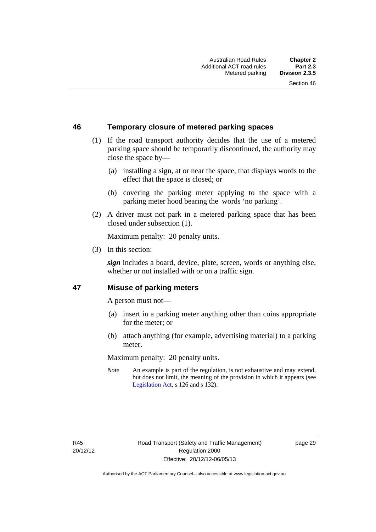# **46 Temporary closure of metered parking spaces**

- (1) If the road transport authority decides that the use of a metered parking space should be temporarily discontinued, the authority may close the space by—
	- (a) installing a sign, at or near the space, that displays words to the effect that the space is closed; or
	- (b) covering the parking meter applying to the space with a parking meter hood bearing the words 'no parking'.
- (2) A driver must not park in a metered parking space that has been closed under subsection (1).

Maximum penalty: 20 penalty units.

(3) In this section:

*sign* includes a board, device, plate, screen, words or anything else, whether or not installed with or on a traffic sign.

### **47 Misuse of parking meters**

A person must not—

- (a) insert in a parking meter anything other than coins appropriate for the meter; or
- (b) attach anything (for example, advertising material) to a parking meter.

Maximum penalty: 20 penalty units.

*Note* An example is part of the regulation, is not exhaustive and may extend, but does not limit, the meaning of the provision in which it appears (see [Legislation Act,](http://www.legislation.act.gov.au/a/2001-14) s 126 and s 132).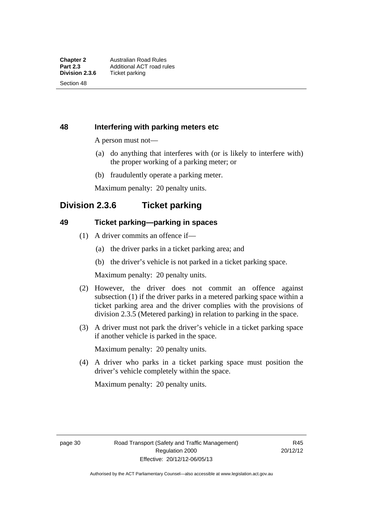Section 48

# **48 Interfering with parking meters etc**

A person must not—

- (a) do anything that interferes with (or is likely to interfere with) the proper working of a parking meter; or
- (b) fraudulently operate a parking meter.

Maximum penalty: 20 penalty units.

# **Division 2.3.6 Ticket parking**

# **49 Ticket parking—parking in spaces**

- (1) A driver commits an offence if—
	- (a) the driver parks in a ticket parking area; and
	- (b) the driver's vehicle is not parked in a ticket parking space.

Maximum penalty: 20 penalty units.

- (2) However, the driver does not commit an offence against subsection (1) if the driver parks in a metered parking space within a ticket parking area and the driver complies with the provisions of division 2.3.5 (Metered parking) in relation to parking in the space.
- (3) A driver must not park the driver's vehicle in a ticket parking space if another vehicle is parked in the space.

Maximum penalty: 20 penalty units.

 (4) A driver who parks in a ticket parking space must position the driver's vehicle completely within the space.

Maximum penalty: 20 penalty units.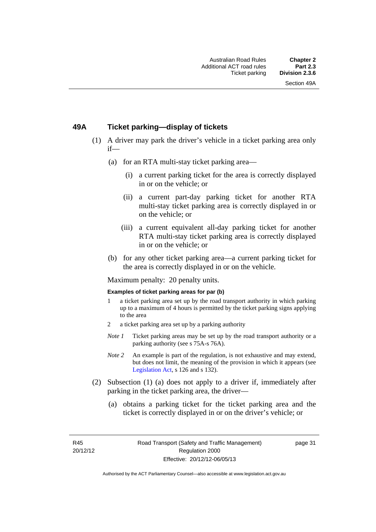### **49A Ticket parking—display of tickets**

- (1) A driver may park the driver's vehicle in a ticket parking area only if—
	- (a) for an RTA multi-stay ticket parking area—
		- (i) a current parking ticket for the area is correctly displayed in or on the vehicle; or
		- (ii) a current part-day parking ticket for another RTA multi-stay ticket parking area is correctly displayed in or on the vehicle; or
		- (iii) a current equivalent all-day parking ticket for another RTA multi-stay ticket parking area is correctly displayed in or on the vehicle; or
	- (b) for any other ticket parking area—a current parking ticket for the area is correctly displayed in or on the vehicle.

Maximum penalty: 20 penalty units.

#### **Examples of ticket parking areas for par (b)**

- 1 a ticket parking area set up by the road transport authority in which parking up to a maximum of 4 hours is permitted by the ticket parking signs applying to the area
- 2 a ticket parking area set up by a parking authority
- *Note 1* Ticket parking areas may be set up by the road transport authority or a parking authority (see s 75A-s 76A).
- *Note 2* An example is part of the regulation, is not exhaustive and may extend, but does not limit, the meaning of the provision in which it appears (see [Legislation Act,](http://www.legislation.act.gov.au/a/2001-14) s 126 and s 132).
- (2) Subsection (1) (a) does not apply to a driver if, immediately after parking in the ticket parking area, the driver—
	- (a) obtains a parking ticket for the ticket parking area and the ticket is correctly displayed in or on the driver's vehicle; or

R45 20/12/12 page 31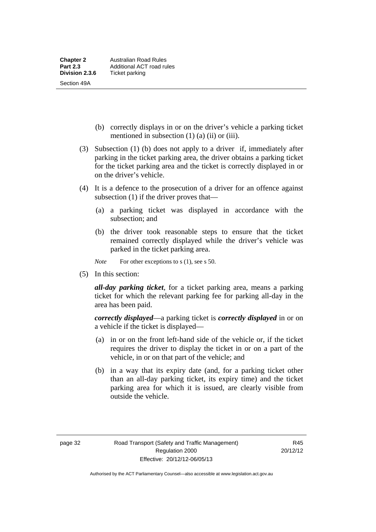- (b) correctly displays in or on the driver's vehicle a parking ticket mentioned in subsection  $(1)$   $(a)$   $(ii)$  or  $(iii)$ .
- (3) Subsection (1) (b) does not apply to a driver if, immediately after parking in the ticket parking area, the driver obtains a parking ticket for the ticket parking area and the ticket is correctly displayed in or on the driver's vehicle.
- (4) It is a defence to the prosecution of a driver for an offence against subsection (1) if the driver proves that—
	- (a) a parking ticket was displayed in accordance with the subsection; and
	- (b) the driver took reasonable steps to ensure that the ticket remained correctly displayed while the driver's vehicle was parked in the ticket parking area.

*Note* For other exceptions to s (1), see s 50.

(5) In this section:

*all-day parking ticket*, for a ticket parking area, means a parking ticket for which the relevant parking fee for parking all-day in the area has been paid.

*correctly displayed*—a parking ticket is *correctly displayed* in or on a vehicle if the ticket is displayed—

- (a) in or on the front left-hand side of the vehicle or, if the ticket requires the driver to display the ticket in or on a part of the vehicle, in or on that part of the vehicle; and
- (b) in a way that its expiry date (and, for a parking ticket other than an all-day parking ticket, its expiry time) and the ticket parking area for which it is issued, are clearly visible from outside the vehicle.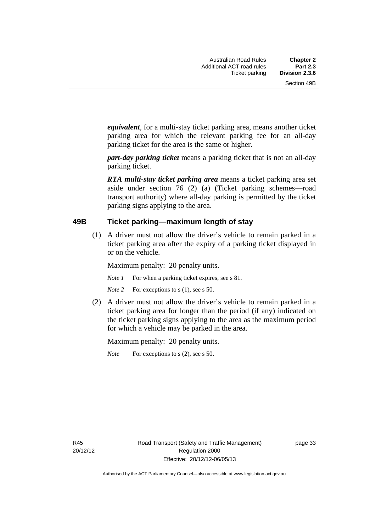*equivalent*, for a multi-stay ticket parking area, means another ticket parking area for which the relevant parking fee for an all-day parking ticket for the area is the same or higher.

*part-day parking ticket* means a parking ticket that is not an all-day parking ticket.

*RTA multi-stay ticket parking area* means a ticket parking area set aside under section 76 (2) (a) (Ticket parking schemes—road transport authority) where all-day parking is permitted by the ticket parking signs applying to the area.

### **49B Ticket parking—maximum length of stay**

(1) A driver must not allow the driver's vehicle to remain parked in a ticket parking area after the expiry of a parking ticket displayed in or on the vehicle.

Maximum penalty: 20 penalty units.

*Note 1* For when a parking ticket expires, see s 81.

*Note* 2 For exceptions to s (1), see s 50.

 (2) A driver must not allow the driver's vehicle to remain parked in a ticket parking area for longer than the period (if any) indicated on the ticket parking signs applying to the area as the maximum period for which a vehicle may be parked in the area.

Maximum penalty: 20 penalty units.

*Note* For exceptions to s (2), see s 50.

R45 20/12/12 page 33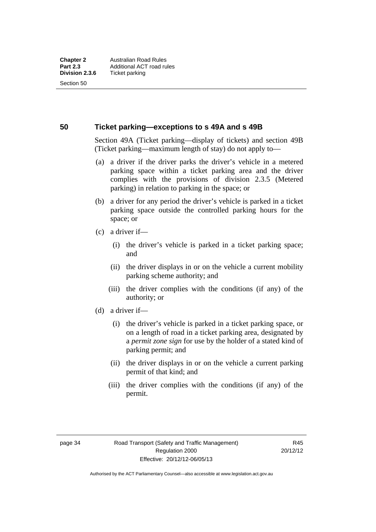Section 50

### **50 Ticket parking—exceptions to s 49A and s 49B**

Section 49A (Ticket parking—display of tickets) and section 49B (Ticket parking—maximum length of stay) do not apply to—

- (a) a driver if the driver parks the driver's vehicle in a metered parking space within a ticket parking area and the driver complies with the provisions of division 2.3.5 (Metered parking) in relation to parking in the space; or
- (b) a driver for any period the driver's vehicle is parked in a ticket parking space outside the controlled parking hours for the space; or
- (c) a driver if—
	- (i) the driver's vehicle is parked in a ticket parking space; and
	- (ii) the driver displays in or on the vehicle a current mobility parking scheme authority; and
	- (iii) the driver complies with the conditions (if any) of the authority; or
- (d) a driver if—
	- (i) the driver's vehicle is parked in a ticket parking space, or on a length of road in a ticket parking area, designated by a *permit zone sign* for use by the holder of a stated kind of parking permit; and
	- (ii) the driver displays in or on the vehicle a current parking permit of that kind; and
	- (iii) the driver complies with the conditions (if any) of the permit.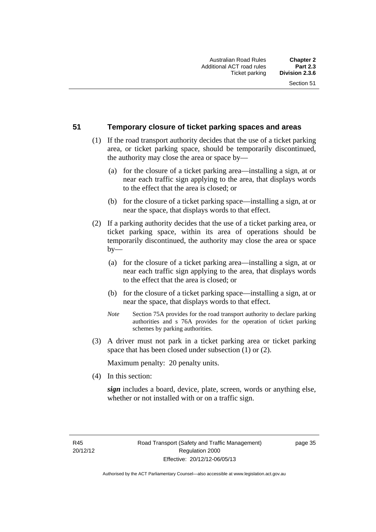### **51 Temporary closure of ticket parking spaces and areas**

- (1) If the road transport authority decides that the use of a ticket parking area, or ticket parking space, should be temporarily discontinued, the authority may close the area or space by—
	- (a) for the closure of a ticket parking area—installing a sign, at or near each traffic sign applying to the area, that displays words to the effect that the area is closed; or
	- (b) for the closure of a ticket parking space—installing a sign, at or near the space, that displays words to that effect.
- (2) If a parking authority decides that the use of a ticket parking area, or ticket parking space, within its area of operations should be temporarily discontinued, the authority may close the area or space  $by-$ 
	- (a) for the closure of a ticket parking area—installing a sign, at or near each traffic sign applying to the area, that displays words to the effect that the area is closed; or
	- (b) for the closure of a ticket parking space—installing a sign, at or near the space, that displays words to that effect.
	- *Note* Section 75A provides for the road transport authority to declare parking authorities and s 76A provides for the operation of ticket parking schemes by parking authorities.
- (3) A driver must not park in a ticket parking area or ticket parking space that has been closed under subsection (1) or (2).

Maximum penalty: 20 penalty units.

(4) In this section:

*sign* includes a board, device, plate, screen, words or anything else, whether or not installed with or on a traffic sign.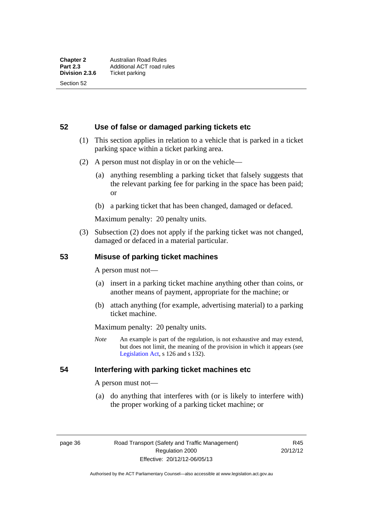**52 Use of false or damaged parking tickets etc** 

- (1) This section applies in relation to a vehicle that is parked in a ticket parking space within a ticket parking area.
- (2) A person must not display in or on the vehicle—
	- (a) anything resembling a parking ticket that falsely suggests that the relevant parking fee for parking in the space has been paid; or
	- (b) a parking ticket that has been changed, damaged or defaced.

Maximum penalty: 20 penalty units.

 (3) Subsection (2) does not apply if the parking ticket was not changed, damaged or defaced in a material particular.

# **53 Misuse of parking ticket machines**

A person must not—

- (a) insert in a parking ticket machine anything other than coins, or another means of payment, appropriate for the machine; or
- (b) attach anything (for example, advertising material) to a parking ticket machine.

Maximum penalty: 20 penalty units.

*Note* An example is part of the regulation, is not exhaustive and may extend, but does not limit, the meaning of the provision in which it appears (see [Legislation Act,](http://www.legislation.act.gov.au/a/2001-14) s 126 and s 132).

# **54 Interfering with parking ticket machines etc**

A person must not—

 (a) do anything that interferes with (or is likely to interfere with) the proper working of a parking ticket machine; or

page 36 Road Transport (Safety and Traffic Management) Regulation 2000 Effective: 20/12/12-06/05/13

R45 20/12/12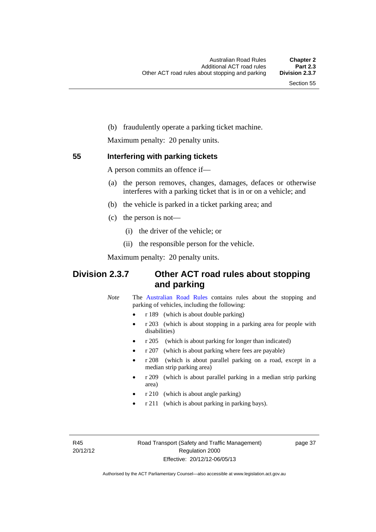(b) fraudulently operate a parking ticket machine.

Maximum penalty: 20 penalty units.

### **55 Interfering with parking tickets**

A person commits an offence if—

- (a) the person removes, changes, damages, defaces or otherwise interferes with a parking ticket that is in or on a vehicle; and
- (b) the vehicle is parked in a ticket parking area; and
- (c) the person is not—
	- (i) the driver of the vehicle; or
	- (ii) the responsible person for the vehicle.

Maximum penalty: 20 penalty units.

# **Division 2.3.7 Other ACT road rules about stopping and parking**

*Note* The [Australian Road Rules](http://www.legislation.act.gov.au//ni/db_37271/default.asp) contains rules about the stopping and parking of vehicles, including the following:

- r 189 (which is about double parking)
- r 203 (which is about stopping in a parking area for people with disabilities)
- r 205 (which is about parking for longer than indicated)
- r 207 (which is about parking where fees are payable)
- r 208 (which is about parallel parking on a road, except in a median strip parking area)
- r 209 (which is about parallel parking in a median strip parking area)
- r 210 (which is about angle parking)
- r 211 (which is about parking in parking bays).

R45 20/12/12 page 37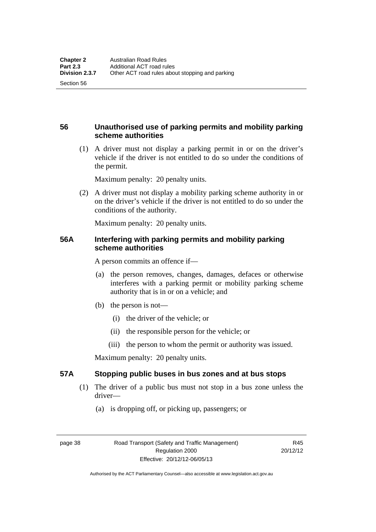# **56 Unauthorised use of parking permits and mobility parking scheme authorities**

 (1) A driver must not display a parking permit in or on the driver's vehicle if the driver is not entitled to do so under the conditions of the permit.

Maximum penalty: 20 penalty units.

 (2) A driver must not display a mobility parking scheme authority in or on the driver's vehicle if the driver is not entitled to do so under the conditions of the authority.

Maximum penalty: 20 penalty units.

# **56A Interfering with parking permits and mobility parking scheme authorities**

A person commits an offence if—

- (a) the person removes, changes, damages, defaces or otherwise interferes with a parking permit or mobility parking scheme authority that is in or on a vehicle; and
- (b) the person is not—
	- (i) the driver of the vehicle; or
	- (ii) the responsible person for the vehicle; or
	- (iii) the person to whom the permit or authority was issued.

Maximum penalty: 20 penalty units.

# **57A Stopping public buses in bus zones and at bus stops**

- (1) The driver of a public bus must not stop in a bus zone unless the driver—
	- (a) is dropping off, or picking up, passengers; or

Section 56

page 38 Road Transport (Safety and Traffic Management) Regulation 2000 Effective: 20/12/12-06/05/13

R45 20/12/12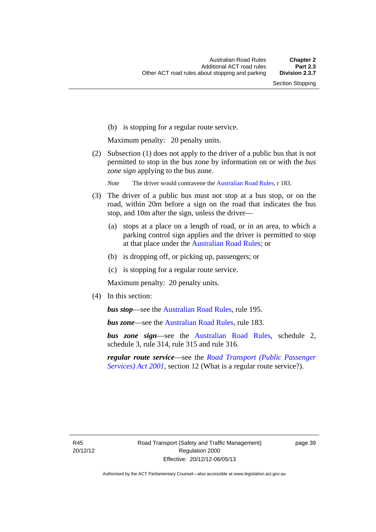(b) is stopping for a regular route service.

Maximum penalty: 20 penalty units.

 (2) Subsection (1) does not apply to the driver of a public bus that is not permitted to stop in the bus zone by information on or with the *bus zone sign* applying to the bus zone.

*Note* The driver would contravene the [Australian Road Rules,](http://www.legislation.act.gov.au//ni/db_37271/default.asp) r 183.

- (3) The driver of a public bus must not stop at a bus stop, or on the road, within 20m before a sign on the road that indicates the bus stop, and 10m after the sign, unless the driver—
	- (a) stops at a place on a length of road, or in an area, to which a parking control sign applies and the driver is permitted to stop at that place under the [Australian Road Rules;](http://www.legislation.act.gov.au//ni/db_37271/default.asp) or
	- (b) is dropping off, or picking up, passengers; or
	- (c) is stopping for a regular route service.

Maximum penalty: 20 penalty units.

(4) In this section:

*bus stop***—see the [Australian Road Rules](http://www.legislation.act.gov.au//ni/db_37271/default.asp)**, rule 195.

*bus zone*—see the [Australian Road Rules,](http://www.legislation.act.gov.au//ni/db_37271/default.asp) rule 183.

*bus zone sign*—see the [Australian Road Rules,](http://www.legislation.act.gov.au//ni/db_37271/default.asp) schedule 2, schedule 3, rule 314, rule 315 and rule 316.

*regular route service*—see the *[Road Transport \(Public Passenger](http://www.legislation.act.gov.au/a/2001-62)  [Services\) Act 2001](http://www.legislation.act.gov.au/a/2001-62)*, section 12 (What is a regular route service?).

R45 20/12/12 page 39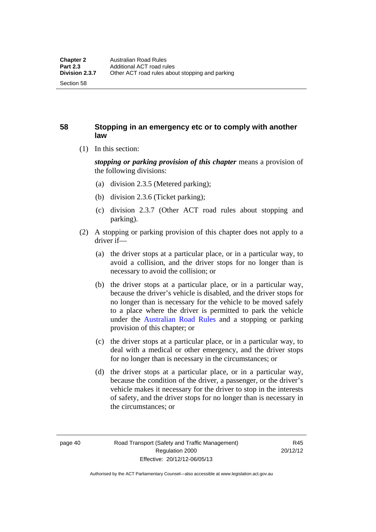Section 58

# **58 Stopping in an emergency etc or to comply with another law**

(1) In this section:

*stopping or parking provision of this chapter* means a provision of the following divisions:

- (a) division 2.3.5 (Metered parking);
- (b) division 2.3.6 (Ticket parking);
- (c) division 2.3.7 (Other ACT road rules about stopping and parking).
- (2) A stopping or parking provision of this chapter does not apply to a driver if—
	- (a) the driver stops at a particular place, or in a particular way, to avoid a collision, and the driver stops for no longer than is necessary to avoid the collision; or
	- (b) the driver stops at a particular place, or in a particular way, because the driver's vehicle is disabled, and the driver stops for no longer than is necessary for the vehicle to be moved safely to a place where the driver is permitted to park the vehicle under the [Australian Road Rules](http://www.legislation.act.gov.au//ni/db_37271/default.asp) and a stopping or parking provision of this chapter; or
	- (c) the driver stops at a particular place, or in a particular way, to deal with a medical or other emergency, and the driver stops for no longer than is necessary in the circumstances; or
	- (d) the driver stops at a particular place, or in a particular way, because the condition of the driver, a passenger, or the driver's vehicle makes it necessary for the driver to stop in the interests of safety, and the driver stops for no longer than is necessary in the circumstances; or

page 40 Road Transport (Safety and Traffic Management) Regulation 2000 Effective: 20/12/12-06/05/13

R45 20/12/12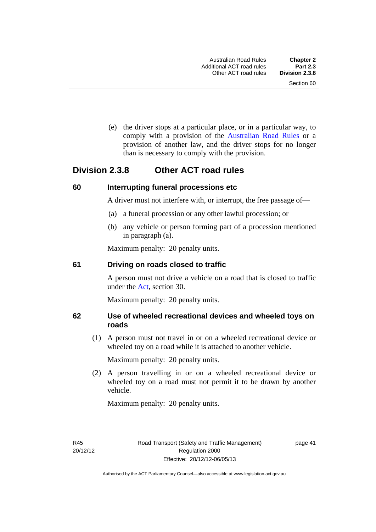(e) the driver stops at a particular place, or in a particular way, to comply with a provision of the [Australian Road Rules](http://www.legislation.act.gov.au//ni/db_37271/default.asp) or a provision of another law, and the driver stops for no longer than is necessary to comply with the provision.

# **Division 2.3.8 Other ACT road rules**

### **60 Interrupting funeral processions etc**

A driver must not interfere with, or interrupt, the free passage of—

- (a) a funeral procession or any other lawful procession; or
- (b) any vehicle or person forming part of a procession mentioned in paragraph (a).

Maximum penalty: 20 penalty units.

#### **61 Driving on roads closed to traffic**

A person must not drive a vehicle on a road that is closed to traffic under the [Act](http://www.legislation.act.gov.au/a/1999-80/default.asp), section 30.

Maximum penalty: 20 penalty units.

# **62 Use of wheeled recreational devices and wheeled toys on roads**

 (1) A person must not travel in or on a wheeled recreational device or wheeled toy on a road while it is attached to another vehicle.

Maximum penalty: 20 penalty units.

 (2) A person travelling in or on a wheeled recreational device or wheeled toy on a road must not permit it to be drawn by another vehicle.

Maximum penalty: 20 penalty units.

R45 20/12/12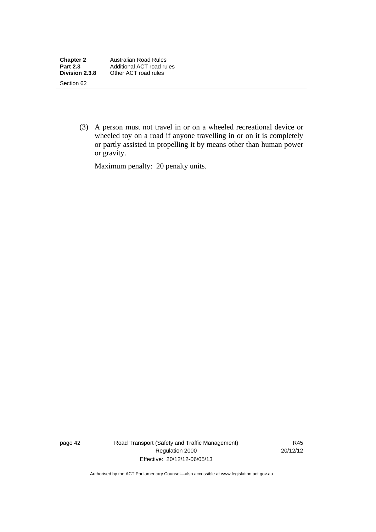(3) A person must not travel in or on a wheeled recreational device or wheeled toy on a road if anyone travelling in or on it is completely or partly assisted in propelling it by means other than human power or gravity.

Maximum penalty: 20 penalty units.

page 42 Road Transport (Safety and Traffic Management) Regulation 2000 Effective: 20/12/12-06/05/13

R45 20/12/12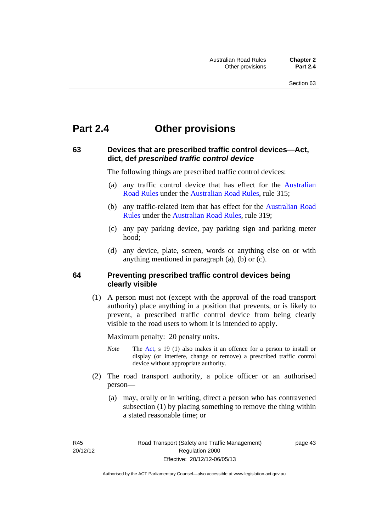# **Part 2.4 Other provisions**

# **63 Devices that are prescribed traffic control devices—Act, dict, def** *prescribed traffic control device*

The following things are prescribed traffic control devices:

- (a) any traffic control device that has effect for the [Australian](http://www.legislation.act.gov.au//ni/db_37271/default.asp)  [Road Rules](http://www.legislation.act.gov.au//ni/db_37271/default.asp) under the [Australian Road Rules](http://www.legislation.act.gov.au//ni/db_37271/default.asp), rule 315;
- (b) any traffic-related item that has effect for the [Australian Road](http://www.legislation.act.gov.au//ni/db_37271/default.asp)  [Rules](http://www.legislation.act.gov.au//ni/db_37271/default.asp) under the [Australian Road Rules](http://www.legislation.act.gov.au//ni/db_37271/default.asp), rule 319;
- (c) any pay parking device, pay parking sign and parking meter hood;
- (d) any device, plate, screen, words or anything else on or with anything mentioned in paragraph (a), (b) or (c).

### **64 Preventing prescribed traffic control devices being clearly visible**

 (1) A person must not (except with the approval of the road transport authority) place anything in a position that prevents, or is likely to prevent, a prescribed traffic control device from being clearly visible to the road users to whom it is intended to apply.

Maximum penalty: 20 penalty units.

- *Note* The [Act](http://www.legislation.act.gov.au/a/1999-80/default.asp), s 19 (1) also makes it an offence for a person to install or display (or interfere, change or remove) a prescribed traffic control device without appropriate authority.
- (2) The road transport authority, a police officer or an authorised person—
	- (a) may, orally or in writing, direct a person who has contravened subsection (1) by placing something to remove the thing within a stated reasonable time; or

R45 20/12/12 page 43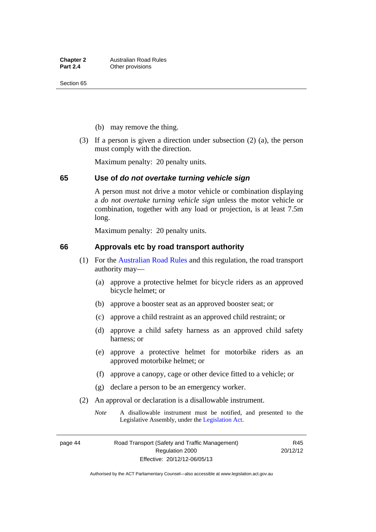- (b) may remove the thing.
- (3) If a person is given a direction under subsection (2) (a), the person must comply with the direction.

Maximum penalty: 20 penalty units.

#### **65 Use of** *do not overtake turning vehicle sign*

A person must not drive a motor vehicle or combination displaying a *do not overtake turning vehicle sign* unless the motor vehicle or combination, together with any load or projection, is at least 7.5m long.

Maximum penalty: 20 penalty units.

### **66 Approvals etc by road transport authority**

- (1) For the [Australian Road Rules](http://www.legislation.act.gov.au//ni/db_37271/default.asp) and this regulation, the road transport authority may—
	- (a) approve a protective helmet for bicycle riders as an approved bicycle helmet; or
	- (b) approve a booster seat as an approved booster seat; or
	- (c) approve a child restraint as an approved child restraint; or
	- (d) approve a child safety harness as an approved child safety harness; or
	- (e) approve a protective helmet for motorbike riders as an approved motorbike helmet; or
	- (f) approve a canopy, cage or other device fitted to a vehicle; or
	- (g) declare a person to be an emergency worker.
- (2) An approval or declaration is a disallowable instrument.
	- *Note* A disallowable instrument must be notified, and presented to the Legislative Assembly, under the [Legislation Act.](http://www.legislation.act.gov.au/a/2001-14)

page 44 Road Transport (Safety and Traffic Management) Regulation 2000 Effective: 20/12/12-06/05/13

R45 20/12/12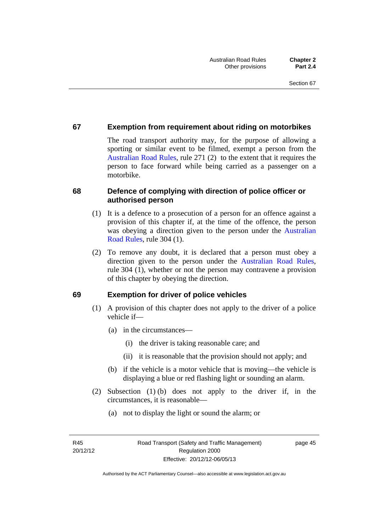# **67 Exemption from requirement about riding on motorbikes**

The road transport authority may, for the purpose of allowing a sporting or similar event to be filmed, exempt a person from the [Australian Road Rules](http://www.legislation.act.gov.au//ni/db_37271/default.asp), rule 271 (2) to the extent that it requires the person to face forward while being carried as a passenger on a motorbike.

# **68 Defence of complying with direction of police officer or authorised person**

- (1) It is a defence to a prosecution of a person for an offence against a provision of this chapter if, at the time of the offence, the person was obeying a direction given to the person under the [Australian](http://www.legislation.act.gov.au//ni/db_37271/default.asp)  [Road Rules,](http://www.legislation.act.gov.au//ni/db_37271/default.asp) rule 304 (1).
- (2) To remove any doubt, it is declared that a person must obey a direction given to the person under the [Australian Road Rules](http://www.legislation.act.gov.au//ni/db_37271/default.asp), rule 304 (1), whether or not the person may contravene a provision of this chapter by obeying the direction.

# **69 Exemption for driver of police vehicles**

- (1) A provision of this chapter does not apply to the driver of a police vehicle if—
	- (a) in the circumstances—
		- (i) the driver is taking reasonable care; and
		- (ii) it is reasonable that the provision should not apply; and
	- (b) if the vehicle is a motor vehicle that is moving—the vehicle is displaying a blue or red flashing light or sounding an alarm.
- (2) Subsection (1) (b) does not apply to the driver if, in the circumstances, it is reasonable—
	- (a) not to display the light or sound the alarm; or

page 45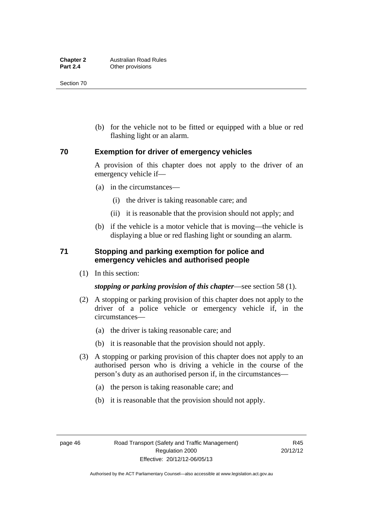(b) for the vehicle not to be fitted or equipped with a blue or red flashing light or an alarm.

# **70 Exemption for driver of emergency vehicles**

A provision of this chapter does not apply to the driver of an emergency vehicle if—

- (a) in the circumstances—
	- (i) the driver is taking reasonable care; and
	- (ii) it is reasonable that the provision should not apply; and
- (b) if the vehicle is a motor vehicle that is moving—the vehicle is displaying a blue or red flashing light or sounding an alarm.

# **71 Stopping and parking exemption for police and emergency vehicles and authorised people**

(1) In this section:

#### *stopping or parking provision of this chapter*—see section 58 (1).

- (2) A stopping or parking provision of this chapter does not apply to the driver of a police vehicle or emergency vehicle if, in the circumstances—
	- (a) the driver is taking reasonable care; and
	- (b) it is reasonable that the provision should not apply.
- (3) A stopping or parking provision of this chapter does not apply to an authorised person who is driving a vehicle in the course of the person's duty as an authorised person if, in the circumstances—
	- (a) the person is taking reasonable care; and
	- (b) it is reasonable that the provision should not apply.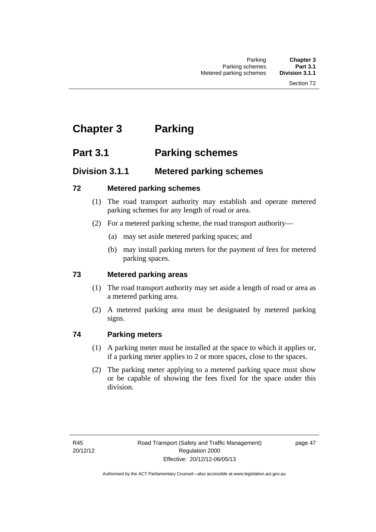# **Chapter 3 Parking**

# **Part 3.1 Parking schemes**

# **Division 3.1.1 Metered parking schemes**

# **72 Metered parking schemes**

- (1) The road transport authority may establish and operate metered parking schemes for any length of road or area.
- (2) For a metered parking scheme, the road transport authority—
	- (a) may set aside metered parking spaces; and
	- (b) may install parking meters for the payment of fees for metered parking spaces.

# **73 Metered parking areas**

- (1) The road transport authority may set aside a length of road or area as a metered parking area.
- (2) A metered parking area must be designated by metered parking signs.

# **74 Parking meters**

- (1) A parking meter must be installed at the space to which it applies or, if a parking meter applies to 2 or more spaces, close to the spaces.
- (2) The parking meter applying to a metered parking space must show or be capable of showing the fees fixed for the space under this division.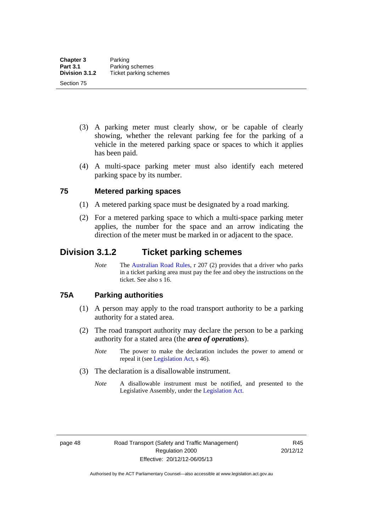- (3) A parking meter must clearly show, or be capable of clearly showing, whether the relevant parking fee for the parking of a vehicle in the metered parking space or spaces to which it applies has been paid.
- (4) A multi-space parking meter must also identify each metered parking space by its number.

# **75 Metered parking spaces**

- (1) A metered parking space must be designated by a road marking.
- (2) For a metered parking space to which a multi-space parking meter applies, the number for the space and an arrow indicating the direction of the meter must be marked in or adjacent to the space.

# **Division 3.1.2 Ticket parking schemes**

*Note* The [Australian Road Rules](http://www.legislation.act.gov.au//ni/db_37271/default.asp), r 207 (2) provides that a driver who parks in a ticket parking area must pay the fee and obey the instructions on the ticket. See also s 16.

### **75A Parking authorities**

- (1) A person may apply to the road transport authority to be a parking authority for a stated area.
- (2) The road transport authority may declare the person to be a parking authority for a stated area (the *area of operations*).
	- *Note* The power to make the declaration includes the power to amend or repeal it (see [Legislation Act,](http://www.legislation.act.gov.au/a/2001-14) s 46).
- (3) The declaration is a disallowable instrument.
	- *Note* A disallowable instrument must be notified, and presented to the Legislative Assembly, under the [Legislation Act.](http://www.legislation.act.gov.au/a/2001-14)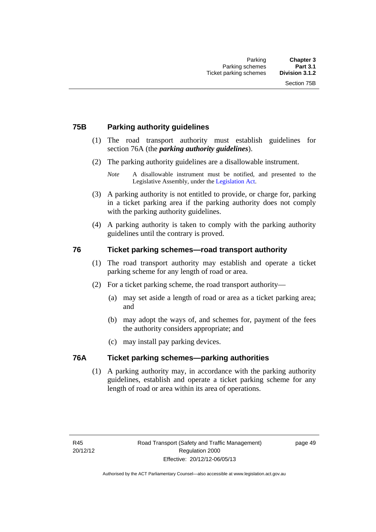# **75B Parking authority guidelines**

- (1) The road transport authority must establish guidelines for section 76A (the *parking authority guidelines*).
- (2) The parking authority guidelines are a disallowable instrument.

- (3) A parking authority is not entitled to provide, or charge for, parking in a ticket parking area if the parking authority does not comply with the parking authority guidelines.
- (4) A parking authority is taken to comply with the parking authority guidelines until the contrary is proved.

# **76 Ticket parking schemes—road transport authority**

- (1) The road transport authority may establish and operate a ticket parking scheme for any length of road or area.
- (2) For a ticket parking scheme, the road transport authority—
	- (a) may set aside a length of road or area as a ticket parking area; and
	- (b) may adopt the ways of, and schemes for, payment of the fees the authority considers appropriate; and
	- (c) may install pay parking devices.

### **76A Ticket parking schemes—parking authorities**

(1) A parking authority may, in accordance with the parking authority guidelines, establish and operate a ticket parking scheme for any length of road or area within its area of operations.

*Note* A disallowable instrument must be notified, and presented to the Legislative Assembly, under the [Legislation Act.](http://www.legislation.act.gov.au/a/2001-14)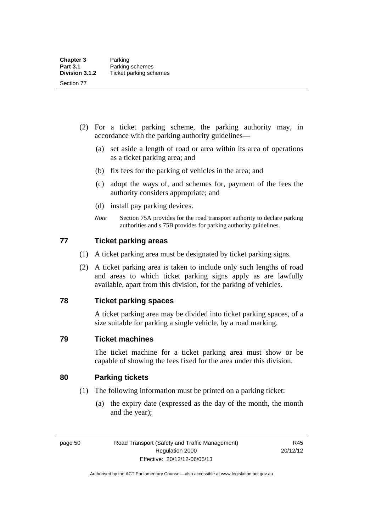- (2) For a ticket parking scheme, the parking authority may, in accordance with the parking authority guidelines—
	- (a) set aside a length of road or area within its area of operations as a ticket parking area; and
	- (b) fix fees for the parking of vehicles in the area; and
	- (c) adopt the ways of, and schemes for, payment of the fees the authority considers appropriate; and
	- (d) install pay parking devices.
	- *Note* Section 75A provides for the road transport authority to declare parking authorities and s 75B provides for parking authority guidelines.

# **77 Ticket parking areas**

- (1) A ticket parking area must be designated by ticket parking signs.
- (2) A ticket parking area is taken to include only such lengths of road and areas to which ticket parking signs apply as are lawfully available, apart from this division, for the parking of vehicles.

### **78 Ticket parking spaces**

A ticket parking area may be divided into ticket parking spaces, of a size suitable for parking a single vehicle, by a road marking.

### **79 Ticket machines**

The ticket machine for a ticket parking area must show or be capable of showing the fees fixed for the area under this division.

# **80 Parking tickets**

- (1) The following information must be printed on a parking ticket:
	- (a) the expiry date (expressed as the day of the month, the month and the year);

page 50 Road Transport (Safety and Traffic Management) Regulation 2000 Effective: 20/12/12-06/05/13

R45 20/12/12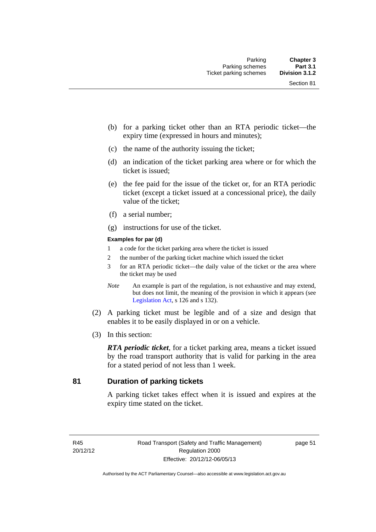- (b) for a parking ticket other than an RTA periodic ticket—the expiry time (expressed in hours and minutes);
- (c) the name of the authority issuing the ticket;
- (d) an indication of the ticket parking area where or for which the ticket is issued;
- (e) the fee paid for the issue of the ticket or, for an RTA periodic ticket (except a ticket issued at a concessional price), the daily value of the ticket;
- (f) a serial number;
- (g) instructions for use of the ticket.

#### **Examples for par (d)**

- 1 a code for the ticket parking area where the ticket is issued
- 2 the number of the parking ticket machine which issued the ticket
- 3 for an RTA periodic ticket—the daily value of the ticket or the area where the ticket may be used
- *Note* An example is part of the regulation, is not exhaustive and may extend, but does not limit, the meaning of the provision in which it appears (see [Legislation Act,](http://www.legislation.act.gov.au/a/2001-14) s 126 and s 132).
- (2) A parking ticket must be legible and of a size and design that enables it to be easily displayed in or on a vehicle.
- (3) In this section:

*RTA periodic ticket*, for a ticket parking area, means a ticket issued by the road transport authority that is valid for parking in the area for a stated period of not less than 1 week.

# **81 Duration of parking tickets**

A parking ticket takes effect when it is issued and expires at the expiry time stated on the ticket.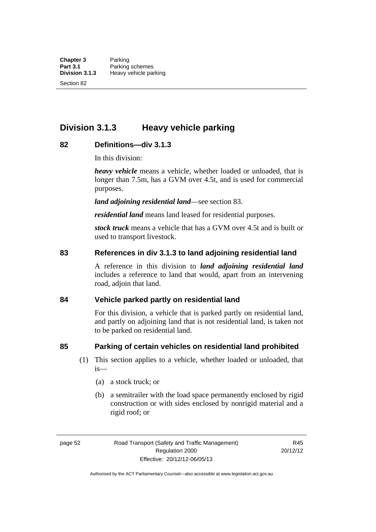**Division 3.1.3 Heavy vehicle parking** 

### **82 Definitions—div 3.1.3**

In this division:

*heavy vehicle* means a vehicle, whether loaded or unloaded, that is longer than 7.5m, has a GVM over 4.5t, and is used for commercial purposes.

*land adjoining residential land*—see section 83.

*residential land* means land leased for residential purposes.

*stock truck* means a vehicle that has a GVM over 4.5t and is built or used to transport livestock.

#### **83 References in div 3.1.3 to land adjoining residential land**

A reference in this division to *land adjoining residential land* includes a reference to land that would, apart from an intervening road, adjoin that land.

#### **84 Vehicle parked partly on residential land**

For this division, a vehicle that is parked partly on residential land, and partly on adjoining land that is not residential land, is taken not to be parked on residential land.

### **85 Parking of certain vehicles on residential land prohibited**

- (1) This section applies to a vehicle, whether loaded or unloaded, that is—
	- (a) a stock truck; or
	- (b) a semitrailer with the load space permanently enclosed by rigid construction or with sides enclosed by nonrigid material and a rigid roof; or

page 52 Road Transport (Safety and Traffic Management) Regulation 2000 Effective: 20/12/12-06/05/13

R45 20/12/12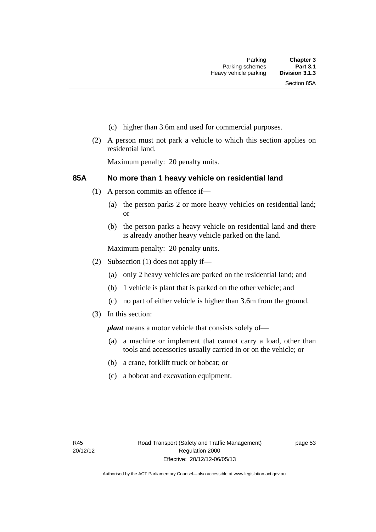- (c) higher than 3.6m and used for commercial purposes.
- (2) A person must not park a vehicle to which this section applies on residential land.

Maximum penalty: 20 penalty units.

#### **85A No more than 1 heavy vehicle on residential land**

- (1) A person commits an offence if—
	- (a) the person parks 2 or more heavy vehicles on residential land; or
	- (b) the person parks a heavy vehicle on residential land and there is already another heavy vehicle parked on the land.

Maximum penalty: 20 penalty units.

- (2) Subsection (1) does not apply if—
	- (a) only 2 heavy vehicles are parked on the residential land; and
	- (b) 1 vehicle is plant that is parked on the other vehicle; and
	- (c) no part of either vehicle is higher than 3.6m from the ground.
- (3) In this section:

*plant* means a motor vehicle that consists solely of—

- (a) a machine or implement that cannot carry a load, other than tools and accessories usually carried in or on the vehicle; or
- (b) a crane, forklift truck or bobcat; or
- (c) a bobcat and excavation equipment.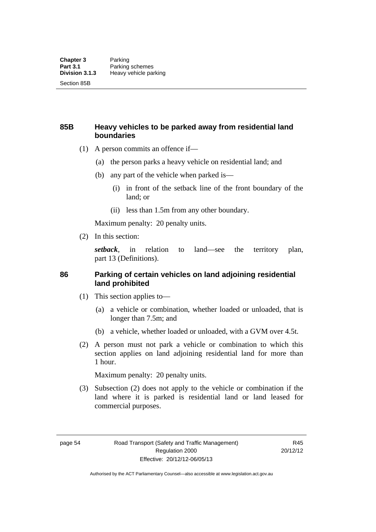### **85B Heavy vehicles to be parked away from residential land boundaries**

- (1) A person commits an offence if—
	- (a) the person parks a heavy vehicle on residential land; and
	- (b) any part of the vehicle when parked is—
		- (i) in front of the setback line of the front boundary of the land; or
		- (ii) less than 1.5m from any other boundary.

Maximum penalty: 20 penalty units.

(2) In this section:

*setback*, in relation to land—see the territory plan, part 13 (Definitions).

### **86 Parking of certain vehicles on land adjoining residential land prohibited**

- (1) This section applies to—
	- (a) a vehicle or combination, whether loaded or unloaded, that is longer than 7.5m; and
	- (b) a vehicle, whether loaded or unloaded, with a GVM over 4.5t.
- (2) A person must not park a vehicle or combination to which this section applies on land adjoining residential land for more than 1 hour.

Maximum penalty: 20 penalty units.

 (3) Subsection (2) does not apply to the vehicle or combination if the land where it is parked is residential land or land leased for commercial purposes.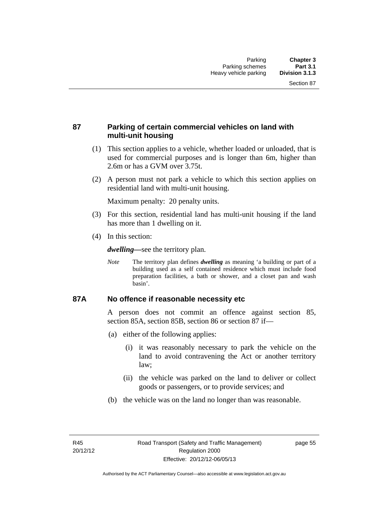### **87 Parking of certain commercial vehicles on land with multi-unit housing**

- (1) This section applies to a vehicle, whether loaded or unloaded, that is used for commercial purposes and is longer than 6m, higher than 2.6m or has a GVM over 3.75t.
- (2) A person must not park a vehicle to which this section applies on residential land with multi-unit housing.

Maximum penalty: 20 penalty units.

- (3) For this section, residential land has multi-unit housing if the land has more than 1 dwelling on it.
- (4) In this section:

*dwelling—*see the territory plan.

*Note* The territory plan defines *dwelling* as meaning 'a building or part of a building used as a self contained residence which must include food preparation facilities, a bath or shower, and a closet pan and wash basin'.

### **87A No offence if reasonable necessity etc**

A person does not commit an offence against section 85, section 85A, section 85B, section 86 or section 87 if—

- (a) either of the following applies:
	- (i) it was reasonably necessary to park the vehicle on the land to avoid contravening the Act or another territory law;
	- (ii) the vehicle was parked on the land to deliver or collect goods or passengers, or to provide services; and
- (b) the vehicle was on the land no longer than was reasonable.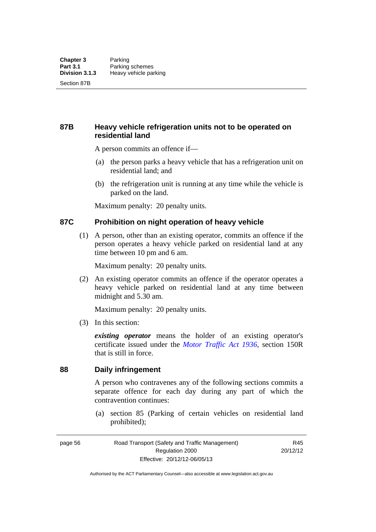### **87B Heavy vehicle refrigeration units not to be operated on residential land**

A person commits an offence if—

- (a) the person parks a heavy vehicle that has a refrigeration unit on residential land; and
- (b) the refrigeration unit is running at any time while the vehicle is parked on the land.

Maximum penalty: 20 penalty units.

### **87C Prohibition on night operation of heavy vehicle**

 (1) A person, other than an existing operator, commits an offence if the person operates a heavy vehicle parked on residential land at any time between 10 pm and 6 am.

Maximum penalty: 20 penalty units.

 (2) An existing operator commits an offence if the operator operates a heavy vehicle parked on residential land at any time between midnight and 5.30 am.

Maximum penalty: 20 penalty units.

(3) In this section:

*existing operator* means the holder of an existing operator's certificate issued under the *[Motor Traffic Act 1936](http://www.legislation.act.gov.au/a/1936-45)*, section 150R that is still in force.

### **88 Daily infringement**

A person who contravenes any of the following sections commits a separate offence for each day during any part of which the contravention continues:

 (a) section 85 (Parking of certain vehicles on residential land prohibited);

page 56 Road Transport (Safety and Traffic Management) Regulation 2000 Effective: 20/12/12-06/05/13

R45 20/12/12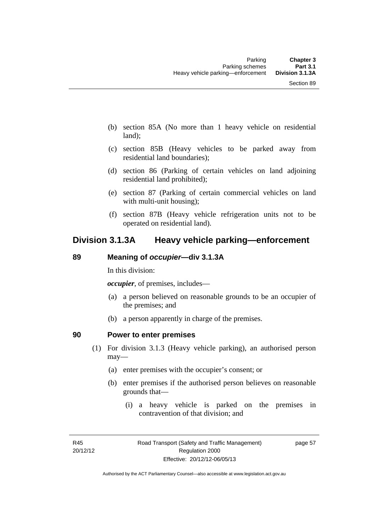- (b) section 85A (No more than 1 heavy vehicle on residential land);
- (c) section 85B (Heavy vehicles to be parked away from residential land boundaries);
- (d) section 86 (Parking of certain vehicles on land adjoining residential land prohibited);
- (e) section 87 (Parking of certain commercial vehicles on land with multi-unit housing);
- (f) section 87B (Heavy vehicle refrigeration units not to be operated on residential land).

## **Division 3.1.3A Heavy vehicle parking—enforcement**

### **89 Meaning of** *occupier***—div 3.1.3A**

In this division:

*occupier*, of premises, includes—

- (a) a person believed on reasonable grounds to be an occupier of the premises; and
- (b) a person apparently in charge of the premises.

### **90 Power to enter premises**

- (1) For division 3.1.3 (Heavy vehicle parking), an authorised person may—
	- (a) enter premises with the occupier's consent; or
	- (b) enter premises if the authorised person believes on reasonable grounds that—
		- (i) a heavy vehicle is parked on the premises in contravention of that division; and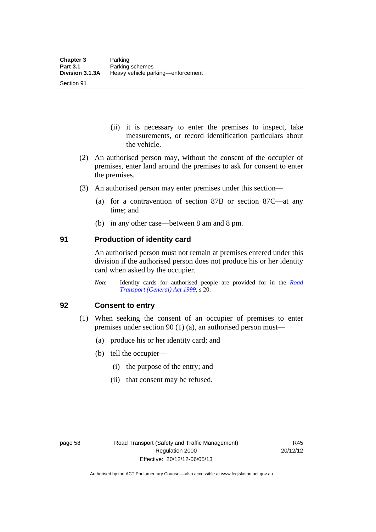Section 91

- (ii) it is necessary to enter the premises to inspect, take measurements, or record identification particulars about the vehicle.
- (2) An authorised person may, without the consent of the occupier of premises, enter land around the premises to ask for consent to enter the premises.
- (3) An authorised person may enter premises under this section––
	- (a) for a contravention of section 87B or section 87C––at any time; and
	- (b) in any other case––between 8 am and 8 pm.

### **91 Production of identity card**

An authorised person must not remain at premises entered under this division if the authorised person does not produce his or her identity card when asked by the occupier.

*Note* Identity cards for authorised people are provided for in the *[Road](http://www.legislation.act.gov.au/a/1999-77)  [Transport \(General\) Act 1999](http://www.legislation.act.gov.au/a/1999-77)*, s 20.

### **92 Consent to entry**

- (1) When seeking the consent of an occupier of premises to enter premises under section 90 (1) (a), an authorised person must—
	- (a) produce his or her identity card; and
	- (b) tell the occupier—
		- (i) the purpose of the entry; and
		- (ii) that consent may be refused.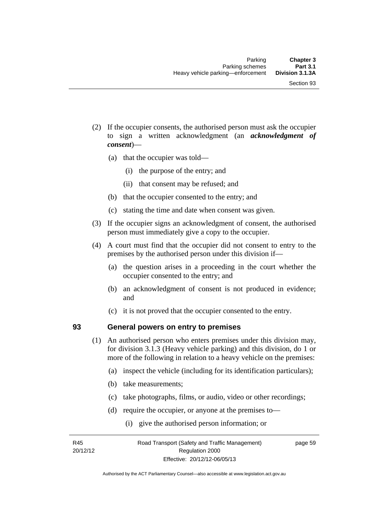- (2) If the occupier consents, the authorised person must ask the occupier to sign a written acknowledgment (an *acknowledgment of consent*)—
	- (a) that the occupier was told—
		- (i) the purpose of the entry; and
		- (ii) that consent may be refused; and
	- (b) that the occupier consented to the entry; and
	- (c) stating the time and date when consent was given.
- (3) If the occupier signs an acknowledgment of consent, the authorised person must immediately give a copy to the occupier.
- (4) A court must find that the occupier did not consent to entry to the premises by the authorised person under this division if—
	- (a) the question arises in a proceeding in the court whether the occupier consented to the entry; and
	- (b) an acknowledgment of consent is not produced in evidence; and
	- (c) it is not proved that the occupier consented to the entry.

### **93 General powers on entry to premises**

- (1) An authorised person who enters premises under this division may, for division 3.1.3 (Heavy vehicle parking) and this division, do 1 or more of the following in relation to a heavy vehicle on the premises:
	- (a) inspect the vehicle (including for its identification particulars);
	- (b) take measurements;
	- (c) take photographs, films, or audio, video or other recordings;
	- (d) require the occupier, or anyone at the premises to—
		- (i) give the authorised person information; or

R45 20/12/12 page 59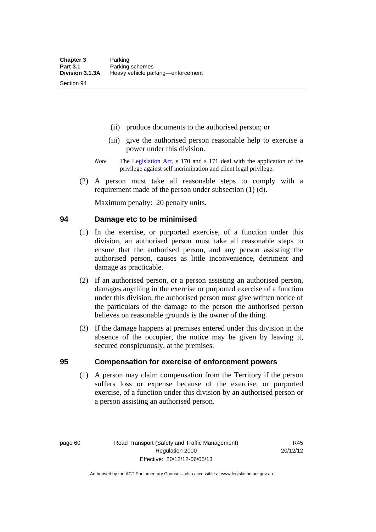Section 94

- (ii) produce documents to the authorised person; or
- (iii) give the authorised person reasonable help to exercise a power under this division.
- *Note* The [Legislation Act](http://www.legislation.act.gov.au/a/2001-14), s 170 and s 171 deal with the application of the privilege against self incrimination and client legal privilege.
- (2) A person must take all reasonable steps to comply with a requirement made of the person under subsection (1) (d).

Maximum penalty: 20 penalty units.

### **94 Damage etc to be minimised**

- (1) In the exercise, or purported exercise, of a function under this division, an authorised person must take all reasonable steps to ensure that the authorised person, and any person assisting the authorised person, causes as little inconvenience, detriment and damage as practicable.
- (2) If an authorised person, or a person assisting an authorised person, damages anything in the exercise or purported exercise of a function under this division, the authorised person must give written notice of the particulars of the damage to the person the authorised person believes on reasonable grounds is the owner of the thing.
- (3) If the damage happens at premises entered under this division in the absence of the occupier, the notice may be given by leaving it, secured conspicuously, at the premises.

### **95 Compensation for exercise of enforcement powers**

(1) A person may claim compensation from the Territory if the person suffers loss or expense because of the exercise, or purported exercise, of a function under this division by an authorised person or a person assisting an authorised person.

page 60 Road Transport (Safety and Traffic Management) Regulation 2000 Effective: 20/12/12-06/05/13

R45 20/12/12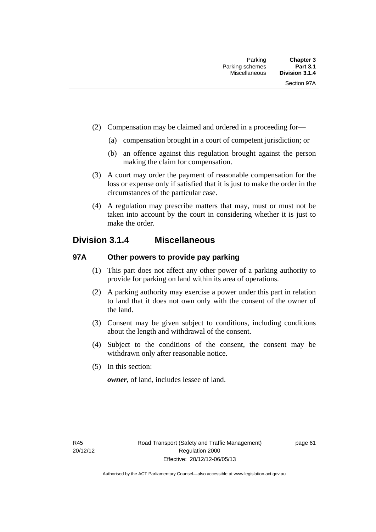- (2) Compensation may be claimed and ordered in a proceeding for—
	- (a) compensation brought in a court of competent jurisdiction; or
	- (b) an offence against this regulation brought against the person making the claim for compensation.
- (3) A court may order the payment of reasonable compensation for the loss or expense only if satisfied that it is just to make the order in the circumstances of the particular case.
- (4) A regulation may prescribe matters that may, must or must not be taken into account by the court in considering whether it is just to make the order.

## **Division 3.1.4 Miscellaneous**

### **97A Other powers to provide pay parking**

- (1) This part does not affect any other power of a parking authority to provide for parking on land within its area of operations.
- (2) A parking authority may exercise a power under this part in relation to land that it does not own only with the consent of the owner of the land.
- (3) Consent may be given subject to conditions, including conditions about the length and withdrawal of the consent.
- (4) Subject to the conditions of the consent, the consent may be withdrawn only after reasonable notice.
- (5) In this section:

*owner*, of land, includes lessee of land.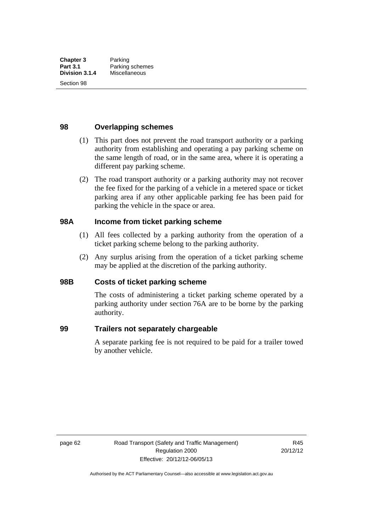Section 98

### **98 Overlapping schemes**

- (1) This part does not prevent the road transport authority or a parking authority from establishing and operating a pay parking scheme on the same length of road, or in the same area, where it is operating a different pay parking scheme.
- (2) The road transport authority or a parking authority may not recover the fee fixed for the parking of a vehicle in a metered space or ticket parking area if any other applicable parking fee has been paid for parking the vehicle in the space or area.

### **98A Income from ticket parking scheme**

- (1) All fees collected by a parking authority from the operation of a ticket parking scheme belong to the parking authority.
- (2) Any surplus arising from the operation of a ticket parking scheme may be applied at the discretion of the parking authority.

### **98B Costs of ticket parking scheme**

The costs of administering a ticket parking scheme operated by a parking authority under section 76A are to be borne by the parking authority.

### **99 Trailers not separately chargeable**

A separate parking fee is not required to be paid for a trailer towed by another vehicle.

page 62 Road Transport (Safety and Traffic Management) Regulation 2000 Effective: 20/12/12-06/05/13

R45 20/12/12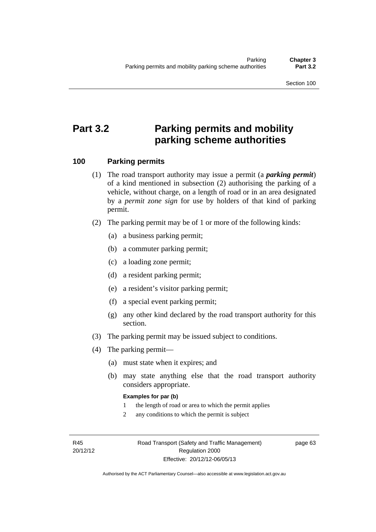Section 100

# **Part 3.2 Parking permits and mobility parking scheme authorities**

### **100 Parking permits**

- (1) The road transport authority may issue a permit (a *parking permit*) of a kind mentioned in subsection (2) authorising the parking of a vehicle, without charge, on a length of road or in an area designated by a *permit zone sign* for use by holders of that kind of parking permit.
- (2) The parking permit may be of 1 or more of the following kinds:
	- (a) a business parking permit;
	- (b) a commuter parking permit;
	- (c) a loading zone permit;
	- (d) a resident parking permit;
	- (e) a resident's visitor parking permit;
	- (f) a special event parking permit;
	- (g) any other kind declared by the road transport authority for this section.
- (3) The parking permit may be issued subject to conditions.
- (4) The parking permit—
	- (a) must state when it expires; and
	- (b) may state anything else that the road transport authority considers appropriate.

### **Examples for par (b)**

- 1 the length of road or area to which the permit applies
- 2 any conditions to which the permit is subject

R45 20/12/12 page 63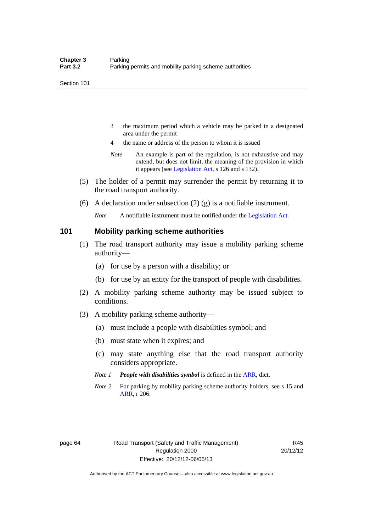- 3 the maximum period which a vehicle may be parked in a designated area under the permit
- 4 the name or address of the person to whom it is issued
- *Note* An example is part of the regulation, is not exhaustive and may extend, but does not limit, the meaning of the provision in which it appears (see [Legislation Act,](http://www.legislation.act.gov.au/a/2001-14) s 126 and s 132).
- (5) The holder of a permit may surrender the permit by returning it to the road transport authority.
- (6) A declaration under subsection (2) (g) is a notifiable instrument.

*Note* A notifiable instrument must be notified under the [Legislation Act](http://www.legislation.act.gov.au/a/2001-14).

### **101 Mobility parking scheme authorities**

- (1) The road transport authority may issue a mobility parking scheme authority—
	- (a) for use by a person with a disability; or
	- (b) for use by an entity for the transport of people with disabilities.
- (2) A mobility parking scheme authority may be issued subject to conditions.
- (3) A mobility parking scheme authority—
	- (a) must include a people with disabilities symbol; and
	- (b) must state when it expires; and
	- (c) may state anything else that the road transport authority considers appropriate.
	- *Note 1 People with disabilities symbol* is defined in the [ARR](http://www.legislation.act.gov.au//ni/db_37271/default.asp), dict.
	- *Note 2* For parking by mobility parking scheme authority holders, see s 15 and [ARR,](http://www.legislation.act.gov.au//ni/db_37271/default.asp) r 206.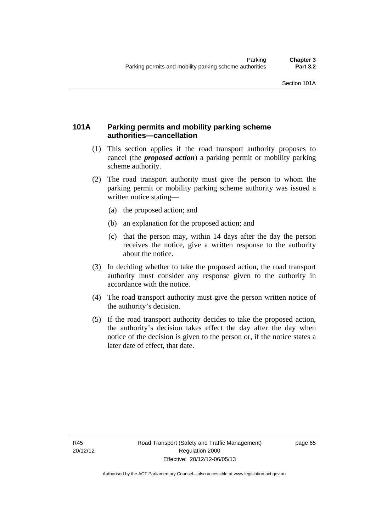### **101A Parking permits and mobility parking scheme authorities—cancellation**

- (1) This section applies if the road transport authority proposes to cancel (the *proposed action*) a parking permit or mobility parking scheme authority.
- (2) The road transport authority must give the person to whom the parking permit or mobility parking scheme authority was issued a written notice stating—
	- (a) the proposed action; and
	- (b) an explanation for the proposed action; and
	- (c) that the person may, within 14 days after the day the person receives the notice, give a written response to the authority about the notice.
- (3) In deciding whether to take the proposed action, the road transport authority must consider any response given to the authority in accordance with the notice.
- (4) The road transport authority must give the person written notice of the authority's decision.
- (5) If the road transport authority decides to take the proposed action, the authority's decision takes effect the day after the day when notice of the decision is given to the person or, if the notice states a later date of effect, that date.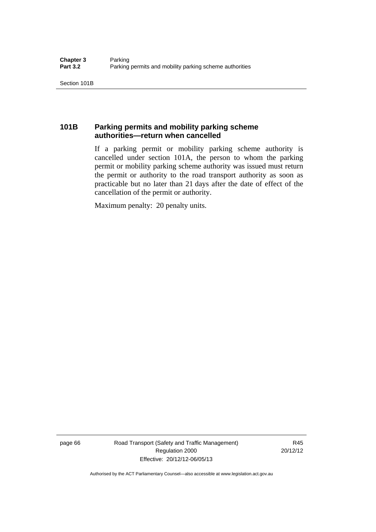### **101B Parking permits and mobility parking scheme authorities—return when cancelled**

If a parking permit or mobility parking scheme authority is cancelled under section 101A, the person to whom the parking permit or mobility parking scheme authority was issued must return the permit or authority to the road transport authority as soon as practicable but no later than 21 days after the date of effect of the cancellation of the permit or authority.

Maximum penalty: 20 penalty units.

page 66 Road Transport (Safety and Traffic Management) Regulation 2000 Effective: 20/12/12-06/05/13

R45 20/12/12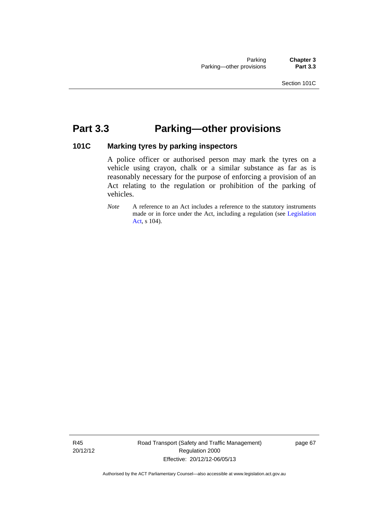# **Part 3.3 Parking—other provisions**

### **101C Marking tyres by parking inspectors**

A police officer or authorised person may mark the tyres on a vehicle using crayon, chalk or a similar substance as far as is reasonably necessary for the purpose of enforcing a provision of an Act relating to the regulation or prohibition of the parking of vehicles.

*Note* A reference to an Act includes a reference to the statutory instruments made or in force under the Act, including a regulation (see [Legislation](http://www.legislation.act.gov.au/a/2001-14)  [Act,](http://www.legislation.act.gov.au/a/2001-14) s 104).

R45 20/12/12 Road Transport (Safety and Traffic Management) Regulation 2000 Effective: 20/12/12-06/05/13

page 67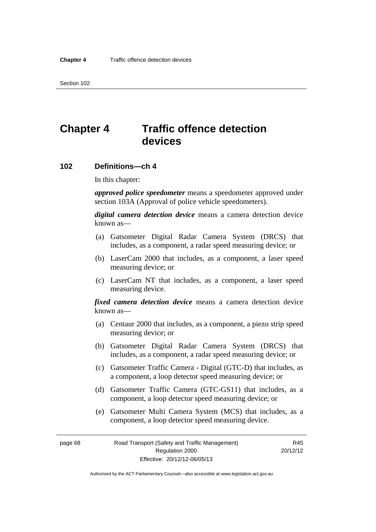# **Chapter 4 Traffic offence detection devices**

### **102 Definitions—ch 4**

In this chapter:

*approved police speedometer* means a speedometer approved under section 103A (Approval of police vehicle speedometers).

*digital camera detection device* means a camera detection device known as—

- (a) Gatsometer Digital Radar Camera System (DRCS) that includes, as a component, a radar speed measuring device; or
- (b) LaserCam 2000 that includes, as a component, a laser speed measuring device; or
- (c) LaserCam NT that includes, as a component, a laser speed measuring device.

*fixed camera detection device* means a camera detection device known as—

- (a) Centaur 2000 that includes, as a component, a piezo strip speed measuring device; or
- (b) Gatsometer Digital Radar Camera System (DRCS) that includes, as a component, a radar speed measuring device; or
- (c) Gatsometer Traffic Camera Digital (GTC-D) that includes, as a component, a loop detector speed measuring device; or
- (d) Gatsometer Traffic Camera (GTC-GS11) that includes, as a component, a loop detector speed measuring device; or
- (e) Gatsometer Multi Camera System (MCS) that includes, as a component, a loop detector speed measuring device.

page 68 Road Transport (Safety and Traffic Management) Regulation 2000 Effective: 20/12/12-06/05/13

R45 20/12/12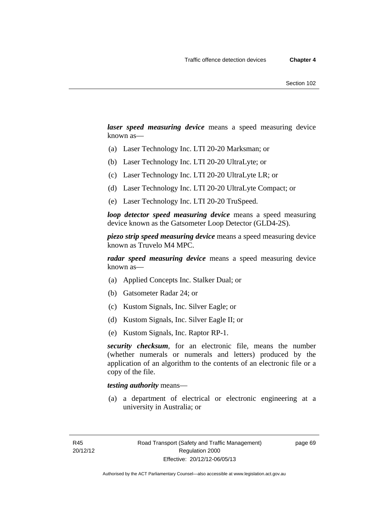*laser speed measuring device* means a speed measuring device known as—

- (a) Laser Technology Inc. LTI 20-20 Marksman; or
- (b) Laser Technology Inc. LTI 20-20 UltraLyte; or
- (c) Laser Technology Inc. LTI 20-20 UltraLyte LR; or
- (d) Laser Technology Inc. LTI 20-20 UltraLyte Compact; or
- (e) Laser Technology Inc. LTI 20-20 TruSpeed.

*loop detector speed measuring device* means a speed measuring device known as the Gatsometer Loop Detector (GLD4-2S).

*piezo strip speed measuring device* means a speed measuring device known as Truvelo M4 MPC.

*radar speed measuring device* means a speed measuring device known as—

- (a) Applied Concepts Inc. Stalker Dual; or
- (b) Gatsometer Radar 24; or
- (c) Kustom Signals, Inc. Silver Eagle; or
- (d) Kustom Signals, Inc. Silver Eagle II; or
- (e) Kustom Signals, Inc. Raptor RP-1.

*security checksum*, for an electronic file, means the number (whether numerals or numerals and letters) produced by the application of an algorithm to the contents of an electronic file or a copy of the file.

### *testing authority* means—

 (a) a department of electrical or electronic engineering at a university in Australia; or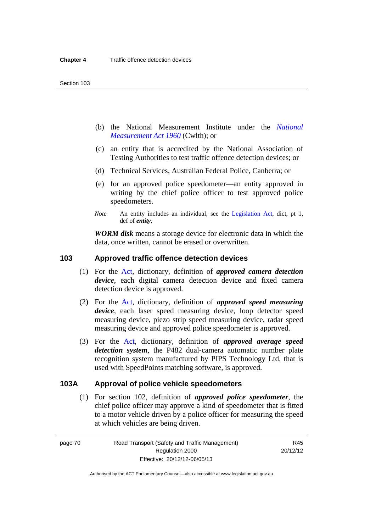- (b) the National Measurement Institute under the *[National](http://www.comlaw.gov.au/Series/C2004A07405)  [Measurement Act 1960](http://www.comlaw.gov.au/Series/C2004A07405)* (Cwlth); or
- (c) an entity that is accredited by the National Association of Testing Authorities to test traffic offence detection devices; or
- (d) Technical Services, Australian Federal Police, Canberra; or
- (e) for an approved police speedometer—an entity approved in writing by the chief police officer to test approved police speedometers.
- *Note* An entity includes an individual, see the [Legislation Act](http://www.legislation.act.gov.au/a/2001-14), dict, pt 1, def of *entity*.

*WORM disk* means a storage device for electronic data in which the data, once written, cannot be erased or overwritten.

### **103 Approved traffic offence detection devices**

- (1) For the [Act](http://www.legislation.act.gov.au/a/1999-80/default.asp), dictionary, definition of *approved camera detection device*, each digital camera detection device and fixed camera detection device is approved.
- (2) For the [Act,](http://www.legislation.act.gov.au/a/1999-80/default.asp) dictionary, definition of *approved speed measuring device*, each laser speed measuring device, loop detector speed measuring device, piezo strip speed measuring device, radar speed measuring device and approved police speedometer is approved.
- (3) For the [Act](http://www.legislation.act.gov.au/a/1999-80/default.asp), dictionary, definition of *approved average speed detection system*, the P482 dual-camera automatic number plate recognition system manufactured by PIPS Technology Ltd, that is used with SpeedPoints matching software, is approved.

### **103A Approval of police vehicle speedometers**

(1) For section 102, definition of *approved police speedometer*, the chief police officer may approve a kind of speedometer that is fitted to a motor vehicle driven by a police officer for measuring the speed at which vehicles are being driven.

page 70 Road Transport (Safety and Traffic Management) Regulation 2000 Effective: 20/12/12-06/05/13

R45 20/12/12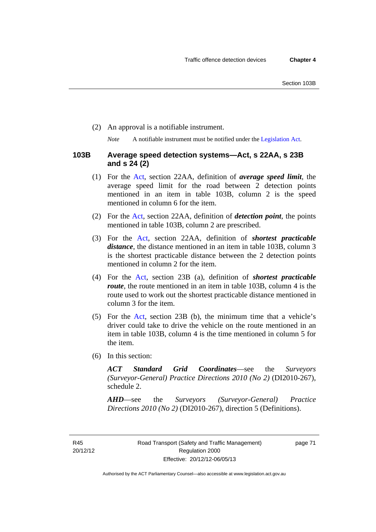(2) An approval is a notifiable instrument.

*Note* A notifiable instrument must be notified under the [Legislation Act](http://www.legislation.act.gov.au/a/2001-14).

### **103B Average speed detection systems—Act, s 22AA, s 23B and s 24 (2)**

- (1) For the [Act,](http://www.legislation.act.gov.au/a/1999-80/default.asp) section 22AA, definition of *average speed limit*, the average speed limit for the road between 2 detection points mentioned in an item in table 103B, column 2 is the speed mentioned in column 6 for the item.
- (2) For the [Act](http://www.legislation.act.gov.au/a/1999-80/default.asp), section 22AA, definition of *detection point*, the points mentioned in table 103B, column 2 are prescribed.
- (3) For the [Act](http://www.legislation.act.gov.au/a/1999-80/default.asp), section 22AA, definition of *shortest practicable distance*, the distance mentioned in an item in table 103B, column 3 is the shortest practicable distance between the 2 detection points mentioned in column 2 for the item.
- (4) For the [Act,](http://www.legislation.act.gov.au/a/1999-80/default.asp) section 23B (a), definition of *shortest practicable route*, the route mentioned in an item in table 103B, column 4 is the route used to work out the shortest practicable distance mentioned in column 3 for the item.
- (5) For the [Act](http://www.legislation.act.gov.au/a/1999-80/default.asp), section 23B (b), the minimum time that a vehicle's driver could take to drive the vehicle on the route mentioned in an item in table 103B, column 4 is the time mentioned in column 5 for the item.
- (6) In this section:

*ACT Standard Grid Coordinates*—see the *Surveyors (Surveyor-General) Practice Directions 2010 (No 2)* (DI2010-267), schedule 2.

*AHD*—see the *Surveyors (Surveyor-General) Practice Directions 2010 (No 2)* (DI2010-267), direction 5 (Definitions).

R45 20/12/12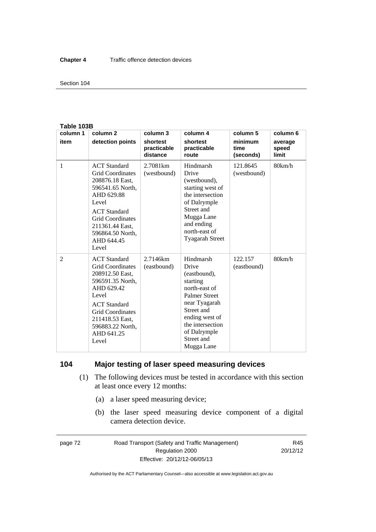#### Section 104

#### **Table 103B**

| column 1       | column <sub>2</sub>                                                                                                                                                                                                          | column 3                            | column 4                                                                                                                                                                                                 | column 5                     | column 6                  |
|----------------|------------------------------------------------------------------------------------------------------------------------------------------------------------------------------------------------------------------------------|-------------------------------------|----------------------------------------------------------------------------------------------------------------------------------------------------------------------------------------------------------|------------------------------|---------------------------|
| item           | detection points                                                                                                                                                                                                             | shortest<br>practicable<br>distance | shortest<br>practicable<br>route                                                                                                                                                                         | minimum<br>time<br>(seconds) | average<br>speed<br>limit |
| 1              | <b>ACT</b> Standard<br><b>Grid Coordinates</b><br>208876.18 East,<br>596541.65 North.<br>AHD 629.88<br>Level<br><b>ACT</b> Standard<br><b>Grid Coordinates</b><br>211361.44 East,<br>596864.50 North,<br>AHD 644.45<br>Level | 2.7081 <sub>km</sub><br>(westbound) | Hindmarsh<br>Drive<br>(westbound),<br>starting west of<br>the intersection<br>of Dalrymple<br>Street and<br>Mugga Lane<br>and ending<br>north-east of<br><b>Tyagarah Street</b>                          | 121.8645<br>(westbound)      | 80km/h                    |
| $\overline{2}$ | <b>ACT</b> Standard<br><b>Grid Coordinates</b><br>208912.50 East,<br>596591.35 North,<br>AHD 629.42<br>Level<br><b>ACT</b> Standard<br><b>Grid Coordinates</b><br>211418.53 East,<br>596883.22 North,<br>AHD 641.25<br>Level | 2.7146km<br>(eastbound)             | Hindmarsh<br>Drive<br>(eastbound),<br>starting<br>north-east of<br><b>Palmer Street</b><br>near Tyagarah<br>Street and<br>ending west of<br>the intersection<br>of Dalrymple<br>Street and<br>Mugga Lane | 122.157<br>(eastbound)       | 80km/h                    |

### **104 Major testing of laser speed measuring devices**

- (1) The following devices must be tested in accordance with this section at least once every 12 months:
	- (a) a laser speed measuring device;
	- (b) the laser speed measuring device component of a digital camera detection device.

page 72 Road Transport (Safety and Traffic Management) Regulation 2000 Effective: 20/12/12-06/05/13

R45 20/12/12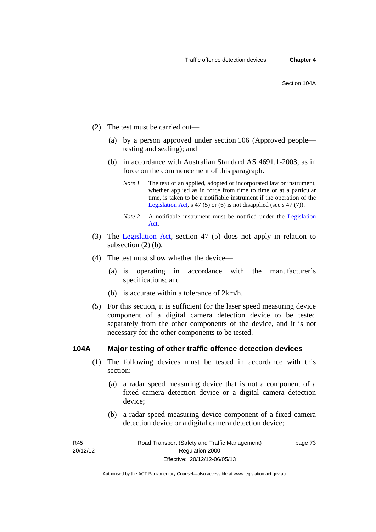- (2) The test must be carried out—
	- (a) by a person approved under section 106 (Approved people testing and sealing); and
	- (b) in accordance with Australian Standard AS 4691.1-2003, as in force on the commencement of this paragraph.
		- *Note 1* The text of an applied, adopted or incorporated law or instrument, whether applied as in force from time to time or at a particular time, is taken to be a notifiable instrument if the operation of the [Legislation Act,](http://www.legislation.act.gov.au/a/2001-14) s 47 (5) or (6) is not disapplied (see s 47 (7)).
		- *Note 2* A notifiable instrument must be notified under the [Legislation](http://www.legislation.act.gov.au/a/2001-14)  [Act.](http://www.legislation.act.gov.au/a/2001-14)
- (3) The [Legislation Act,](http://www.legislation.act.gov.au/a/2001-14) section 47 (5) does not apply in relation to subsection (2) (b).
- (4) The test must show whether the device—
	- (a) is operating in accordance with the manufacturer's specifications; and
	- (b) is accurate within a tolerance of 2km/h.
- (5) For this section, it is sufficient for the laser speed measuring device component of a digital camera detection device to be tested separately from the other components of the device, and it is not necessary for the other components to be tested.

### **104A Major testing of other traffic offence detection devices**

- (1) The following devices must be tested in accordance with this section:
	- (a) a radar speed measuring device that is not a component of a fixed camera detection device or a digital camera detection device;
	- (b) a radar speed measuring device component of a fixed camera detection device or a digital camera detection device;

page 73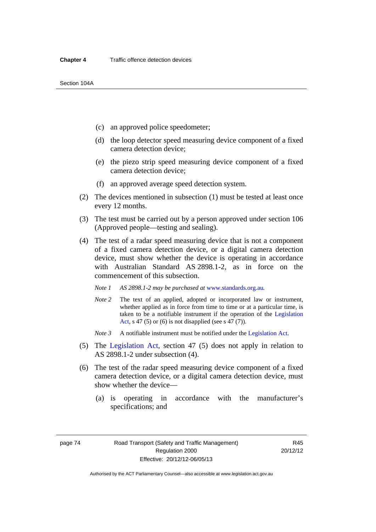- (c) an approved police speedometer;
- (d) the loop detector speed measuring device component of a fixed camera detection device;
- (e) the piezo strip speed measuring device component of a fixed camera detection device;
- (f) an approved average speed detection system.
- (2) The devices mentioned in subsection (1) must be tested at least once every 12 months.
- (3) The test must be carried out by a person approved under section 106 (Approved people—testing and sealing).
- (4) The test of a radar speed measuring device that is not a component of a fixed camera detection device, or a digital camera detection device, must show whether the device is operating in accordance with Australian Standard AS 2898.1-2, as in force on the commencement of this subsection.
	- *Note 1 AS 2898.1-2 may be purchased at* [www.standards.org.au](http://www.standards.org.au/Pages/default.aspx)*.*
	- *Note 2* The text of an applied, adopted or incorporated law or instrument, whether applied as in force from time to time or at a particular time, is taken to be a notifiable instrument if the operation of the [Legislation](http://www.legislation.act.gov.au/a/2001-14)  [Act](http://www.legislation.act.gov.au/a/2001-14), s 47 (5) or (6) is not disapplied (see s 47 (7)).
	- *Note 3* A notifiable instrument must be notified under the [Legislation Act](http://www.legislation.act.gov.au/a/2001-14).
- (5) The [Legislation Act,](http://www.legislation.act.gov.au/a/2001-14) section 47 (5) does not apply in relation to AS 2898.1-2 under subsection (4).
- (6) The test of the radar speed measuring device component of a fixed camera detection device, or a digital camera detection device, must show whether the device—
	- (a) is operating in accordance with the manufacturer's specifications; and

page 74 Road Transport (Safety and Traffic Management) Regulation 2000 Effective: 20/12/12-06/05/13

R45 20/12/12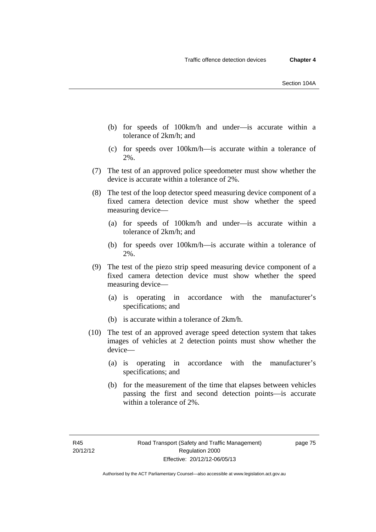- (b) for speeds of 100km/h and under—is accurate within a tolerance of 2km/h; and
- (c) for speeds over 100km/h—is accurate within a tolerance of 2%.
- (7) The test of an approved police speedometer must show whether the device is accurate within a tolerance of 2%.
- (8) The test of the loop detector speed measuring device component of a fixed camera detection device must show whether the speed measuring device—
	- (a) for speeds of 100km/h and under—is accurate within a tolerance of 2km/h; and
	- (b) for speeds over 100km/h—is accurate within a tolerance of 2%.
- (9) The test of the piezo strip speed measuring device component of a fixed camera detection device must show whether the speed measuring device—
	- (a) is operating in accordance with the manufacturer's specifications; and
	- (b) is accurate within a tolerance of 2km/h.
- (10) The test of an approved average speed detection system that takes images of vehicles at 2 detection points must show whether the device—
	- (a) is operating in accordance with the manufacturer's specifications; and
	- (b) for the measurement of the time that elapses between vehicles passing the first and second detection points—is accurate within a tolerance of 2%.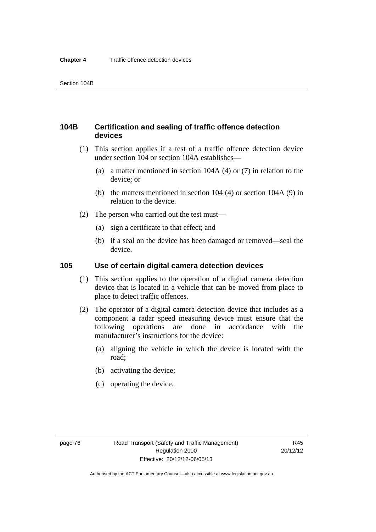### **104B Certification and sealing of traffic offence detection devices**

- (1) This section applies if a test of a traffic offence detection device under section 104 or section 104A establishes—
	- (a) a matter mentioned in section 104A (4) or (7) in relation to the device; or
	- (b) the matters mentioned in section 104 (4) or section 104A (9) in relation to the device.
- (2) The person who carried out the test must—
	- (a) sign a certificate to that effect; and
	- (b) if a seal on the device has been damaged or removed—seal the device.

### **105 Use of certain digital camera detection devices**

- (1) This section applies to the operation of a digital camera detection device that is located in a vehicle that can be moved from place to place to detect traffic offences.
- (2) The operator of a digital camera detection device that includes as a component a radar speed measuring device must ensure that the following operations are done in accordance with the manufacturer's instructions for the device:
	- (a) aligning the vehicle in which the device is located with the road;
	- (b) activating the device;
	- (c) operating the device.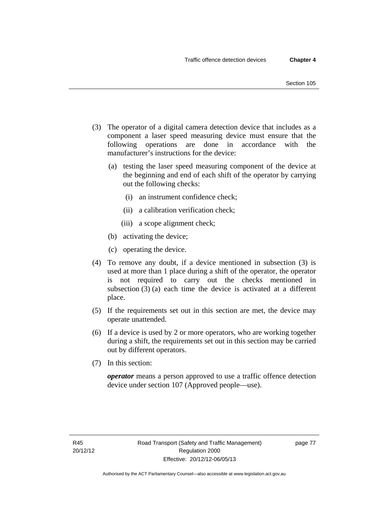- (3) The operator of a digital camera detection device that includes as a component a laser speed measuring device must ensure that the following operations are done in accordance with the manufacturer's instructions for the device:
	- (a) testing the laser speed measuring component of the device at the beginning and end of each shift of the operator by carrying out the following checks:
		- (i) an instrument confidence check;
		- (ii) a calibration verification check;
		- (iii) a scope alignment check;
	- (b) activating the device;
	- (c) operating the device.
- (4) To remove any doubt, if a device mentioned in subsection (3) is used at more than 1 place during a shift of the operator, the operator is not required to carry out the checks mentioned in subsection (3) (a) each time the device is activated at a different place.
- (5) If the requirements set out in this section are met, the device may operate unattended.
- (6) If a device is used by 2 or more operators, who are working together during a shift, the requirements set out in this section may be carried out by different operators.
- (7) In this section:

*operator* means a person approved to use a traffic offence detection device under section 107 (Approved people—use).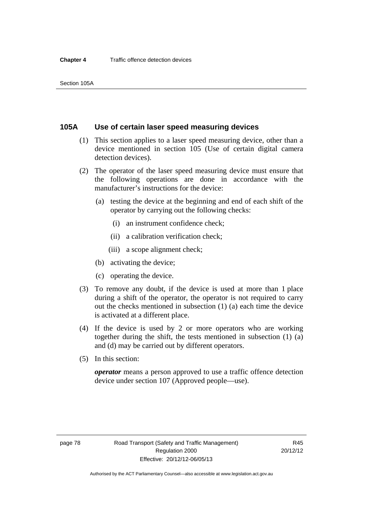### **105A Use of certain laser speed measuring devices**

- (1) This section applies to a laser speed measuring device, other than a device mentioned in section 105 (Use of certain digital camera detection devices).
- (2) The operator of the laser speed measuring device must ensure that the following operations are done in accordance with the manufacturer's instructions for the device:
	- (a) testing the device at the beginning and end of each shift of the operator by carrying out the following checks:
		- (i) an instrument confidence check;
		- (ii) a calibration verification check;
		- (iii) a scope alignment check;
	- (b) activating the device;
	- (c) operating the device.
- (3) To remove any doubt, if the device is used at more than 1 place during a shift of the operator, the operator is not required to carry out the checks mentioned in subsection (1) (a) each time the device is activated at a different place.
- (4) If the device is used by 2 or more operators who are working together during the shift, the tests mentioned in subsection (1) (a) and (d) may be carried out by different operators.
- (5) In this section:

*operator* means a person approved to use a traffic offence detection device under section 107 (Approved people—use).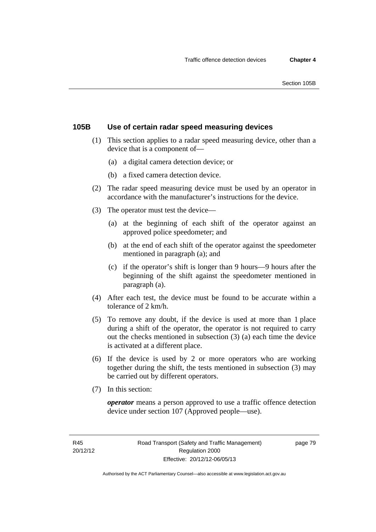### **105B Use of certain radar speed measuring devices**

- (1) This section applies to a radar speed measuring device, other than a device that is a component of—
	- (a) a digital camera detection device; or
	- (b) a fixed camera detection device.
- (2) The radar speed measuring device must be used by an operator in accordance with the manufacturer's instructions for the device.
- (3) The operator must test the device—
	- (a) at the beginning of each shift of the operator against an approved police speedometer; and
	- (b) at the end of each shift of the operator against the speedometer mentioned in paragraph (a); and
	- (c) if the operator's shift is longer than 9 hours—9 hours after the beginning of the shift against the speedometer mentioned in paragraph (a).
- (4) After each test, the device must be found to be accurate within a tolerance of 2 km/h.
- (5) To remove any doubt, if the device is used at more than 1 place during a shift of the operator, the operator is not required to carry out the checks mentioned in subsection (3) (a) each time the device is activated at a different place.
- (6) If the device is used by 2 or more operators who are working together during the shift, the tests mentioned in subsection (3) may be carried out by different operators.
- (7) In this section:

*operator* means a person approved to use a traffic offence detection device under section 107 (Approved people—use).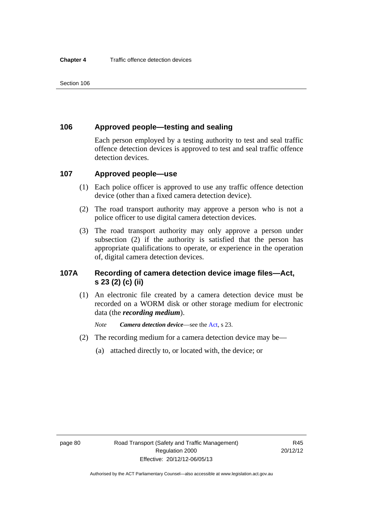### **106 Approved people—testing and sealing**

Each person employed by a testing authority to test and seal traffic offence detection devices is approved to test and seal traffic offence detection devices.

### **107 Approved people—use**

- (1) Each police officer is approved to use any traffic offence detection device (other than a fixed camera detection device).
- (2) The road transport authority may approve a person who is not a police officer to use digital camera detection devices.
- (3) The road transport authority may only approve a person under subsection (2) if the authority is satisfied that the person has appropriate qualifications to operate, or experience in the operation of, digital camera detection devices.

### **107A Recording of camera detection device image files—Act, s 23 (2) (c) (ii)**

(1) An electronic file created by a camera detection device must be recorded on a WORM disk or other storage medium for electronic data (the *recording medium*).

*Note Camera detection device*—see the [Act,](http://www.legislation.act.gov.au/a/1999-80/default.asp) s 23.

- (2) The recording medium for a camera detection device may be—
	- (a) attached directly to, or located with, the device; or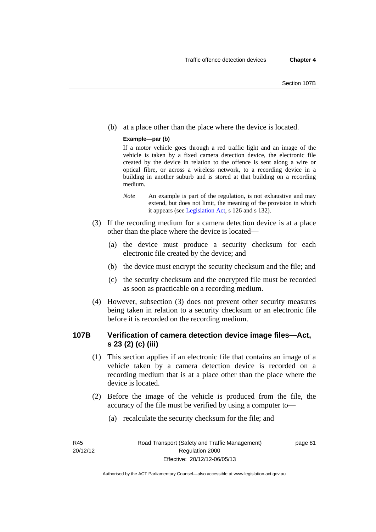(b) at a place other than the place where the device is located.

#### **Example—par (b)**

If a motor vehicle goes through a red traffic light and an image of the vehicle is taken by a fixed camera detection device, the electronic file created by the device in relation to the offence is sent along a wire or optical fibre, or across a wireless network, to a recording device in a building in another suburb and is stored at that building on a recording medium.

- *Note* An example is part of the regulation, is not exhaustive and may extend, but does not limit, the meaning of the provision in which it appears (see [Legislation Act,](http://www.legislation.act.gov.au/a/2001-14) s 126 and s 132).
- (3) If the recording medium for a camera detection device is at a place other than the place where the device is located—
	- (a) the device must produce a security checksum for each electronic file created by the device; and
	- (b) the device must encrypt the security checksum and the file; and
	- (c) the security checksum and the encrypted file must be recorded as soon as practicable on a recording medium.
- (4) However, subsection (3) does not prevent other security measures being taken in relation to a security checksum or an electronic file before it is recorded on the recording medium.

### **107B Verification of camera detection device image files—Act, s 23 (2) (c) (iii)**

- (1) This section applies if an electronic file that contains an image of a vehicle taken by a camera detection device is recorded on a recording medium that is at a place other than the place where the device is located.
- (2) Before the image of the vehicle is produced from the file, the accuracy of the file must be verified by using a computer to—
	- (a) recalculate the security checksum for the file; and

R45 20/12/12 page 81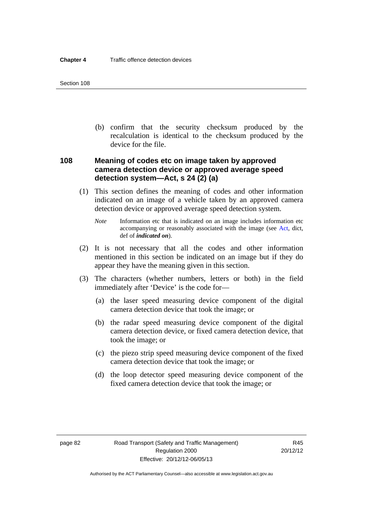(b) confirm that the security checksum produced by the recalculation is identical to the checksum produced by the device for the file.

### **108 Meaning of codes etc on image taken by approved camera detection device or approved average speed detection system—Act, s 24 (2) (a)**

- (1) This section defines the meaning of codes and other information indicated on an image of a vehicle taken by an approved camera detection device or approved average speed detection system.
	- *Note* Information etc that is indicated on an image includes information etc accompanying or reasonably associated with the image (see [Act](http://www.legislation.act.gov.au/a/1999-80/default.asp), dict, def of *indicated on*).
- (2) It is not necessary that all the codes and other information mentioned in this section be indicated on an image but if they do appear they have the meaning given in this section.
- (3) The characters (whether numbers, letters or both) in the field immediately after 'Device' is the code for—
	- (a) the laser speed measuring device component of the digital camera detection device that took the image; or
	- (b) the radar speed measuring device component of the digital camera detection device, or fixed camera detection device, that took the image; or
	- (c) the piezo strip speed measuring device component of the fixed camera detection device that took the image; or
	- (d) the loop detector speed measuring device component of the fixed camera detection device that took the image; or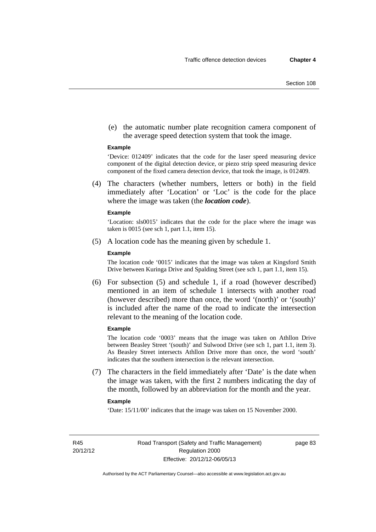(e) the automatic number plate recognition camera component of the average speed detection system that took the image.

#### **Example**

'Device: 012409' indicates that the code for the laser speed measuring device component of the digital detection device, or piezo strip speed measuring device component of the fixed camera detection device, that took the image, is 012409.

 (4) The characters (whether numbers, letters or both) in the field immediately after 'Location' or 'Loc' is the code for the place where the image was taken (the *location code*).

#### **Example**

'Location: sls0015' indicates that the code for the place where the image was taken is 0015 (see sch 1, part 1.1, item 15).

(5) A location code has the meaning given by schedule 1.

#### **Example**

The location code '0015' indicates that the image was taken at Kingsford Smith Drive between Kuringa Drive and Spalding Street (see sch 1, part 1.1, item 15).

 (6) For subsection (5) and schedule 1, if a road (however described) mentioned in an item of schedule 1 intersects with another road (however described) more than once, the word '(north)' or '(south)' is included after the name of the road to indicate the intersection relevant to the meaning of the location code.

#### **Example**

The location code '0003' means that the image was taken on Athllon Drive between Beasley Street '(south)' and Sulwood Drive (see sch 1, part 1.1, item 3). As Beasley Street intersects Athllon Drive more than once, the word 'south' indicates that the southern intersection is the relevant intersection.

 (7) The characters in the field immediately after 'Date' is the date when the image was taken, with the first 2 numbers indicating the day of the month, followed by an abbreviation for the month and the year.

#### **Example**

'Date: 15/11/00' indicates that the image was taken on 15 November 2000.

R45 20/12/12 page 83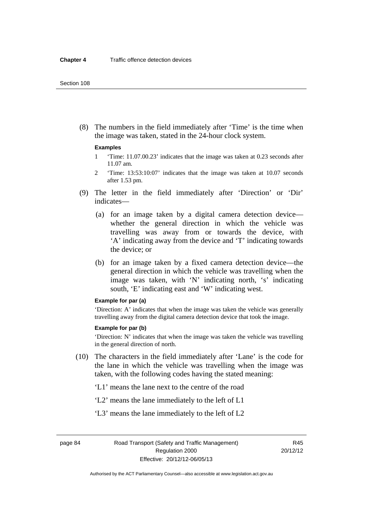(8) The numbers in the field immediately after 'Time' is the time when the image was taken, stated in the 24-hour clock system.

#### **Examples**

- 1 'Time: 11.07.00.23' indicates that the image was taken at 0.23 seconds after 11.07 am.
- 2 'Time: 13:53:10:07' indicates that the image was taken at 10.07 seconds after 1.53 pm.
- (9) The letter in the field immediately after 'Direction' or 'Dir' indicates—
	- (a) for an image taken by a digital camera detection device whether the general direction in which the vehicle was travelling was away from or towards the device, with 'A' indicating away from the device and 'T' indicating towards the device; or
	- (b) for an image taken by a fixed camera detection device—the general direction in which the vehicle was travelling when the image was taken, with 'N' indicating north, 's' indicating south, 'E' indicating east and 'W' indicating west.

#### **Example for par (a)**

'Direction: A' indicates that when the image was taken the vehicle was generally travelling away from the digital camera detection device that took the image.

#### **Example for par (b)**

'Direction: N' indicates that when the image was taken the vehicle was travelling in the general direction of north.

- (10) The characters in the field immediately after 'Lane' is the code for the lane in which the vehicle was travelling when the image was taken, with the following codes having the stated meaning:
	- 'L1' means the lane next to the centre of the road
	- 'L2' means the lane immediately to the left of L1
	- 'L3' means the lane immediately to the left of L2

page 84 Road Transport (Safety and Traffic Management) Regulation 2000 Effective: 20/12/12-06/05/13

R45 20/12/12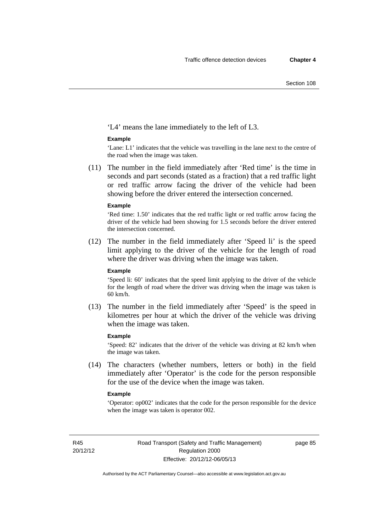'L4' means the lane immediately to the left of L3.

#### **Example**

'Lane: L1' indicates that the vehicle was travelling in the lane next to the centre of the road when the image was taken.

 (11) The number in the field immediately after 'Red time' is the time in seconds and part seconds (stated as a fraction) that a red traffic light or red traffic arrow facing the driver of the vehicle had been showing before the driver entered the intersection concerned.

#### **Example**

'Red time: 1.50' indicates that the red traffic light or red traffic arrow facing the driver of the vehicle had been showing for 1.5 seconds before the driver entered the intersection concerned.

 (12) The number in the field immediately after 'Speed li' is the speed limit applying to the driver of the vehicle for the length of road where the driver was driving when the image was taken.

#### **Example**

'Speed li: 60' indicates that the speed limit applying to the driver of the vehicle for the length of road where the driver was driving when the image was taken is 60 km/h.

 (13) The number in the field immediately after 'Speed' is the speed in kilometres per hour at which the driver of the vehicle was driving when the image was taken.

#### **Example**

'Speed: 82' indicates that the driver of the vehicle was driving at 82 km/h when the image was taken.

 (14) The characters (whether numbers, letters or both) in the field immediately after 'Operator' is the code for the person responsible for the use of the device when the image was taken.

#### **Example**

'Operator: op002' indicates that the code for the person responsible for the device when the image was taken is operator 002.

R45 20/12/12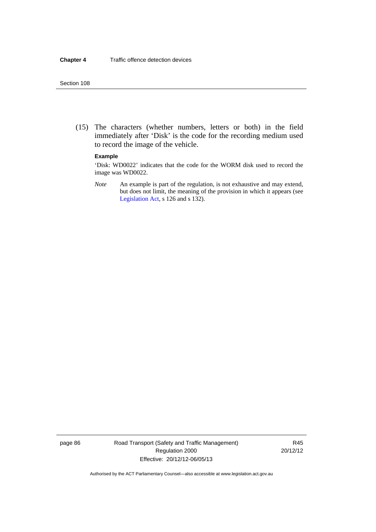(15) The characters (whether numbers, letters or both) in the field immediately after 'Disk' is the code for the recording medium used to record the image of the vehicle.

#### **Example**

'Disk: WD0022' indicates that the code for the WORM disk used to record the image was WD0022.

*Note* An example is part of the regulation, is not exhaustive and may extend, but does not limit, the meaning of the provision in which it appears (see [Legislation Act,](http://www.legislation.act.gov.au/a/2001-14) s 126 and s 132).

page 86 Road Transport (Safety and Traffic Management) Regulation 2000 Effective: 20/12/12-06/05/13

R45 20/12/12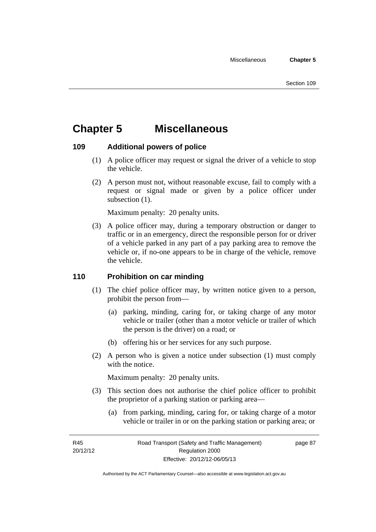# **Chapter 5 Miscellaneous**

### **109 Additional powers of police**

- (1) A police officer may request or signal the driver of a vehicle to stop the vehicle.
- (2) A person must not, without reasonable excuse, fail to comply with a request or signal made or given by a police officer under subsection  $(1)$ .

Maximum penalty: 20 penalty units.

 (3) A police officer may, during a temporary obstruction or danger to traffic or in an emergency, direct the responsible person for or driver of a vehicle parked in any part of a pay parking area to remove the vehicle or, if no-one appears to be in charge of the vehicle, remove the vehicle.

### **110 Prohibition on car minding**

- (1) The chief police officer may, by written notice given to a person, prohibit the person from—
	- (a) parking, minding, caring for, or taking charge of any motor vehicle or trailer (other than a motor vehicle or trailer of which the person is the driver) on a road; or
	- (b) offering his or her services for any such purpose.
- (2) A person who is given a notice under subsection (1) must comply with the notice.

Maximum penalty: 20 penalty units.

- (3) This section does not authorise the chief police officer to prohibit the proprietor of a parking station or parking area—
	- (a) from parking, minding, caring for, or taking charge of a motor vehicle or trailer in or on the parking station or parking area; or

R45 20/12/12 page 87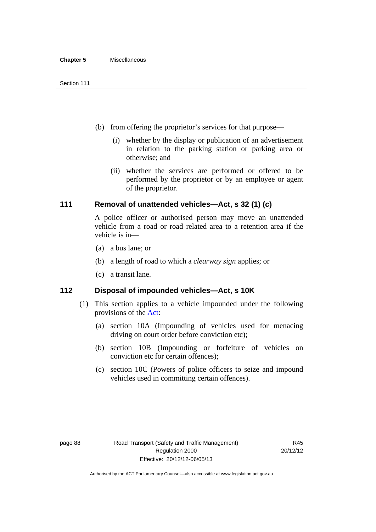- (b) from offering the proprietor's services for that purpose—
	- (i) whether by the display or publication of an advertisement in relation to the parking station or parking area or otherwise; and
	- (ii) whether the services are performed or offered to be performed by the proprietor or by an employee or agent of the proprietor.

### **111 Removal of unattended vehicles—Act, s 32 (1) (c)**

A police officer or authorised person may move an unattended vehicle from a road or road related area to a retention area if the vehicle is in—

- (a) a bus lane; or
- (b) a length of road to which a *clearway sign* applies; or
- (c) a transit lane.

### **112 Disposal of impounded vehicles—Act, s 10K**

- (1) This section applies to a vehicle impounded under the following provisions of the [Act:](http://www.legislation.act.gov.au/a/1999-80/default.asp)
	- (a) section 10A (Impounding of vehicles used for menacing driving on court order before conviction etc);
	- (b) section 10B (Impounding or forfeiture of vehicles on conviction etc for certain offences);
	- (c) section 10C (Powers of police officers to seize and impound vehicles used in committing certain offences).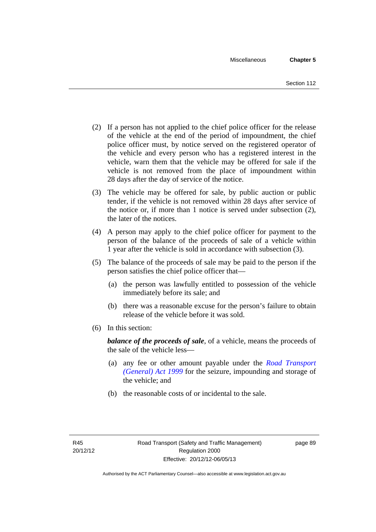- (2) If a person has not applied to the chief police officer for the release of the vehicle at the end of the period of impoundment, the chief police officer must, by notice served on the registered operator of the vehicle and every person who has a registered interest in the vehicle, warn them that the vehicle may be offered for sale if the vehicle is not removed from the place of impoundment within 28 days after the day of service of the notice.
- (3) The vehicle may be offered for sale, by public auction or public tender, if the vehicle is not removed within 28 days after service of the notice or, if more than 1 notice is served under subsection (2), the later of the notices.
- (4) A person may apply to the chief police officer for payment to the person of the balance of the proceeds of sale of a vehicle within 1 year after the vehicle is sold in accordance with subsection (3).
- (5) The balance of the proceeds of sale may be paid to the person if the person satisfies the chief police officer that—
	- (a) the person was lawfully entitled to possession of the vehicle immediately before its sale; and
	- (b) there was a reasonable excuse for the person's failure to obtain release of the vehicle before it was sold.
- (6) In this section:

*balance of the proceeds of sale*, of a vehicle, means the proceeds of the sale of the vehicle less—

- (a) any fee or other amount payable under the *[Road Transport](http://www.legislation.act.gov.au/a/1999-77)  [\(General\) Act 1999](http://www.legislation.act.gov.au/a/1999-77)* for the seizure, impounding and storage of the vehicle; and
- (b) the reasonable costs of or incidental to the sale.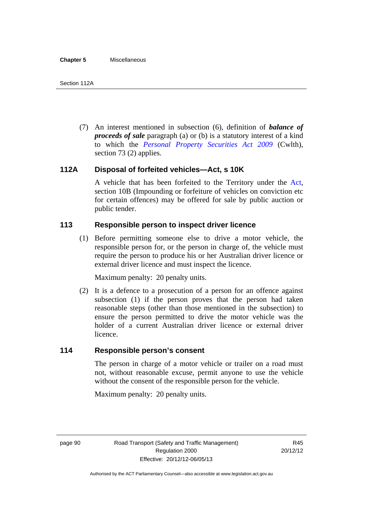(7) An interest mentioned in subsection (6), definition of *balance of proceeds of sale* paragraph (a) or (b) is a statutory interest of a kind to which the *[Personal Property Securities Act 2009](http://www.comlaw.gov.au/Series/C2009A00130)* (Cwlth), section 73 (2) applies.

# **112A Disposal of forfeited vehicles—Act, s 10K**

A vehicle that has been forfeited to the Territory under the [Act](http://www.legislation.act.gov.au/a/1999-80/default.asp), section 10B (Impounding or forfeiture of vehicles on conviction etc for certain offences) may be offered for sale by public auction or public tender.

# **113 Responsible person to inspect driver licence**

(1) Before permitting someone else to drive a motor vehicle, the responsible person for, or the person in charge of, the vehicle must require the person to produce his or her Australian driver licence or external driver licence and must inspect the licence.

Maximum penalty: 20 penalty units.

 (2) It is a defence to a prosecution of a person for an offence against subsection (1) if the person proves that the person had taken reasonable steps (other than those mentioned in the subsection) to ensure the person permitted to drive the motor vehicle was the holder of a current Australian driver licence or external driver licence.

# **114 Responsible person's consent**

The person in charge of a motor vehicle or trailer on a road must not, without reasonable excuse, permit anyone to use the vehicle without the consent of the responsible person for the vehicle.

Maximum penalty: 20 penalty units.

page 90 Road Transport (Safety and Traffic Management) Regulation 2000 Effective: 20/12/12-06/05/13

R45 20/12/12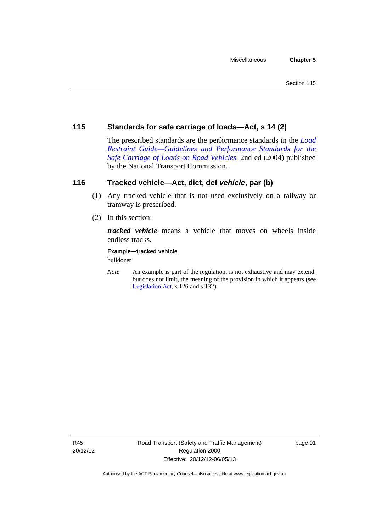# **115 Standards for safe carriage of loads—Act, s 14 (2)**

The prescribed standards are the performance standards in the *[Load](http://www.ntc.gov.au/viewpage.aspx?documentid=862)  [Restraint Guide—Guidelines and Performance Standards for the](http://www.ntc.gov.au/viewpage.aspx?documentid=862)  [Safe Carriage of Loads on Road Vehicles](http://www.ntc.gov.au/viewpage.aspx?documentid=862)*, 2nd ed (2004) published by the National Transport Commission.

# **116 Tracked vehicle—Act, dict, def** *vehicle***, par (b)**

- (1) Any tracked vehicle that is not used exclusively on a railway or tramway is prescribed.
- (2) In this section:

*tracked vehicle* means a vehicle that moves on wheels inside endless tracks.

**Example—tracked vehicle** 

bulldozer

*Note* An example is part of the regulation, is not exhaustive and may extend, but does not limit, the meaning of the provision in which it appears (see [Legislation Act,](http://www.legislation.act.gov.au/a/2001-14) s 126 and s 132).

R45 20/12/12 page 91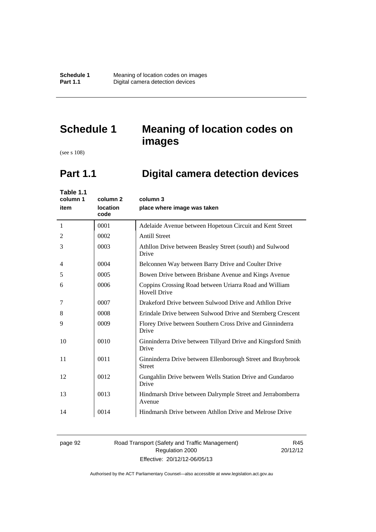**Schedule 1 Meaning of location codes on images**<br>**Part 1.1 Digital camera detection devices Pigital camera detection devices** 

# **Schedule 1 Meaning of location codes on images**

(see s 108)

l,

# **Part 1.1 Digital camera detection devices**

| Table 1.1<br>column 1<br>item | column 2<br>location<br>code | column 3<br>place where image was taken                                       |
|-------------------------------|------------------------------|-------------------------------------------------------------------------------|
| 1                             | 0001                         | Adelaide Avenue between Hopetoun Circuit and Kent Street                      |
| 2                             | 0002                         | <b>Antill Street</b>                                                          |
| 3                             | 0003                         | Athllon Drive between Beasley Street (south) and Sulwood<br>Drive             |
| 4                             | 0004                         | Belconnen Way between Barry Drive and Coulter Drive                           |
| 5                             | 0005                         | Bowen Drive between Brisbane Avenue and Kings Avenue                          |
| 6                             | 0006                         | Coppins Crossing Road between Uriarra Road and William<br><b>Hovell Drive</b> |
| 7                             | 0007                         | Drakeford Drive between Sulwood Drive and Athllon Drive                       |
| 8                             | 0008                         | Erindale Drive between Sulwood Drive and Sternberg Crescent                   |
| 9                             | 0009                         | Florey Drive between Southern Cross Drive and Ginninderra<br>Drive            |
| 10                            | 0010                         | Ginninderra Drive between Tillyard Drive and Kingsford Smith<br>Drive         |
| 11                            | 0011                         | Ginninderra Drive between Ellenborough Street and Braybrook<br><b>Street</b>  |
| 12                            | 0012                         | Gungahlin Drive between Wells Station Drive and Gundaroo<br>Drive             |
| 13                            | 0013                         | Hindmarsh Drive between Dalrymple Street and Jerrabomberra<br>Avenue          |
| 14                            | 0014                         | Hindmarsh Drive between Athllon Drive and Melrose Drive                       |

## page 92 Road Transport (Safety and Traffic Management) Regulation 2000 Effective: 20/12/12-06/05/13

R45 20/12/12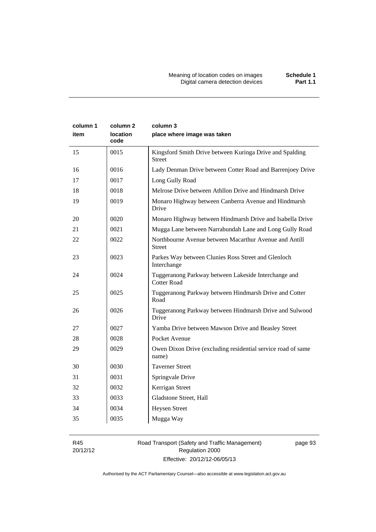| column 1<br>item | column <sub>2</sub><br><b>location</b><br>code | column 3<br>place where image was taken                                    |
|------------------|------------------------------------------------|----------------------------------------------------------------------------|
| 15               | 0015                                           | Kingsford Smith Drive between Kuringa Drive and Spalding<br><b>Street</b>  |
| 16               | 0016                                           | Lady Denman Drive between Cotter Road and Barrenjoey Drive                 |
| 17               | 0017                                           | Long Gully Road                                                            |
| 18               | 0018                                           | Melrose Drive between Athllon Drive and Hindmarsh Drive                    |
| 19               | 0019                                           | Monaro Highway between Canberra Avenue and Hindmarsh<br>Drive              |
| 20               | 0020                                           | Monaro Highway between Hindmarsh Drive and Isabella Drive                  |
| 21               | 0021                                           | Mugga Lane between Narrabundah Lane and Long Gully Road                    |
| 22               | 0022                                           | Northbourne Avenue between Macarthur Avenue and Antill<br><b>Street</b>    |
| 23               | 0023                                           | Parkes Way between Clunies Ross Street and Glenloch<br>Interchange         |
| 24               | 0024                                           | Tuggeranong Parkway between Lakeside Interchange and<br><b>Cotter Road</b> |
| 25               | 0025                                           | Tuggeranong Parkway between Hindmarsh Drive and Cotter<br>Road             |
| 26               | 0026                                           | Tuggeranong Parkway between Hindmarsh Drive and Sulwood<br>Drive           |
| 27               | 0027                                           | Yamba Drive between Mawson Drive and Beasley Street                        |
| 28               | 0028                                           | Pocket Avenue                                                              |
| 29               | 0029                                           | Owen Dixon Drive (excluding residential service road of same<br>name)      |
| 30               | 0030                                           | <b>Taverner Street</b>                                                     |
| 31               | 0031                                           | Springvale Drive                                                           |
| 32               | 0032                                           | Kerrigan Street                                                            |
| 33               | 0033                                           | Gladstone Street, Hall                                                     |
| 34               | 0034                                           | <b>Heysen Street</b>                                                       |
| 35               | 0035                                           | Mugga Way                                                                  |

R45 20/12/12

# Road Transport (Safety and Traffic Management) Regulation 2000 Effective: 20/12/12-06/05/13

page 93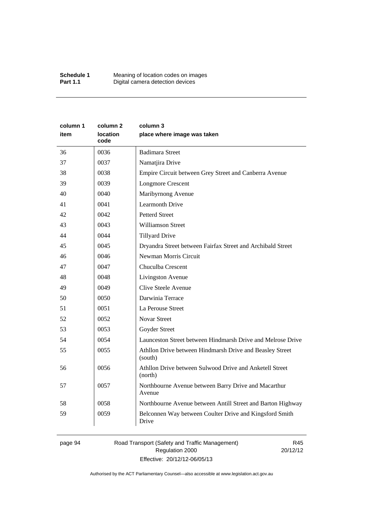| column 1<br>item | column 2<br><b>location</b><br>code | column 3<br>place where image was taken                             |
|------------------|-------------------------------------|---------------------------------------------------------------------|
| 36               | 0036                                | <b>Badimara Street</b>                                              |
| 37               | 0037                                | Namatjira Drive                                                     |
| 38               | 0038                                | Empire Circuit between Grey Street and Canberra Avenue              |
| 39               | 0039                                | <b>Longmore Crescent</b>                                            |
| 40               | 0040                                | Maribyrnong Avenue                                                  |
| 41               | 0041                                | <b>Learmonth Drive</b>                                              |
| 42               | 0042                                | <b>Petterd Street</b>                                               |
| 43               | 0043                                | <b>Williamson Street</b>                                            |
| 44               | 0044                                | <b>Tillyard Drive</b>                                               |
| 45               | 0045                                | Dryandra Street between Fairfax Street and Archibald Street         |
| 46               | 0046                                | Newman Morris Circuit                                               |
| 47               | 0047                                | Chuculba Crescent                                                   |
| 48               | 0048                                | Livingston Avenue                                                   |
| 49               | 0049                                | Clive Steele Avenue                                                 |
| 50               | 0050                                | Darwinia Terrace                                                    |
| 51               | 0051                                | La Perouse Street                                                   |
| 52               | 0052                                | <b>Novar Street</b>                                                 |
| 53               | 0053                                | Goyder Street                                                       |
| 54               | 0054                                | Launceston Street between Hindmarsh Drive and Melrose Drive         |
| 55               | 0055                                | Athllon Drive between Hindmarsh Drive and Beasley Street<br>(south) |
| 56               | 0056                                | Athllon Drive between Sulwood Drive and Anketell Street<br>(north)  |
| 57               | 0057                                | Northbourne Avenue between Barry Drive and Macarthur<br>Avenue      |
| 58               | 0058                                | Northbourne Avenue between Antill Street and Barton Highway         |
| 59               | 0059                                | Belconnen Way between Coulter Drive and Kingsford Smith<br>Drive    |

# page 94 Road Transport (Safety and Traffic Management) Regulation 2000 Effective: 20/12/12-06/05/13

R45 20/12/12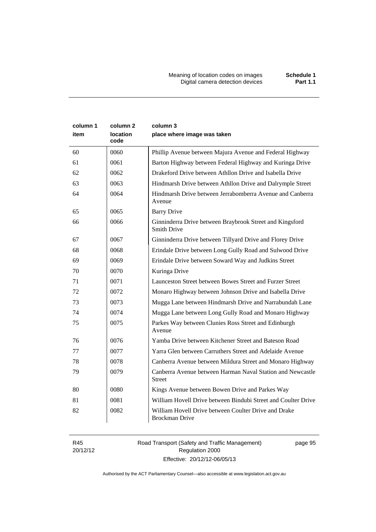Meaning of location codes on images **Schedule 1** Digital camera detection devices **Part 1.1** 

| column 1<br>item | column <sub>2</sub><br>location<br>code | column 3<br>place where image was taken                                        |
|------------------|-----------------------------------------|--------------------------------------------------------------------------------|
| 60               | 0060                                    | Phillip Avenue between Majura Avenue and Federal Highway                       |
| 61               | 0061                                    | Barton Highway between Federal Highway and Kuringa Drive                       |
| 62               | 0062                                    | Drakeford Drive between Athllon Drive and Isabella Drive                       |
| 63               | 0063                                    | Hindmarsh Drive between Athllon Drive and Dalrymple Street                     |
| 64               | 0064                                    | Hindmarsh Drive between Jerrabomberra Avenue and Canberra<br>Avenue            |
| 65               | 0065                                    | <b>Barry Drive</b>                                                             |
| 66               | 0066                                    | Ginninderra Drive between Braybrook Street and Kingsford<br><b>Smith Drive</b> |
| 67               | 0067                                    | Ginninderra Drive between Tillyard Drive and Florey Drive                      |
| 68               | 0068                                    | Erindale Drive between Long Gully Road and Sulwood Drive                       |
| 69               | 0069                                    | Erindale Drive between Soward Way and Judkins Street                           |
| 70               | 0070                                    | Kuringa Drive                                                                  |
| 71               | 0071                                    | Launceston Street between Bowes Street and Furzer Street                       |
| 72               | 0072                                    | Monaro Highway between Johnson Drive and Isabella Drive                        |
| 73               | 0073                                    | Mugga Lane between Hindmarsh Drive and Narrabundah Lane                        |
| 74               | 0074                                    | Mugga Lane between Long Gully Road and Monaro Highway                          |
| 75               | 0075                                    | Parkes Way between Clunies Ross Street and Edinburgh<br>Avenue                 |
| 76               | 0076                                    | Yamba Drive between Kitchener Street and Bateson Road                          |
| 77               | 0077                                    | Yarra Glen between Carruthers Street and Adelaide Avenue                       |
| 78               | 0078                                    | Canberra Avenue between Mildura Street and Monaro Highway                      |
| 79               | 0079                                    | Canberra Avenue between Harman Naval Station and Newcastle<br><b>Street</b>    |
| 80               | 0080                                    | Kings Avenue between Bowen Drive and Parkes Way                                |
| 81               | 0081                                    | William Hovell Drive between Bindubi Street and Coulter Drive                  |
| 82               | 0082                                    | William Hovell Drive between Coulter Drive and Drake<br><b>Brockman Drive</b>  |

R45 20/12/12 Road Transport (Safety and Traffic Management) Regulation 2000 Effective: 20/12/12-06/05/13

page 95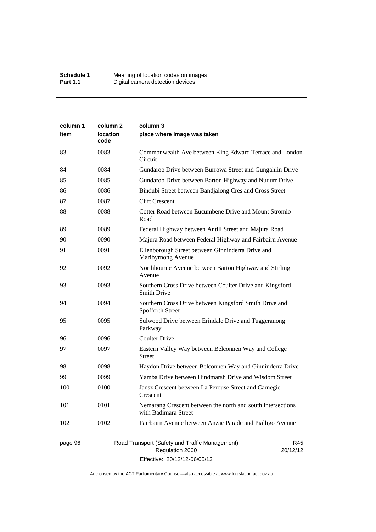| column 1 | column 2                | column 3                                                                            |
|----------|-------------------------|-------------------------------------------------------------------------------------|
| item     | <b>location</b><br>code | place where image was taken                                                         |
| 83       | 0083                    | Commonwealth Ave between King Edward Terrace and London<br>Circuit                  |
| 84       | 0084                    | Gundaroo Drive between Burrowa Street and Gungahlin Drive                           |
| 85       | 0085                    | Gundaroo Drive between Barton Highway and Nudurr Drive                              |
| 86       | 0086                    | Bindubi Street between Bandjalong Cres and Cross Street                             |
| 87       | 0087                    | <b>Clift Crescent</b>                                                               |
| 88       | 0088                    | Cotter Road between Eucumbene Drive and Mount Stromlo<br>Road                       |
| 89       | 0089                    | Federal Highway between Antill Street and Majura Road                               |
| 90       | 0090                    | Majura Road between Federal Highway and Fairbairn Avenue                            |
| 91       | 0091                    | Ellenborough Street between Ginninderra Drive and<br>Maribyrnong Avenue             |
| 92       | 0092                    | Northbourne Avenue between Barton Highway and Stirling<br>Avenue                    |
| 93       | 0093                    | Southern Cross Drive between Coulter Drive and Kingsford<br><b>Smith Drive</b>      |
| 94       | 0094                    | Southern Cross Drive between Kingsford Smith Drive and<br>Spofforth Street          |
| 95       | 0095                    | Sulwood Drive between Erindale Drive and Tuggeranong<br>Parkway                     |
| 96       | 0096                    | <b>Coulter Drive</b>                                                                |
| 97       | 0097                    | Eastern Valley Way between Belconnen Way and College<br><b>Street</b>               |
| 98       | 0098                    | Haydon Drive between Belconnen Way and Ginninderra Drive                            |
| 99       | 0099                    | Yamba Drive between Hindmarsh Drive and Wisdom Street                               |
| 100      | 0100                    | Jansz Crescent between La Perouse Street and Carnegie<br>Crescent                   |
| 101      | 0101                    | Nemarang Crescent between the north and south intersections<br>with Badimara Street |
| 102      | 0102                    | Fairbairn Avenue between Anzac Parade and Pialligo Avenue                           |
|          |                         |                                                                                     |

# page 96 Road Transport (Safety and Traffic Management) Regulation 2000 Effective: 20/12/12-06/05/13

R45 20/12/12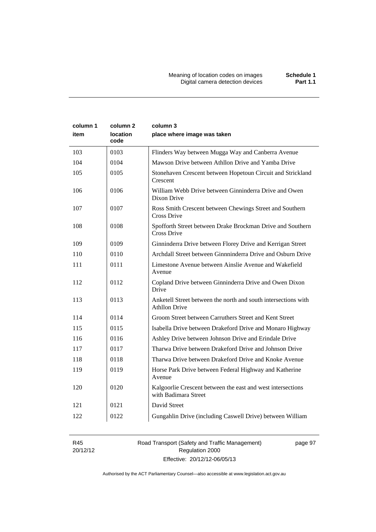| column 1<br>item | column 2<br>location<br>code | column 3<br>place where image was taken                                                |
|------------------|------------------------------|----------------------------------------------------------------------------------------|
| 103              | 0103                         | Flinders Way between Mugga Way and Canberra Avenue                                     |
| 104              | 0104                         | Mawson Drive between Athllon Drive and Yamba Drive                                     |
| 105              | 0105                         | Stonehaven Crescent between Hopetoun Circuit and Strickland<br>Crescent                |
| 106              | 0106                         | William Webb Drive between Ginninderra Drive and Owen<br>Dixon Drive                   |
| 107              | 0107                         | Ross Smith Crescent between Chewings Street and Southern<br>Cross Drive                |
| 108              | 0108                         | Spofforth Street between Drake Brockman Drive and Southern<br>Cross Drive              |
| 109              | 0109                         | Ginninderra Drive between Florey Drive and Kerrigan Street                             |
| 110              | 0110                         | Archdall Street between Ginnninderra Drive and Osburn Drive                            |
| 111              | 0111                         | Limestone Avenue between Ainslie Avenue and Wakefield<br>Avenue                        |
| 112              | 0112                         | Copland Drive between Ginninderra Drive and Owen Dixon<br>Drive                        |
| 113              | 0113                         | Anketell Street between the north and south intersections with<br><b>Athllon Drive</b> |
| 114              | 0114                         | Groom Street between Carruthers Street and Kent Street                                 |
| 115              | 0115                         | Isabella Drive between Drakeford Drive and Monaro Highway                              |
| 116              | 0116                         | Ashley Drive between Johnson Drive and Erindale Drive                                  |
| 117              | 0117                         | Tharwa Drive between Drakeford Drive and Johnson Drive                                 |
| 118              | 0118                         | Tharwa Drive between Drakeford Drive and Knoke Avenue                                  |
| 119              | 0119                         | Horse Park Drive between Federal Highway and Katherine<br>Avenue                       |
| 120              | 0120                         | Kalgoorlie Crescent between the east and west intersections<br>with Badimara Street    |
| 121              | 0121                         | David Street                                                                           |
| 122              | 0122                         | Gungahlin Drive (including Caswell Drive) between William                              |

R45 20/12/12 Road Transport (Safety and Traffic Management) Regulation 2000 Effective: 20/12/12-06/05/13

page 97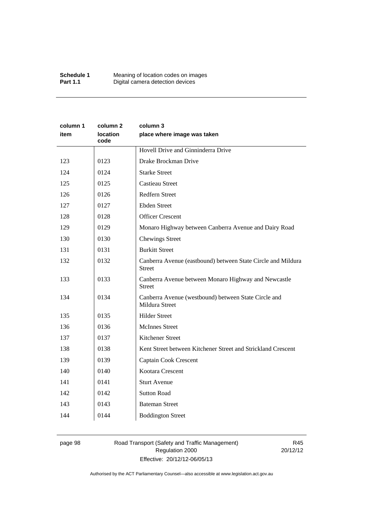| column 1<br>item | column 2<br>location<br>code | column 3<br>place where image was taken                                       |
|------------------|------------------------------|-------------------------------------------------------------------------------|
|                  |                              | Hovell Drive and Ginninderra Drive                                            |
| 123              | 0123                         | Drake Brockman Drive                                                          |
| 124              | 0124                         | <b>Starke Street</b>                                                          |
| 125              | 0125                         | <b>Castieau Street</b>                                                        |
| 126              | 0126                         | Redfern Street                                                                |
| 127              | 0127                         | <b>Ebden Street</b>                                                           |
| 128              | 0128                         | <b>Officer Crescent</b>                                                       |
| 129              | 0129                         | Monaro Highway between Canberra Avenue and Dairy Road                         |
| 130              | 0130                         | <b>Chewings Street</b>                                                        |
| 131              | 0131                         | <b>Burkitt Street</b>                                                         |
| 132              | 0132                         | Canberra Avenue (eastbound) between State Circle and Mildura<br><b>Street</b> |
| 133              | 0133                         | Canberra Avenue between Monaro Highway and Newcastle<br><b>Street</b>         |
| 134              | 0134                         | Canberra Avenue (westbound) between State Circle and<br>Mildura Street        |
| 135              | 0135                         | <b>Hilder Street</b>                                                          |
| 136              | 0136                         | <b>McInnes Street</b>                                                         |
| 137              | 0137                         | Kitchener Street                                                              |
| 138              | 0138                         | Kent Street between Kitchener Street and Strickland Crescent                  |
| 139              | 0139                         | Captain Cook Crescent                                                         |
| 140              | 0140                         | Kootara Crescent                                                              |
| 141              | 0141                         | <b>Sturt Avenue</b>                                                           |
| 142              | 0142                         | <b>Sutton Road</b>                                                            |
| 143              | 0143                         | <b>Bateman Street</b>                                                         |
| 144              | 0144                         | <b>Boddington Street</b>                                                      |

# page 98 Road Transport (Safety and Traffic Management) Regulation 2000 Effective: 20/12/12-06/05/13

R45 20/12/12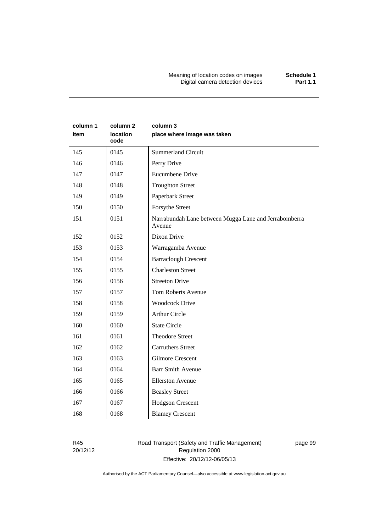Meaning of location codes on images **Schedule 1** Digital camera detection devices **Part 1.1** 

| column 1<br>item | column <sub>2</sub><br><b>location</b><br>code | column 3<br>place where image was taken                         |
|------------------|------------------------------------------------|-----------------------------------------------------------------|
| 145              | 0145                                           | <b>Summerland Circuit</b>                                       |
| 146              | 0146                                           | Perry Drive                                                     |
| 147              | 0147                                           | <b>Eucumbene Drive</b>                                          |
| 148              | 0148                                           | <b>Troughton Street</b>                                         |
| 149              | 0149                                           | Paperbark Street                                                |
| 150              | 0150                                           | Forsythe Street                                                 |
| 151              | 0151                                           | Narrabundah Lane between Mugga Lane and Jerrabomberra<br>Avenue |
| 152              | 0152                                           | Dixon Drive                                                     |
| 153              | 0153                                           | Warragamba Avenue                                               |
| 154              | 0154                                           | <b>Barraclough Crescent</b>                                     |
| 155              | 0155                                           | <b>Charleston Street</b>                                        |
| 156              | 0156                                           | <b>Streeton Drive</b>                                           |
| 157              | 0157                                           | <b>Tom Roberts Avenue</b>                                       |
| 158              | 0158                                           | <b>Woodcock Drive</b>                                           |
| 159              | 0159                                           | <b>Arthur Circle</b>                                            |
| 160              | 0160                                           | <b>State Circle</b>                                             |
| 161              | 0161                                           | <b>Theodore Street</b>                                          |
| 162              | 0162                                           | <b>Carruthers Street</b>                                        |
| 163              | 0163                                           | <b>Gilmore Crescent</b>                                         |
| 164              | 0164                                           | <b>Barr Smith Avenue</b>                                        |
| 165              | 0165                                           | <b>Ellerston Avenue</b>                                         |
| 166              | 0166                                           | <b>Beasley Street</b>                                           |
| 167              | 0167                                           | Hodgson Crescent                                                |
| 168              | 0168                                           | <b>Blamey Crescent</b>                                          |

R45 20/12/12 Road Transport (Safety and Traffic Management) Regulation 2000 Effective: 20/12/12-06/05/13

page 99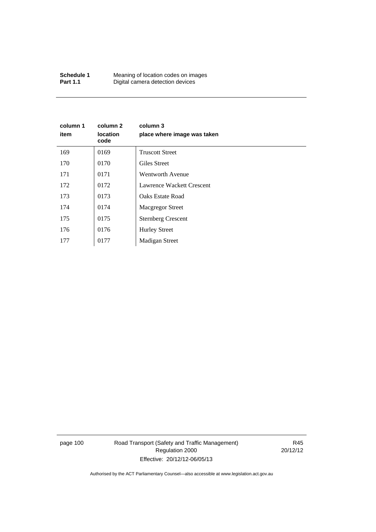| Schedule 1      | Meaning of location codes on images |
|-----------------|-------------------------------------|
| <b>Part 1.1</b> | Digital camera detection devices    |

| column 1<br>item | column 2<br><b>location</b><br>code | column 3<br>place where image was taken |
|------------------|-------------------------------------|-----------------------------------------|
| 169              | 0169                                | <b>Truscott Street</b>                  |
| 170              | 0170                                | Giles Street                            |
| 171              | 0171                                | Wentworth Avenue                        |
| 172              | 0172                                | Lawrence Wackett Crescent               |
| 173              | 0173                                | Oaks Estate Road                        |
| 174              | 0174                                | <b>Macgregor Street</b>                 |
| 175              | 0175                                | <b>Sternberg Crescent</b>               |
| 176              | 0176                                | <b>Hurley Street</b>                    |
| 177              | 0177                                | <b>Madigan Street</b>                   |

page 100 Road Transport (Safety and Traffic Management) Regulation 2000 Effective: 20/12/12-06/05/13

R45 20/12/12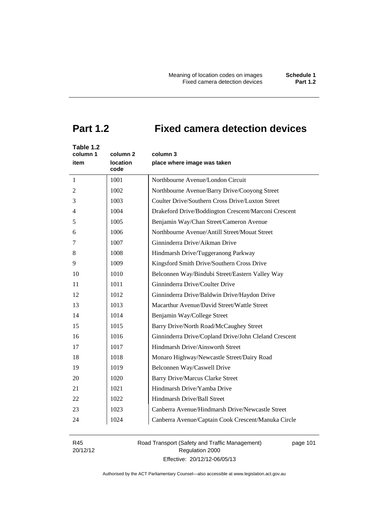# **Part 1.2 Fixed camera detection devices**

| Table 1.2<br>column 1<br>item | column 2<br><b>location</b><br>code | column 3<br>place where image was taken               |
|-------------------------------|-------------------------------------|-------------------------------------------------------|
| 1                             | 1001                                | Northbourne Avenue/London Circuit                     |
| 2                             | 1002                                | Northbourne Avenue/Barry Drive/Cooyong Street         |
| 3                             | 1003                                | Coulter Drive/Southern Cross Drive/Luxton Street      |
| 4                             | 1004                                | Drakeford Drive/Boddington Crescent/Marconi Crescent  |
| 5                             | 1005                                | Benjamin Way/Chan Street/Cameron Avenue               |
| 6                             | 1006                                | Northbourne Avenue/Antill Street/Mouat Street         |
| 7                             | 1007                                | Ginninderra Drive/Aikman Drive                        |
| 8                             | 1008                                | Hindmarsh Drive/Tuggeranong Parkway                   |
| 9                             | 1009                                | Kingsford Smith Drive/Southern Cross Drive            |
| 10                            | 1010                                | Belconnen Way/Bindubi Street/Eastern Valley Way       |
| 11                            | 1011                                | Ginninderra Drive/Coulter Drive                       |
| 12                            | 1012                                | Ginninderra Drive/Baldwin Drive/Haydon Drive          |
| 13                            | 1013                                | Macarthur Avenue/David Street/Wattle Street           |
| 14                            | 1014                                | Benjamin Way/College Street                           |
| 15                            | 1015                                | Barry Drive/North Road/McCaughey Street               |
| 16                            | 1016                                | Ginninderra Drive/Copland Drive/John Cleland Crescent |
| 17                            | 1017                                | Hindmarsh Drive/Ainsworth Street                      |
| 18                            | 1018                                | Monaro Highway/Newcastle Street/Dairy Road            |
| 19                            | 1019                                | Belconnen Way/Caswell Drive                           |
| 20                            | 1020                                | <b>Barry Drive/Marcus Clarke Street</b>               |
| 21                            | 1021                                | Hindmarsh Drive/Yamba Drive                           |
| 22                            | 1022                                | Hindmarsh Drive/Ball Street                           |
| 23                            | 1023                                | Canberra Avenue/Hindmarsh Drive/Newcastle Street      |
| 24                            | 1024                                | Canberra Avenue/Captain Cook Crescent/Manuka Circle   |

R45 20/12/12 Road Transport (Safety and Traffic Management) Regulation 2000 Effective: 20/12/12-06/05/13

page 101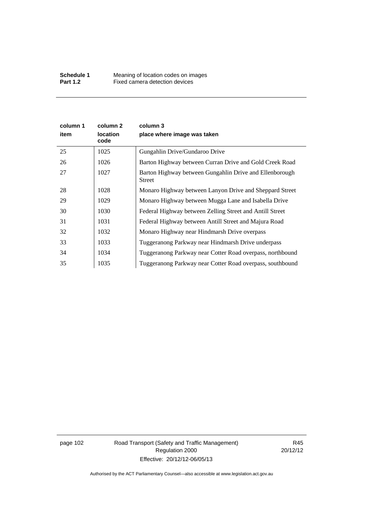| column 1<br>item | column 2<br><b>location</b><br>code | column 3<br>place where image was taken                           |
|------------------|-------------------------------------|-------------------------------------------------------------------|
| 25               | 1025                                | Gungahlin Drive/Gundaroo Drive                                    |
| 26               | 1026                                | Barton Highway between Curran Drive and Gold Creek Road           |
| 27               | 1027                                | Barton Highway between Gungahlin Drive and Ellenborough<br>Street |
| 28               | 1028                                | Monaro Highway between Lanyon Drive and Sheppard Street           |
| 29               | 1029                                | Monaro Highway between Mugga Lane and Isabella Drive              |
| 30               | 1030                                | Federal Highway between Zelling Street and Antill Street          |
| 31               | 1031                                | Federal Highway between Antill Street and Majura Road             |
| 32               | 1032                                | Monaro Highway near Hindmarsh Drive overpass                      |
| 33               | 1033                                | Tuggeranong Parkway near Hindmarsh Drive underpass                |
| 34               | 1034                                | Tuggeranong Parkway near Cotter Road overpass, northbound         |
| 35               | 1035                                | Tuggeranong Parkway near Cotter Road overpass, southbound         |

page 102 Road Transport (Safety and Traffic Management) Regulation 2000 Effective: 20/12/12-06/05/13

R45 20/12/12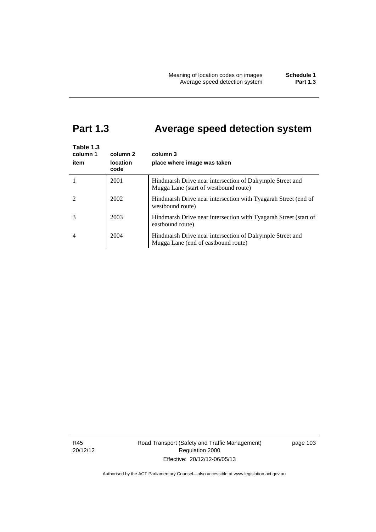# **Part 1.3 Average speed detection system**

| Table 1.3<br>column 1<br>item | column 2<br><b>location</b><br>code | column 3<br>place where image was taken                                                            |
|-------------------------------|-------------------------------------|----------------------------------------------------------------------------------------------------|
|                               | 2001                                | Hindmarsh Drive near intersection of Dalrymple Street and<br>Mugga Lane (start of westbound route) |
|                               | 2002                                | Hindmarsh Drive near intersection with Tyagarah Street (end of<br>westbound route)                 |
|                               | 2003                                | Hindmarsh Drive near intersection with Tyagarah Street (start of<br>eastbound route)               |
| 4                             | 2004                                | Hindmarsh Drive near intersection of Dalrymple Street and<br>Mugga Lane (end of eastbound route)   |

R45 20/12/12 Road Transport (Safety and Traffic Management) Regulation 2000 Effective: 20/12/12-06/05/13

page 103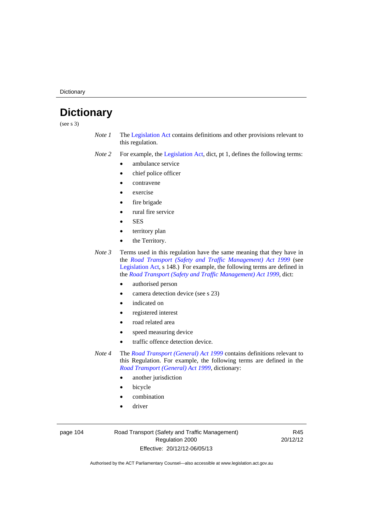**Dictionary** 

# **Dictionary**

(see s 3)

- *Note 1* The [Legislation Act](http://www.legislation.act.gov.au/a/2001-14) contains definitions and other provisions relevant to this regulation.
- *Note 2* For example, the [Legislation Act,](http://www.legislation.act.gov.au/a/2001-14) dict, pt 1, defines the following terms:
	- ambulance service
	- chief police officer
	- contravene
	- exercise
	- fire brigade
	- rural fire service
	- **SES**
	- territory plan
	- the Territory.
- *Note 3* Terms used in this regulation have the same meaning that they have in the *[Road Transport \(Safety and Traffic Management\) Act 1999](http://www.legislation.act.gov.au/a/1999-80)* (see [Legislation Act,](http://www.legislation.act.gov.au/a/2001-14) s 148.) For example, the following terms are defined in the *[Road Transport \(Safety and Traffic Management\) Act 1999](http://www.legislation.act.gov.au/a/1999-80)*, dict:
	- authorised person
	- camera detection device (see s 23)
	- indicated on
	- registered interest
	- road related area
	- speed measuring device
	- traffic offence detection device.

*Note 4* The *[Road Transport \(General\) Act 1999](http://www.legislation.act.gov.au/a/1999-77)* contains definitions relevant to this Regulation. For example, the following terms are defined in the *[Road Transport \(General\) Act 1999](http://www.legislation.act.gov.au/a/1999-77)*, dictionary:

- another jurisdiction
- bicycle
- combination
- driver

page 104 Road Transport (Safety and Traffic Management) Regulation 2000 Effective: 20/12/12-06/05/13

R45 20/12/12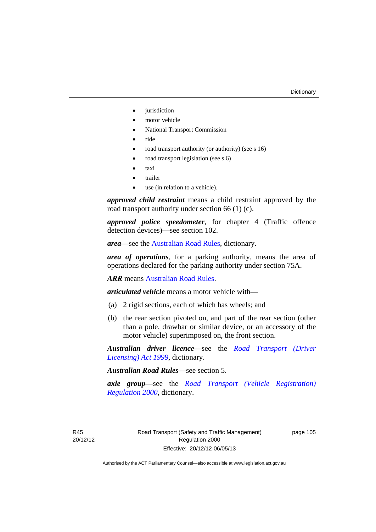- iurisdiction
- motor vehicle
- National Transport Commission
- ride
- road transport authority (or authority) (see s 16)
- road transport legislation (see s 6)
- taxi
- trailer
- use (in relation to a vehicle).

*approved child restraint* means a child restraint approved by the road transport authority under section 66 (1) (c).

*approved police speedometer*, for chapter 4 (Traffic offence detection devices)—see section 102.

*area*—see the [Australian Road Rules,](http://www.legislation.act.gov.au//ni/db_37271/default.asp) dictionary.

*area of operations*, for a parking authority, means the area of operations declared for the parking authority under section 75A.

*ARR* means [Australian Road Rules](http://www.legislation.act.gov.au//ni/db_37271/default.asp).

*articulated vehicle* means a motor vehicle with—

- (a) 2 rigid sections, each of which has wheels; and
- (b) the rear section pivoted on, and part of the rear section (other than a pole, drawbar or similar device, or an accessory of the motor vehicle) superimposed on, the front section.

*Australian driver licence*—see the *[Road Transport \(Driver](http://www.legislation.act.gov.au/a/1999-78)  [Licensing\) Act 1999](http://www.legislation.act.gov.au/a/1999-78)*, dictionary.

*Australian Road Rules*—see section 5.

*axle group*—see the *[Road Transport \(Vehicle Registration\)](http://www.legislation.act.gov.au/sl/2000-12)  [Regulation 2000](http://www.legislation.act.gov.au/sl/2000-12)*, dictionary.

R45 20/12/12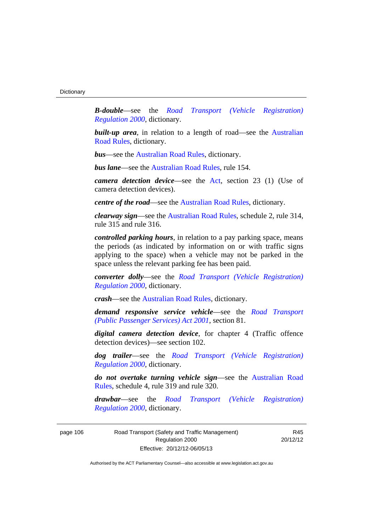*B-double*—see the *[Road Transport \(Vehicle Registration\)](http://www.legislation.act.gov.au/sl/2000-12)  [Regulation 2000](http://www.legislation.act.gov.au/sl/2000-12)*, dictionary.

**built-up area**, in relation to a length of road—see the Australian [Road Rules,](http://www.legislation.act.gov.au//ni/db_37271/default.asp) dictionary.

*bus*—see the [Australian Road Rules,](http://www.legislation.act.gov.au//ni/db_37271/default.asp) dictionary.

*bus lane*—see the [Australian Road Rules](http://www.legislation.act.gov.au//ni/db_37271/default.asp), rule 154.

*camera detection device*—see the [Act](http://www.legislation.act.gov.au/a/1999-80/default.asp), section 23 (1) (Use of camera detection devices).

*centre of the road*—see the [Australian Road Rules](http://www.legislation.act.gov.au//ni/db_37271/default.asp), dictionary.

*clearway sign*—see the [Australian Road Rules,](http://www.legislation.act.gov.au//ni/db_37271/default.asp) schedule 2, rule 314, rule 315 and rule 316.

*controlled parking hours*, in relation to a pay parking space, means the periods (as indicated by information on or with traffic signs applying to the space) when a vehicle may not be parked in the space unless the relevant parking fee has been paid.

*converter dolly*—see the *[Road Transport \(Vehicle Registration\)](http://www.legislation.act.gov.au/sl/2000-12)  [Regulation 2000](http://www.legislation.act.gov.au/sl/2000-12)*, dictionary.

*crash*—see the [Australian Road Rules](http://www.legislation.act.gov.au//ni/db_37271/default.asp), dictionary.

*demand responsive service vehicle*—see the *[Road Transport](http://www.legislation.act.gov.au/a/2001-62)  [\(Public Passenger Services\) Act 2001](http://www.legislation.act.gov.au/a/2001-62)*, section 81.

*digital camera detection device*, for chapter 4 (Traffic offence detection devices)—see section 102.

*dog trailer*—see the *[Road Transport \(Vehicle Registration\)](http://www.legislation.act.gov.au/sl/2000-12)  [Regulation 2000](http://www.legislation.act.gov.au/sl/2000-12)*, dictionary.

*do not overtake turning vehicle sign*—see the [Australian Road](http://www.legislation.act.gov.au//ni/db_37271/default.asp)  [Rules](http://www.legislation.act.gov.au//ni/db_37271/default.asp), schedule 4, rule 319 and rule 320.

*drawbar*—see the *[Road Transport \(Vehicle Registration\)](http://www.legislation.act.gov.au/sl/2000-12)  [Regulation 2000](http://www.legislation.act.gov.au/sl/2000-12)*, dictionary.

page 106 Road Transport (Safety and Traffic Management) Regulation 2000 Effective: 20/12/12-06/05/13

R45 20/12/12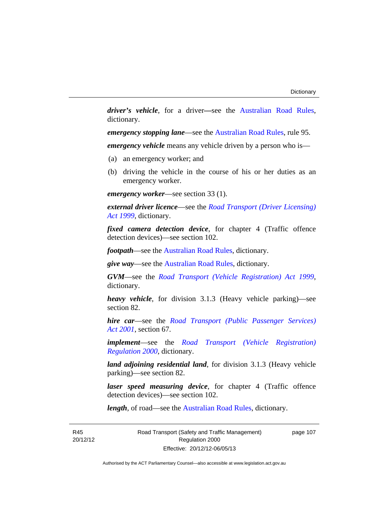*driver's vehicle*, for a driver*—*see the [Australian Road Rules](http://www.legislation.act.gov.au//ni/db_37271/default.asp), dictionary.

*emergency stopping lane—see the [Australian Road Rules](http://www.legislation.act.gov.au//ni/db_37271/default.asp), rule 95.* 

*emergency vehicle* means any vehicle driven by a person who is—

- (a) an emergency worker; and
- (b) driving the vehicle in the course of his or her duties as an emergency worker.

*emergency worker*—see section 33 (1).

*external driver licence*—see the *[Road Transport \(Driver Licensing\)](http://www.legislation.act.gov.au/a/1999-78)  [Act 1999](http://www.legislation.act.gov.au/a/1999-78)*, dictionary.

*fixed camera detection device*, for chapter 4 (Traffic offence detection devices)—see section 102.

*footpath*—see the [Australian Road Rules](http://www.legislation.act.gov.au//ni/db_37271/default.asp), dictionary.

*give way*—see the [Australian Road Rules](http://www.legislation.act.gov.au//ni/db_37271/default.asp), dictionary.

*GVM*—see the *[Road Transport \(Vehicle Registration\) Act 1999](http://www.legislation.act.gov.au/a/1999-81)*, dictionary.

*heavy vehicle*, for division 3.1.3 (Heavy vehicle parking)—see section 82.

*hire car*—see the *[Road Transport \(Public Passenger Services\)](http://www.legislation.act.gov.au/a/2001-62)  [Act 2001](http://www.legislation.act.gov.au/a/2001-62)*, section 67.

*implement*—see the *[Road Transport \(Vehicle Registration\)](http://www.legislation.act.gov.au/sl/2000-12)  [Regulation 2000](http://www.legislation.act.gov.au/sl/2000-12)*, dictionary.

*land adjoining residential land*, for division 3.1.3 (Heavy vehicle parking)—see section 82.

*laser speed measuring device*, for chapter 4 (Traffic offence detection devices)—see section 102.

*length*, of road—see the [Australian Road Rules](http://www.legislation.act.gov.au//ni/db_37271/default.asp), dictionary.

R45 20/12/12 Road Transport (Safety and Traffic Management) Regulation 2000 Effective: 20/12/12-06/05/13

page 107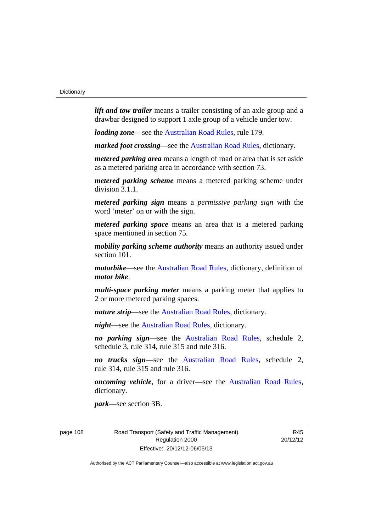*lift and tow trailer* means a trailer consisting of an axle group and a drawbar designed to support 1 axle group of a vehicle under tow.

*loading zone*—see the [Australian Road Rules,](http://www.legislation.act.gov.au//ni/db_37271/default.asp) rule 179.

*marked foot crossing*—see the [Australian Road Rules,](http://www.legislation.act.gov.au//ni/db_37271/default.asp) dictionary.

*metered parking area* means a length of road or area that is set aside as a metered parking area in accordance with section 73.

*metered parking scheme* means a metered parking scheme under division 3.1.1.

*metered parking sign* means a *permissive parking sign* with the word 'meter' on or with the sign.

*metered parking space* means an area that is a metered parking space mentioned in section 75.

*mobility parking scheme authority* means an authority issued under section 101.

*motorbike*—see the [Australian Road Rules,](http://www.legislation.act.gov.au//ni/db_37271/default.asp) dictionary, definition of *motor bike*.

*multi-space parking meter* means a parking meter that applies to 2 or more metered parking spaces.

*nature strip*—see the [Australian Road Rules](http://www.legislation.act.gov.au//ni/db_37271/default.asp), dictionary.

*night*—see the [Australian Road Rules,](http://www.legislation.act.gov.au//ni/db_37271/default.asp) dictionary.

*no parking sign*—see the [Australian Road Rules](http://www.legislation.act.gov.au//ni/db_37271/default.asp), schedule 2, schedule 3, rule 314, rule 315 and rule 316.

*no trucks sign*—see the [Australian Road Rules,](http://www.legislation.act.gov.au//ni/db_37271/default.asp) schedule 2, rule 314, rule 315 and rule 316.

*oncoming vehicle*, for a driver—see the [Australian Road Rules](http://www.legislation.act.gov.au//ni/db_37271/default.asp), dictionary.

*park*—see section 3B.

page 108 Road Transport (Safety and Traffic Management) Regulation 2000 Effective: 20/12/12-06/05/13

R45 20/12/12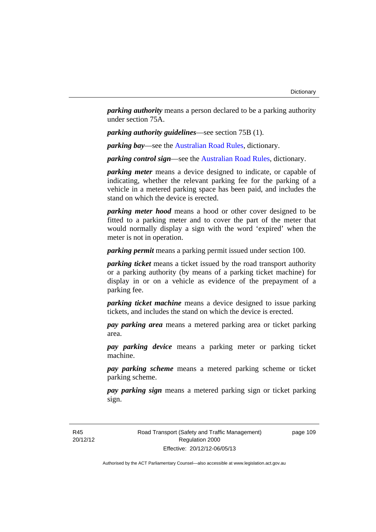*parking authority* means a person declared to be a parking authority under section 75A.

*parking authority guidelines*—see section 75B (1).

*parking bay*—see the [Australian Road Rules,](http://www.legislation.act.gov.au//ni/db_37271/default.asp) dictionary.

*parking control sign*—see the [Australian Road Rules](http://www.legislation.act.gov.au//ni/db_37271/default.asp), dictionary.

*parking meter* means a device designed to indicate, or capable of indicating, whether the relevant parking fee for the parking of a vehicle in a metered parking space has been paid, and includes the stand on which the device is erected.

*parking meter hood* means a hood or other cover designed to be fitted to a parking meter and to cover the part of the meter that would normally display a sign with the word 'expired' when the meter is not in operation.

*parking permit* means a parking permit issued under section 100.

*parking ticket* means a ticket issued by the road transport authority or a parking authority (by means of a parking ticket machine) for display in or on a vehicle as evidence of the prepayment of a parking fee.

*parking ticket machine* means a device designed to issue parking tickets, and includes the stand on which the device is erected.

*pay parking area* means a metered parking area or ticket parking area.

*pay parking device* means a parking meter or parking ticket machine.

*pay parking scheme* means a metered parking scheme or ticket parking scheme.

*pay parking sign* means a metered parking sign or ticket parking sign.

R45 20/12/12 Road Transport (Safety and Traffic Management) Regulation 2000 Effective: 20/12/12-06/05/13

page 109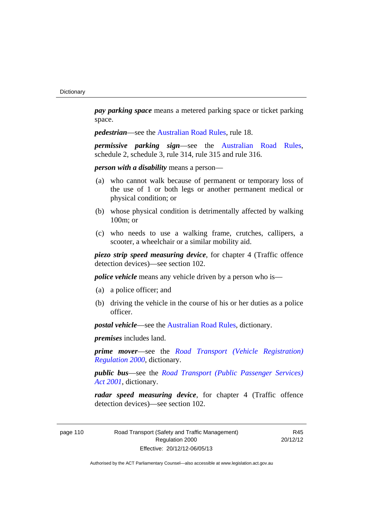*pay parking space* means a metered parking space or ticket parking space.

*pedestrian—see the [Australian Road Rules](http://www.legislation.act.gov.au//ni/db_37271/default.asp), rule 18.* 

*permissive parking sign*—see the [Australian Road Rules](http://www.legislation.act.gov.au//ni/db_37271/default.asp), schedule 2, schedule 3, rule 314, rule 315 and rule 316.

*person with a disability* means a person—

- (a) who cannot walk because of permanent or temporary loss of the use of 1 or both legs or another permanent medical or physical condition; or
- (b) whose physical condition is detrimentally affected by walking 100m; or
- (c) who needs to use a walking frame, crutches, callipers, a scooter, a wheelchair or a similar mobility aid.

*piezo strip speed measuring device*, for chapter 4 (Traffic offence detection devices)—see section 102.

*police vehicle* means any vehicle driven by a person who is—

- (a) a police officer; and
- (b) driving the vehicle in the course of his or her duties as a police officer.

*postal vehicle*—see the [Australian Road Rules,](http://www.legislation.act.gov.au//ni/db_37271/default.asp) dictionary.

*premises* includes land.

*prime mover*—see the *[Road Transport \(Vehicle Registration\)](http://www.legislation.act.gov.au/sl/2000-12)  [Regulation 2000](http://www.legislation.act.gov.au/sl/2000-12)*, dictionary.

*public bus*—see the *[Road Transport \(Public Passenger Services\)](http://www.legislation.act.gov.au/a/2001-62)  [Act 2001](http://www.legislation.act.gov.au/a/2001-62)*, dictionary.

*radar speed measuring device*, for chapter 4 (Traffic offence detection devices)—see section 102.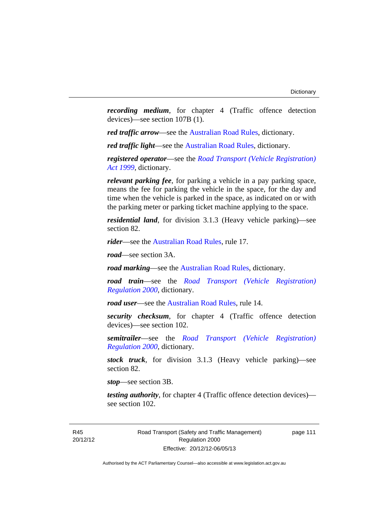*recording medium*, for chapter 4 (Traffic offence detection devices)—see section 107B (1).

*red traffic arrow*—see the [Australian Road Rules,](http://www.legislation.act.gov.au//ni/db_37271/default.asp) dictionary.

*red traffic light*—see the [Australian Road Rules](http://www.legislation.act.gov.au//ni/db_37271/default.asp), dictionary.

*registered operator*—see the *[Road Transport \(Vehicle Registration\)](http://www.legislation.act.gov.au/a/1999-81)  [Act 1999](http://www.legislation.act.gov.au/a/1999-81)*, dictionary.

*relevant parking fee*, for parking a vehicle in a pay parking space, means the fee for parking the vehicle in the space, for the day and time when the vehicle is parked in the space, as indicated on or with the parking meter or parking ticket machine applying to the space.

*residential land*, for division 3.1.3 (Heavy vehicle parking)—see section 82.

*rider*—see the [Australian Road Rules,](http://www.legislation.act.gov.au//ni/db_37271/default.asp) rule 17.

*road*—see section 3A.

*road marking*—see the [Australian Road Rules](http://www.legislation.act.gov.au//ni/db_37271/default.asp), dictionary.

*road train*—see the *[Road Transport \(Vehicle Registration\)](http://www.legislation.act.gov.au/sl/2000-12)  [Regulation 2000](http://www.legislation.act.gov.au/sl/2000-12)*, dictionary.

*road user*—see the [Australian Road Rules,](http://www.legislation.act.gov.au//ni/db_37271/default.asp) rule 14.

*security checksum*, for chapter 4 (Traffic offence detection devices)—see section 102.

*semitrailer*—see the *[Road Transport \(Vehicle Registration\)](http://www.legislation.act.gov.au/sl/2000-12)  [Regulation 2000](http://www.legislation.act.gov.au/sl/2000-12)*, dictionary.

*stock truck*, for division 3.1.3 (Heavy vehicle parking)—see section 82.

*stop*—see section 3B.

*testing authority*, for chapter 4 (Traffic offence detection devices) see section 102.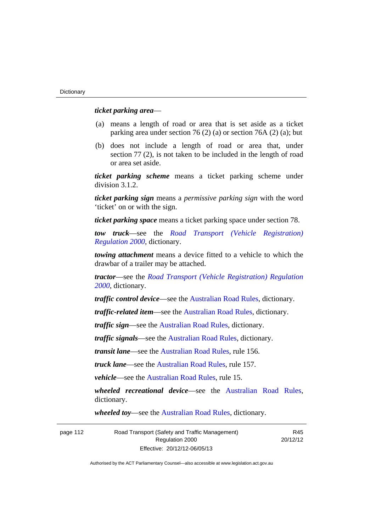#### *ticket parking area*—

- (a) means a length of road or area that is set aside as a ticket parking area under section 76 (2) (a) or section 76A (2) (a); but
- (b) does not include a length of road or area that, under section 77 (2), is not taken to be included in the length of road or area set aside.

*ticket parking scheme* means a ticket parking scheme under division 3.1.2.

*ticket parking sign* means a *permissive parking sign* with the word 'ticket' on or with the sign.

*ticket parking space* means a ticket parking space under section 78.

*tow truck*—see the *[Road Transport \(Vehicle Registration\)](http://www.legislation.act.gov.au/sl/2000-12)  [Regulation 2000](http://www.legislation.act.gov.au/sl/2000-12)*, dictionary.

*towing attachment* means a device fitted to a vehicle to which the drawbar of a trailer may be attached.

*tractor*—see the *[Road Transport \(Vehicle Registration\) Regulation](http://www.legislation.act.gov.au/sl/2000-12)  [2000](http://www.legislation.act.gov.au/sl/2000-12)*, dictionary.

*traffic control device*—see the [Australian Road Rules](http://www.legislation.act.gov.au//ni/db_37271/default.asp), dictionary.

*traffic-related item*—see the [Australian Road Rules,](http://www.legislation.act.gov.au//ni/db_37271/default.asp) dictionary.

*traffic sign*—see the [Australian Road Rules](http://www.legislation.act.gov.au//ni/db_37271/default.asp), dictionary.

*traffic signals*—see the [Australian Road Rules](http://www.legislation.act.gov.au//ni/db_37271/default.asp), dictionary.

*transit lane*—see the [Australian Road Rules,](http://www.legislation.act.gov.au//ni/db_37271/default.asp) rule 156.

*truck lane*—see the [Australian Road Rules,](http://www.legislation.act.gov.au//ni/db_37271/default.asp) rule 157.

*vehicle*—see the [Australian Road Rules](http://www.legislation.act.gov.au//ni/db_37271/default.asp), rule 15.

*wheeled recreational device*—see the [Australian Road Rules](http://www.legislation.act.gov.au//ni/db_37271/default.asp), dictionary.

*wheeled toy*—see the [Australian Road Rules](http://www.legislation.act.gov.au//ni/db_37271/default.asp), dictionary.

| page 112 | Road Transport (Safety and Traffic Management) | R45      |
|----------|------------------------------------------------|----------|
|          | Regulation 2000                                | 20/12/12 |
|          | Effective: 20/12/12-06/05/13                   |          |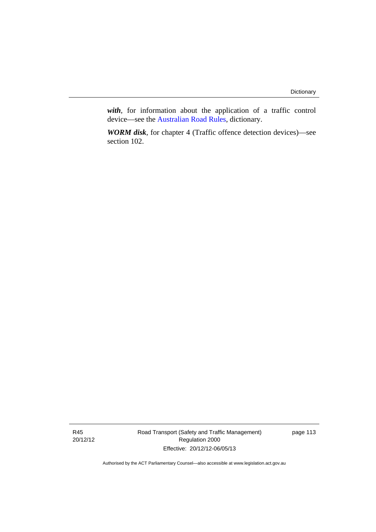*with*, for information about the application of a traffic control device—see the [Australian Road Rules](http://www.legislation.act.gov.au//ni/db_37271/default.asp), dictionary.

*WORM disk*, for chapter 4 (Traffic offence detection devices)—see section 102.

R45 20/12/12 Road Transport (Safety and Traffic Management) Regulation 2000 Effective: 20/12/12-06/05/13

page 113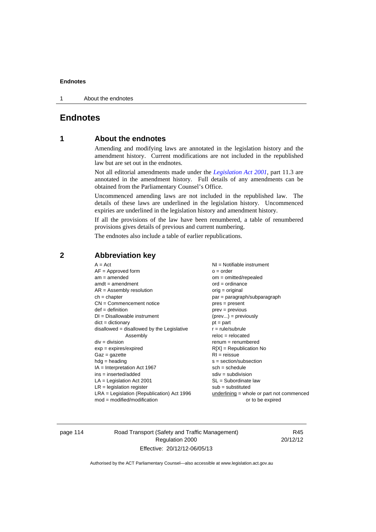1 About the endnotes

# **Endnotes**

# **1 About the endnotes**

Amending and modifying laws are annotated in the legislation history and the amendment history. Current modifications are not included in the republished law but are set out in the endnotes.

Not all editorial amendments made under the *[Legislation Act 2001](http://www.legislation.act.gov.au/a/2001-14)*, part 11.3 are annotated in the amendment history. Full details of any amendments can be obtained from the Parliamentary Counsel's Office.

Uncommenced amending laws are not included in the republished law. The details of these laws are underlined in the legislation history. Uncommenced expiries are underlined in the legislation history and amendment history.

If all the provisions of the law have been renumbered, a table of renumbered provisions gives details of previous and current numbering.

The endnotes also include a table of earlier republications.

| $A = Act$                                    | $NI =$ Notifiable instrument                |
|----------------------------------------------|---------------------------------------------|
| $AF =$ Approved form                         | $o = order$                                 |
| $am = amended$                               | $om = omitted/repealed$                     |
| $amdt = amendment$                           | $ord = ordinance$                           |
| $AR = Assembly resolution$                   | $orig = original$                           |
| $ch = chapter$                               | par = paragraph/subparagraph                |
| $CN =$ Commencement notice                   | $pres = present$                            |
| $def = definition$                           | prev = previous                             |
| $DI = Disallowable instrument$               | $(\text{prev}) = \text{previously}$         |
| $dict = dictionary$                          | $pt = part$                                 |
| $disallowed = disallowed by the Legislative$ | $r = rule/subrule$                          |
| Assembly                                     | $reloc = relocated$                         |
| $div = division$                             | $remum = renumbered$                        |
| $exp = expires/expired$                      | $R[X]$ = Republication No                   |
| $Gaz = gazette$                              | $RI = reissue$                              |
| $hdg =$ heading                              | $s = section/subsection$                    |
| $IA = Interpretation Act 1967$               | $sch = schedule$                            |
| $ins = inserted/added$                       | $sdiv = subdivision$                        |
| $LA =$ Legislation Act 2001                  | $SL = Subordinate$ law                      |
| $LR =$ legislation register                  | $sub =$ substituted                         |
| $LRA =$ Legislation (Republication) Act 1996 | $underlining = whole or part not commenced$ |
| $mod = modified/modification$                | or to be expired                            |
|                                              |                                             |

# **2 Abbreviation key**

page 114 Road Transport (Safety and Traffic Management) Regulation 2000 Effective: 20/12/12-06/05/13

R45 20/12/12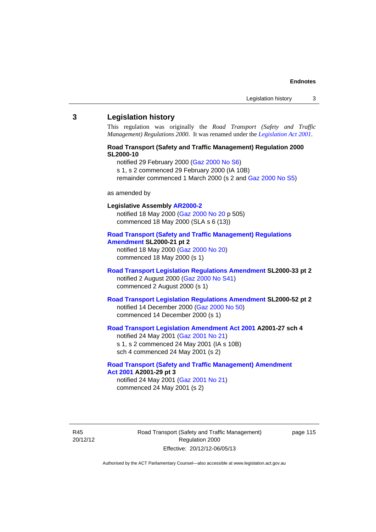#### **3 Legislation history**

This regulation was originally the *Road Transport (Safety and Traffic Management) Regulations 2000*. It was renamed under the *[Legislation Act 2001](http://www.legislation.act.gov.au/a/2001-14)*.

### **Road Transport (Safety and Traffic Management) Regulation 2000 SL2000-10**

notified 29 February 2000 [\(Gaz 2000 No S6](http://www.legislation.act.gov.au/gaz/2000-S6/default.asp))

s 1, s 2 commenced 29 February 2000 (IA 10B)

remainder commenced 1 March 2000 (s 2 and [Gaz 2000 No S5\)](http://www.legislation.act.gov.au/gaz/2000-S5/default.asp)

#### as amended by

# **Legislative Assembly [AR2000-2](http://www.legislation.act.gov.au/ar/2000-2/default.asp)**

notified 18 May 2000 ([Gaz 2000 No 20 p](http://www.legislation.act.gov.au/gaz/2000-20/default.asp) 505) commenced 18 May 2000 (SLA s 6 (13))

#### **[Road Transport \(Safety and Traffic Management\) Regulations](http://www.legislation.act.gov.au/sl/2000-21/default.asp)  [Amendment](http://www.legislation.act.gov.au/sl/2000-21/default.asp) SL2000-21 pt 2**

notified 18 May 2000 ([Gaz 2000 No 20\)](http://www.legislation.act.gov.au/gaz/2000-20/default.asp) commenced 18 May 2000 (s 1)

#### **[Road Transport Legislation Regulations Amendment](http://www.legislation.act.gov.au/sl/2000-33/default.asp) SL2000-33 pt 2**  notified 2 August 2000 ([Gaz 2000 No S41](http://www.legislation.act.gov.au/gaz/2000-S41/default.asp)) commenced 2 August 2000 (s 1)

### **[Road Transport Legislation Regulations Amendment](http://www.legislation.act.gov.au/sl/2000-52/default.asp) SL2000-52 pt 2**  notified 14 December 2000 [\(Gaz 2000 No 50](http://www.legislation.act.gov.au/gaz/2000-50/default.asp)) commenced 14 December 2000 (s 1)

# **[Road Transport Legislation Amendment Act 2001](http://www.legislation.act.gov.au/a/2001-27) A2001-27 sch 4**

notified 24 May 2001 ([Gaz 2001 No 21\)](http://www.legislation.act.gov.au/gaz/2001-21/default.asp) s 1, s 2 commenced 24 May 2001 (IA s 10B) sch 4 commenced 24 May 2001 (s 2)

# **[Road Transport \(Safety and Traffic Management\) Amendment](http://www.legislation.act.gov.au/a/2001-29)  [Act 2001](http://www.legislation.act.gov.au/a/2001-29) A2001-29 pt 3**

notified 24 May 2001 ([Gaz 2001 No 21\)](http://www.legislation.act.gov.au/gaz/2001-21/default.asp) commenced 24 May 2001 (s 2)

R45 20/12/12 Road Transport (Safety and Traffic Management) Regulation 2000 Effective: 20/12/12-06/05/13

page 115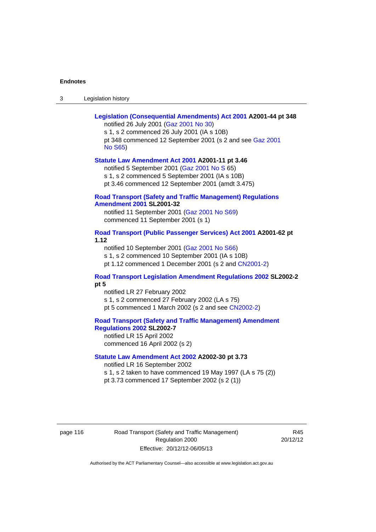| Legislation history<br>-3 |
|---------------------------|
|---------------------------|

| Legislation (Consequential Amendments) Act 2001 A2001-44 pt 348<br>notified 26 July 2001 (Gaz 2001 No 30)<br>s 1, s 2 commenced 26 July 2001 (IA s 10B)                                                                            |
|------------------------------------------------------------------------------------------------------------------------------------------------------------------------------------------------------------------------------------|
| pt 348 commenced 12 September 2001 (s 2 and see Gaz 2001<br><b>No S65)</b>                                                                                                                                                         |
| Statute Law Amendment Act 2001 A2001-11 pt 3.46<br>notified 5 September 2001 (Gaz 2001 No S 65)<br>s 1, s 2 commenced 5 September 2001 (IA s 10B)<br>pt 3.46 commenced 12 September 2001 (amdt 3.475)                              |
| <b>Road Transport (Safety and Traffic Management) Regulations</b><br><b>Amendment 2001 SL2001-32</b><br>notified 11 September 2001 (Gaz 2001 No S69)<br>commenced 11 September 2001 (s 1)                                          |
| Road Transport (Public Passenger Services) Act 2001 A2001-62 pt<br>1.12<br>notified 10 September 2001 (Gaz 2001 No S66)<br>s 1, s 2 commenced 10 September 2001 (IA s 10B)<br>pt 1.12 commenced 1 December 2001 (s 2 and CN2001-2) |
| <b>Road Transport Legislation Amendment Regulations 2002 SL2002-2</b><br>pt 5<br>notified LR 27 February 2002<br>s 1, s 2 commenced 27 February 2002 (LA s 75)<br>pt 5 commenced 1 March 2002 (s 2 and see CN2002-2)               |
| <b>Road Transport (Safety and Traffic Management) Amendment</b><br>Regulations 2002 SL2002-7<br>notified LR 15 April 2002<br>commenced 16 April 2002 (s 2)                                                                         |
| Statute Law Amendment Act 2002 A2002-30 pt 3.73<br>notified LR 16 September 2002<br>s 1, s 2 taken to have commenced 19 May 1997 (LA s 75 (2))<br>pt 3.73 commenced 17 September 2002 (s 2 (1))                                    |

page 116 Road Transport (Safety and Traffic Management) Regulation 2000 Effective: 20/12/12-06/05/13

R45 20/12/12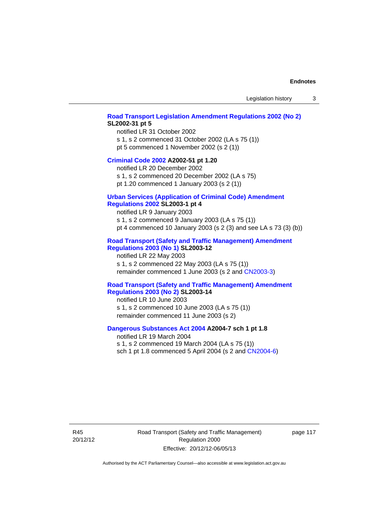#### **[Road Transport Legislation Amendment Regulations 2002 \(No 2\)](http://www.legislation.act.gov.au/sl/2002-31) SL2002-31 pt 5**

notified LR 31 October 2002 s 1, s 2 commenced 31 October 2002 (LA s 75 (1)) pt 5 commenced 1 November 2002 (s 2 (1))

#### **[Criminal Code 2002](http://www.legislation.act.gov.au/a/2002-51) A2002-51 pt 1.20**

notified LR 20 December 2002 s 1, s 2 commenced 20 December 2002 (LA s 75)

pt 1.20 commenced 1 January 2003 (s 2 (1))

# **[Urban Services \(Application of Criminal Code\) Amendment](http://www.legislation.act.gov.au/sl/2003-1)**

# **[Regulations 2002](http://www.legislation.act.gov.au/sl/2003-1) SL2003-1 pt 4**

notified LR 9 January 2003 s 1, s 2 commenced 9 January 2003 (LA s 75 (1)) pt 4 commenced 10 January 2003 (s 2 (3) and see LA s 73 (3) (b))

### **[Road Transport \(Safety and Traffic Management\) Amendment](http://www.legislation.act.gov.au/sl/2003-12)  [Regulations 2003 \(No 1\)](http://www.legislation.act.gov.au/sl/2003-12) SL2003-12**

notified LR 22 May 2003 s 1, s 2 commenced 22 May 2003 (LA s 75 (1)) remainder commenced 1 June 2003 (s 2 and [CN2003-3](http://www.legislation.act.gov.au/cn/2003-3/default.asp))

#### **[Road Transport \(Safety and Traffic Management\) Amendment](http://www.legislation.act.gov.au/sl/2003-14)  [Regulations 2003 \(No 2\)](http://www.legislation.act.gov.au/sl/2003-14) SL2003-14**

notified LR 10 June 2003 s 1, s 2 commenced 10 June 2003 (LA s 75 (1)) remainder commenced 11 June 2003 (s 2)

#### **[Dangerous Substances Act 2004](http://www.legislation.act.gov.au/a/2004-7) A2004-7 sch 1 pt 1.8**

notified LR 19 March 2004 s 1, s 2 commenced 19 March 2004 (LA s 75 (1)) sch 1 pt 1.8 commenced 5 April 2004 (s 2 and [CN2004-6](http://www.legislation.act.gov.au/cn/2004-6/default.asp))

R45 20/12/12 Road Transport (Safety and Traffic Management) Regulation 2000 Effective: 20/12/12-06/05/13

page 117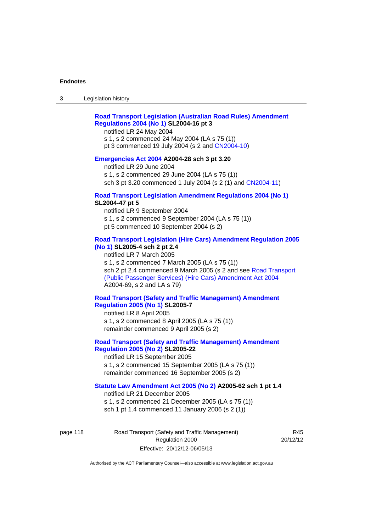### **[Road Transport Legislation \(Australian Road Rules\) Amendment](http://www.legislation.act.gov.au/sl/2004-16)  [Regulations 2004 \(No 1\)](http://www.legislation.act.gov.au/sl/2004-16) SL2004-16 pt 3**

notified LR 24 May 2004

s 1, s 2 commenced 24 May 2004 (LA s 75 (1)) pt 3 commenced 19 July 2004 (s 2 and [CN2004-10](http://www.legislation.act.gov.au/cn/2004-10/default.asp))

# **[Emergencies Act 2004](http://www.legislation.act.gov.au/a/2004-28) A2004-28 sch 3 pt 3.20**

notified LR 29 June 2004 s 1, s 2 commenced 29 June 2004 (LA s 75 (1)) sch 3 pt 3.20 commenced 1 July 2004 (s 2 (1) and [CN2004-11](http://www.legislation.act.gov.au/cn/2004-11/default.asp))

#### **[Road Transport Legislation Amendment Regulations 2004 \(No 1\)](http://www.legislation.act.gov.au/sl/2004-47) SL2004-47 pt 5**

notified LR 9 September 2004 s 1, s 2 commenced 9 September 2004 (LA s 75 (1)) pt 5 commenced 10 September 2004 (s 2)

### **[Road Transport Legislation \(Hire Cars\) Amendment Regulation 2005](http://www.legislation.act.gov.au/sl/2005-4)  [\(No 1\)](http://www.legislation.act.gov.au/sl/2005-4) SL2005-4 sch 2 pt 2.4**

notified LR 7 March 2005 s 1, s 2 commenced 7 March 2005 (LA s 75 (1)) sch 2 pt 2.4 commenced 9 March 2005 (s 2 and see [Road Transport](http://www.legislation.act.gov.au/a/2004-69)  [\(Public Passenger Services\) \(Hire Cars\) Amendment Act 2004](http://www.legislation.act.gov.au/a/2004-69) A2004-69, s 2 and LA s 79)

### **[Road Transport \(Safety and Traffic Management\) Amendment](http://www.legislation.act.gov.au/sl/2005-7)  [Regulation 2005 \(No 1\)](http://www.legislation.act.gov.au/sl/2005-7) SL2005-7**

notified LR 8 April 2005 s 1, s 2 commenced 8 April 2005 (LA s 75 (1)) remainder commenced 9 April 2005 (s 2)

# **[Road Transport \(Safety and Traffic Management\) Amendment](http://www.legislation.act.gov.au/sl/2005-22)  [Regulation 2005 \(No 2\)](http://www.legislation.act.gov.au/sl/2005-22) SL2005-22**

notified LR 15 September 2005 s 1, s 2 commenced 15 September 2005 (LA s 75 (1)) remainder commenced 16 September 2005 (s 2)

#### **[Statute Law Amendment Act 2005 \(No 2\)](http://www.legislation.act.gov.au/a/2005-62) A2005-62 sch 1 pt 1.4**

notified LR 21 December 2005 s 1, s 2 commenced 21 December 2005 (LA s 75 (1)) sch 1 pt 1.4 commenced 11 January 2006 (s 2 (1))

page 118 Road Transport (Safety and Traffic Management) Regulation 2000 Effective: 20/12/12-06/05/13

R45 20/12/12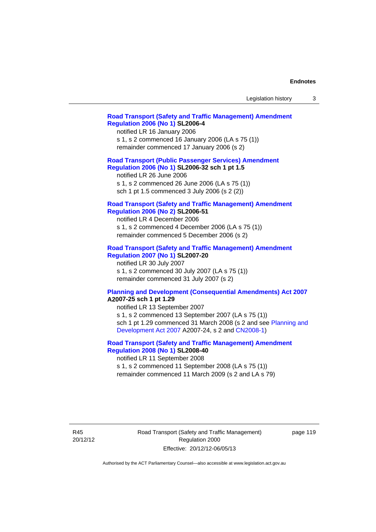| Legislation history |  |
|---------------------|--|
|---------------------|--|

#### **[Road Transport \(Safety and Traffic Management\) Amendment](http://www.legislation.act.gov.au/sl/2006-4)  [Regulation 2006 \(No 1\)](http://www.legislation.act.gov.au/sl/2006-4) SL2006-4**

notified LR 16 January 2006 s 1, s 2 commenced 16 January 2006 (LA s 75 (1)) remainder commenced 17 January 2006 (s 2)

### **[Road Transport \(Public Passenger Services\) Amendment](http://www.legislation.act.gov.au/sl/2006-32)  [Regulation 2006 \(No 1\)](http://www.legislation.act.gov.au/sl/2006-32) SL2006-32 sch 1 pt 1.5**

notified LR 26 June 2006 s 1, s 2 commenced 26 June 2006 (LA s 75 (1)) sch 1 pt 1.5 commenced 3 July 2006 (s 2 (2))

#### **[Road Transport \(Safety and Traffic Management\) Amendment](http://www.legislation.act.gov.au/sl/2006-51)  [Regulation 2006 \(No 2\)](http://www.legislation.act.gov.au/sl/2006-51) SL2006-51**

notified LR 4 December 2006 s 1, s 2 commenced 4 December 2006 (LA s 75 (1)) remainder commenced 5 December 2006 (s 2)

#### **[Road Transport \(Safety and Traffic Management\) Amendment](http://www.legislation.act.gov.au/sl/2007-20)**

**[Regulation 2007 \(No 1\)](http://www.legislation.act.gov.au/sl/2007-20) SL2007-20**  notified LR 30 July 2007 s 1, s 2 commenced 30 July 2007 (LA s 75 (1)) remainder commenced 31 July 2007 (s 2)

#### **[Planning and Development \(Consequential Amendments\) Act 2007](http://www.legislation.act.gov.au/a/2007-25) A2007-25 sch 1 pt 1.29**

notified LR 13 September 2007 s 1, s 2 commenced 13 September 2007 (LA s 75 (1)) sch 1 pt 1.29 commenced 31 March 2008 (s 2 and see [Planning and](http://www.legislation.act.gov.au/a/2007-24)  [Development Act 2007](http://www.legislation.act.gov.au/a/2007-24) A2007-24, s 2 and [CN2008-1](http://www.legislation.act.gov.au/cn/2008-1/default.asp))

# **[Road Transport \(Safety and Traffic Management\) Amendment](http://www.legislation.act.gov.au/sl/2008-40)  [Regulation 2008 \(No 1\)](http://www.legislation.act.gov.au/sl/2008-40) SL2008-40**

notified LR 11 September 2008 s 1, s 2 commenced 11 September 2008 (LA s 75 (1)) remainder commenced 11 March 2009 (s 2 and LA s 79)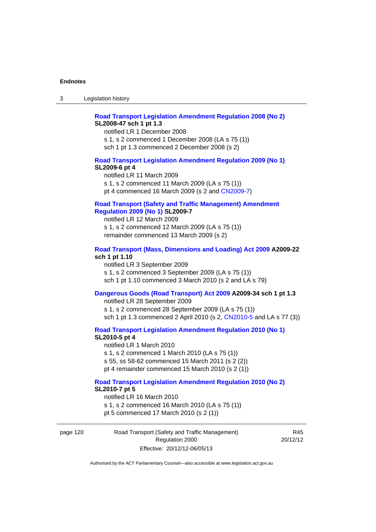# **[Road Transport Legislation Amendment Regulation 2008 \(No 2\)](http://www.legislation.act.gov.au/sl/2008-47) SL2008-47 sch 1 pt 1.3**

notified LR 1 December 2008 s 1, s 2 commenced 1 December 2008 (LA s 75 (1)) sch 1 pt 1.3 commenced 2 December 2008 (s 2)

#### **[Road Transport Legislation Amendment Regulation 2009 \(No 1\)](http://www.legislation.act.gov.au/sl/2009-6) SL2009-6 pt 4**

notified LR 11 March 2009 s 1, s 2 commenced 11 March 2009 (LA s 75 (1)) pt 4 commenced 16 March 2009 (s 2 and [CN2009-7\)](http://www.legislation.act.gov.au/cn/2009-7/default.asp)

### **[Road Transport \(Safety and Traffic Management\) Amendment](http://www.legislation.act.gov.au/sl/2009-7)  [Regulation 2009 \(No 1\)](http://www.legislation.act.gov.au/sl/2009-7) SL2009-7**

notified LR 12 March 2009 s 1, s 2 commenced 12 March 2009 (LA s 75 (1)) remainder commenced 13 March 2009 (s 2)

#### **[Road Transport \(Mass, Dimensions and Loading\) Act 2009](http://www.legislation.act.gov.au/a/2009-22/default.asp) A2009-22 sch 1 pt 1.10**

notified LR 3 September 2009 s 1, s 2 commenced 3 September 2009 (LA s 75 (1)) sch 1 pt 1.10 commenced 3 March 2010 (s 2 and LA s 79)

### **[Dangerous Goods \(Road Transport\) Act 2009](http://www.legislation.act.gov.au/a/2009-34) A2009-34 sch 1 pt 1.3**

notified LR 28 September 2009 s 1, s 2 commenced 28 September 2009 (LA s 75 (1)) sch 1 pt 1.3 commenced 2 April 2010 (s 2, [CN2010-5 a](http://www.legislation.act.gov.au/cn/2010-5/default.asp)nd LA s 77 (3))

**[Road Transport Legislation Amendment Regulation 2010 \(No 1\)](http://www.legislation.act.gov.au/sl/2010-5)**

#### **SL2010-5 pt 4**

notified LR 1 March 2010 s 1, s 2 commenced 1 March 2010 (LA s 75 (1)) s 55, ss 58-62 commenced 15 March 2011 (s 2 (2)) pt 4 remainder commenced 15 March 2010 (s 2 (1))

#### **[Road Transport Legislation Amendment Regulation 2010 \(No 2\)](http://www.legislation.act.gov.au/sl/2010-7) SL2010-7 pt 5**  notified LR 16 March 2010

s 1, s 2 commenced 16 March 2010 (LA s 75 (1)) pt 5 commenced 17 March 2010 (s 2 (1))

page 120 Road Transport (Safety and Traffic Management) Regulation 2000 Effective: 20/12/12-06/05/13

R45 20/12/12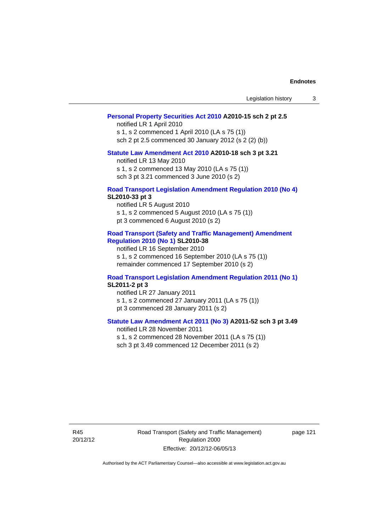| Legislation history |  |  |
|---------------------|--|--|
|---------------------|--|--|

#### **[Personal Property Securities Act 2010](http://www.legislation.act.gov.au/a/2010-15) A2010-15 sch 2 pt 2.5**

notified LR 1 April 2010 s 1, s 2 commenced 1 April 2010 (LA s 75 (1)) sch 2 pt 2.5 commenced 30 January 2012 (s 2 (2) (b))

# **[Statute Law Amendment Act 2010](http://www.legislation.act.gov.au/a/2010-18) A2010-18 sch 3 pt 3.21**

notified LR 13 May 2010 s 1, s 2 commenced 13 May 2010 (LA s 75 (1)) sch 3 pt 3.21 commenced 3 June 2010 (s 2)

#### **[Road Transport Legislation Amendment Regulation 2010 \(No 4\)](http://www.legislation.act.gov.au/sl/2010-33) SL2010-33 pt 3**

notified LR 5 August 2010 s 1, s 2 commenced 5 August 2010 (LA s 75 (1)) pt 3 commenced 6 August 2010 (s 2)

#### **[Road Transport \(Safety and Traffic Management\) Amendment](http://www.legislation.act.gov.au/sl/2010-38)  [Regulation 2010 \(No 1\)](http://www.legislation.act.gov.au/sl/2010-38) SL2010-38**

notified LR 16 September 2010 s 1, s 2 commenced 16 September 2010 (LA s 75 (1)) remainder commenced 17 September 2010 (s 2)

#### **[Road Transport Legislation Amendment Regulation 2011 \(No 1\)](http://www.legislation.act.gov.au/sl/2011-2) SL2011-2 pt 3**

notified LR 27 January 2011 s 1, s 2 commenced 27 January 2011 (LA s 75 (1)) pt 3 commenced 28 January 2011 (s 2)

# **[Statute Law Amendment Act 2011 \(No 3\)](http://www.legislation.act.gov.au/a/2011-52) A2011-52 sch 3 pt 3.49**

notified LR 28 November 2011 s 1, s 2 commenced 28 November 2011 (LA s 75 (1)) sch 3 pt 3.49 commenced 12 December 2011 (s 2)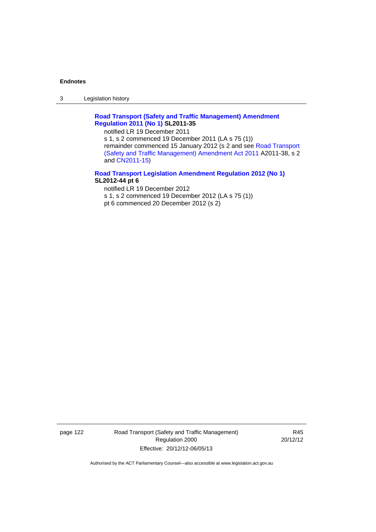3 Legislation history

# **[Road Transport \(Safety and Traffic Management\) Amendment](http://www.legislation.act.gov.au/sl/2011-35)  [Regulation 2011 \(No 1\)](http://www.legislation.act.gov.au/sl/2011-35) SL2011-35**

notified LR 19 December 2011

s 1, s 2 commenced 19 December 2011 (LA s 75 (1)) remainder commenced 15 January 2012 (s 2 and see [Road Transport](http://www.legislation.act.gov.au/a/2011-38)  [\(Safety and Traffic Management\) Amendment Act 2011](http://www.legislation.act.gov.au/a/2011-38) A2011-38, s 2 and [CN2011-15\)](http://www.legislation.act.gov.au/cn/2011-15/default.asp)

### **[Road Transport Legislation Amendment Regulation 2012 \(No 1\)](http://www.legislation.act.gov.au/sl/2012-44/default.asp) SL2012-44 pt 6**

notified LR 19 December 2012 s 1, s 2 commenced 19 December 2012 (LA s 75 (1)) pt 6 commenced 20 December 2012 (s 2)

page 122 Road Transport (Safety and Traffic Management) Regulation 2000 Effective: 20/12/12-06/05/13

R45 20/12/12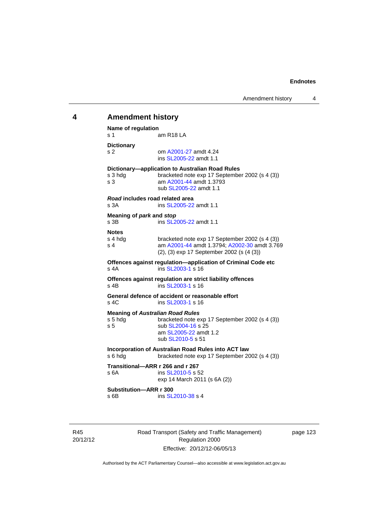# **4 Amendment history Name of regulation**  s 1 am R18 LA **Dictionary**  s 2 om [A2001-27](http://www.legislation.act.gov.au/a/2001-27) amdt 4.24 ins [SL2005-22](http://www.legislation.act.gov.au/sl/2005-22) amdt 1.1 **Dictionary—application to Australian Road Rules**  s 3 hdg bracketed note exp 17 September 2002 (s 4 (3)) s 3 am [A2001-44](http://www.legislation.act.gov.au/a/2001-44) amdt 1.3793 sub [SL2005-22](http://www.legislation.act.gov.au/sl/2005-22) amdt 1.1 *Road* **includes road related area**  s 3A **ins SL2005-22** amdt 1.1 **Meaning of** *park* **and** *stop* s 3B ins [SL2005-22](http://www.legislation.act.gov.au/sl/2005-22) amdt 1.1 **Notes**  s 4 hdg bracketed note exp 17 September 2002 (s 4 (3))<br>s 4 am A2001-44 amdt 1.3794: A2002-30 amdt 3.76 am [A2001-44](http://www.legislation.act.gov.au/a/2001-44) amdt 1.3794; [A2002-30](http://www.legislation.act.gov.au/a/2002-30) amdt 3.769 (2), (3) exp 17 September 2002 (s (4 (3)) **Offences against regulation—application of Criminal Code etc**  s 4A ins [SL2003-1](http://www.legislation.act.gov.au/sl/2003-1) s 16 **Offences against regulation are strict liability offences**  s 4B ins [SL2003-1](http://www.legislation.act.gov.au/sl/2003-1) s 16 **General defence of accident or reasonable effort**  s 4C ins [SL2003-1](http://www.legislation.act.gov.au/sl/2003-1) s 16 **Meaning of Australian Road Rules**<br>s 5 hdg bracketed note e. bracketed note exp 17 September 2002 (s 4 (3)) s 5 sub [SL2004-16](http://www.legislation.act.gov.au/sl/2004-16) s 25 am [SL2005-22](http://www.legislation.act.gov.au/sl/2005-22) amdt 1.2 sub [SL2010-5](http://www.legislation.act.gov.au/sl/2010-5) s 51 **Incorporation of Australian Road Rules into ACT law**  s 6 hdg bracketed note exp 17 September 2002 (s 4 (3)) **Transitional—ARR r 266 and r 267**  s 6A ins SL 2010-5 s 52 exp 14 March 2011 (s 6A (2)) **Substitution—ARR r 300**  s 6B ins [SL2010-38](http://www.legislation.act.gov.au/sl/2010-38) s 4

page 123

20/12/12

R45

Road Transport (Safety and Traffic Management) Regulation 2000 Effective: 20/12/12-06/05/13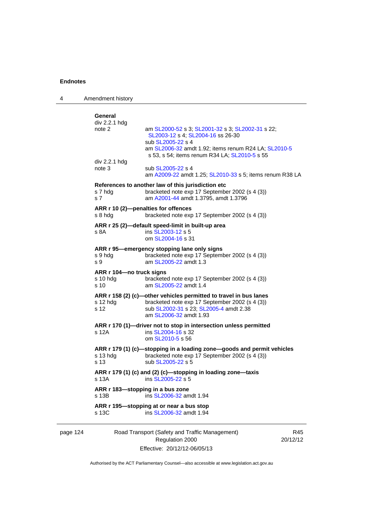| 4        | Amendment history                                       |                                                                                                                                                                                                                     |                 |
|----------|---------------------------------------------------------|---------------------------------------------------------------------------------------------------------------------------------------------------------------------------------------------------------------------|-----------------|
|          | General<br>div 2.2.1 hdg<br>note 2                      | am SL2000-52 s 3; SL2001-32 s 3; SL2002-31 s 22;<br>SL2003-12 s 4; SL2004-16 ss 26-30<br>sub SL2005-22 s 4<br>am SL2006-32 amdt 1.92; items renum R24 LA; SL2010-5<br>s 53, s 54; items renum R34 LA; SL2010-5 s 55 |                 |
|          | div 2.2.1 hdg<br>note 3                                 | sub SL2005-22 s 4<br>am A2009-22 amdt 1.25; SL2010-33 s 5; items renum R38 LA                                                                                                                                       |                 |
|          | s 7 hdg<br>s <sub>7</sub>                               | References to another law of this jurisdiction etc<br>bracketed note exp 17 September 2002 (s 4 (3))<br>am A2001-44 amdt 1.3795, amdt 1.3796                                                                        |                 |
|          | s 8 hdg                                                 | ARR r 10 (2)-penalties for offences<br>bracketed note exp 17 September 2002 (s 4 (3))                                                                                                                               |                 |
|          | s 8A                                                    | ARR r 25 (2)-default speed-limit in built-up area<br>ins SL2003-12 s 5<br>om SL2004-16 s 31                                                                                                                         |                 |
|          | s 9 hdg<br>s 9                                          | ARR r 95—emergency stopping lane only signs<br>bracketed note exp 17 September 2002 (s 4 (3))<br>am SL2005-22 amdt 1.3                                                                                              |                 |
|          | ARR r 104-no truck signs<br>s 10 hdg<br>s <sub>10</sub> | bracketed note exp 17 September 2002 (s 4 (3))<br>am SL2005-22 amdt 1.4                                                                                                                                             |                 |
|          | s 12 hdg<br>s 12                                        | ARR r 158 (2) (c)-other vehicles permitted to travel in bus lanes<br>bracketed note exp 17 September 2002 (s 4 (3))<br>sub SL2002-31 s 23; SL2005-4 amdt 2.38<br>am SL2006-32 amdt 1.93                             |                 |
|          | s 12A                                                   | ARR r 170 (1)-driver not to stop in intersection unless permitted<br>ins SL2004-16 s 32<br>om SL2010-5 s 56                                                                                                         |                 |
|          | s 13 hdg<br>s 13                                        | ARR r 179 (1) (c)-stopping in a loading zone-goods and permit vehicles<br>bracketed note exp 17 September 2002 (s 4 (3))<br>sub SL2005-22 s 5                                                                       |                 |
|          | s 13A                                                   | ARR r 179 (1) (c) and (2) (c)-stopping in loading zone-taxis<br>ins SL2005-22 s 5                                                                                                                                   |                 |
|          | s 13B                                                   | ARR r 183-stopping in a bus zone<br>ins SL2006-32 amdt 1.94                                                                                                                                                         |                 |
|          | s 13C                                                   | ARR r 195—stopping at or near a bus stop<br>ins SL2006-32 amdt 1.94                                                                                                                                                 |                 |
| page 124 |                                                         | Road Transport (Safety and Traffic Management)<br>Regulation 2000                                                                                                                                                   | R45<br>20/12/12 |

Authorised by the ACT Parliamentary Counsel—also accessible at www.legislation.act.gov.au

Effective: 20/12/12-06/05/13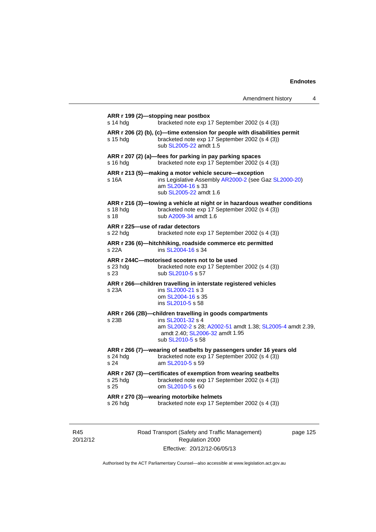| Amendment history |  |
|-------------------|--|
|-------------------|--|

|                  | bracketed note exp 17 September 2002 (s 4 (3))                                                                                                                |
|------------------|---------------------------------------------------------------------------------------------------------------------------------------------------------------|
| s 15 hda         | ARR r 206 (2) (b), (c)-time extension for people with disabilities permit<br>bracketed note exp 17 September 2002 (s 4 (3))<br>sub SL2005-22 amdt 1.5         |
| s 16 hdg         | ARR r 207 (2) (a)-fees for parking in pay parking spaces<br>bracketed note exp 17 September 2002 (s 4 (3))                                                    |
| s 16A            | ARR r 213 (5)-making a motor vehicle secure-exception<br>ins Legislative Assembly AR2000-2 (see Gaz SL2000-20)<br>am SL2004-16 s 33<br>sub SL2005-22 amdt 1.6 |
| s 18 hdg<br>s 18 | ARR r 216 (3)—towing a vehicle at night or in hazardous weather conditions<br>bracketed note exp 17 September 2002 (s 4 (3))<br>sub A2009-34 amdt 1.6         |
| s 22 hdg         | ARR r 225-use of radar detectors<br>bracketed note exp 17 September 2002 (s 4 (3))                                                                            |
| s 22A            | ARR r 236 (6)-hitchhiking, roadside commerce etc permitted<br>ins SL2004-16 s 34                                                                              |
| s 23 hdg<br>s 23 | ARR r 244C-motorised scooters not to be used<br>bracketed note exp 17 September 2002 (s 4 (3))<br>sub SL2010-5 s 57                                           |
|                  |                                                                                                                                                               |
| s 23A            | ARR r 266—children travelling in interstate registered vehicles<br>ins SL2000-21 s 3<br>om SL2004-16 s 35<br>ins SL2010-5 s 58                                |
|                  | ARR r 266 (2B)-children travelling in goods compartments                                                                                                      |
| s 23B            | ins SL2001-32 s 4<br>am SL2002-2 s 28; A2002-51 amdt 1.38; SL2005-4 amdt 2.39,<br>amdt 2.40; SL2006-32 amdt 1.95<br>sub SL2010-5 s 58                         |
| s 24 hda<br>s 24 | ARR r 266 (7)-wearing of seatbelts by passengers under 16 years old<br>bracketed note exp 17 September 2002 (s 4 (3))<br>am SL2010-5 s 59                     |
| s 25 hdg<br>s 25 | ARR r 267 (3)-certificates of exemption from wearing seatbelts<br>bracketed note exp 17 September 2002 (s 4 (3))<br>om SL2010-5 s 60                          |

R45 20/12/12 Road Transport (Safety and Traffic Management) Regulation 2000 Effective: 20/12/12-06/05/13

page 125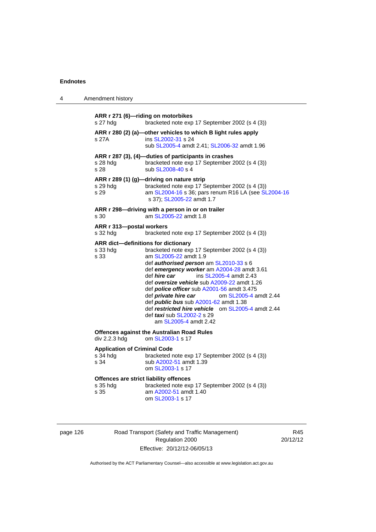| 4 | Amendment history                                       |                                                                                                                                                                                                                                                                                                                                                                                                                                                                                                                                                                                 |
|---|---------------------------------------------------------|---------------------------------------------------------------------------------------------------------------------------------------------------------------------------------------------------------------------------------------------------------------------------------------------------------------------------------------------------------------------------------------------------------------------------------------------------------------------------------------------------------------------------------------------------------------------------------|
|   | s 27 hdg                                                | ARR r 271 (6)-riding on motorbikes<br>bracketed note exp 17 September 2002 (s 4 (3))                                                                                                                                                                                                                                                                                                                                                                                                                                                                                            |
|   | s 27A                                                   | ARR r 280 (2) (a)-other vehicles to which B light rules apply<br>ins SL2002-31 s 24<br>sub SL2005-4 amdt 2.41; SL2006-32 amdt 1.96                                                                                                                                                                                                                                                                                                                                                                                                                                              |
|   | s 28 hdg<br>s 28                                        | ARR r 287 (3), (4)-duties of participants in crashes<br>bracketed note exp 17 September 2002 (s 4 (3))<br>sub SL2008-40 s 4                                                                                                                                                                                                                                                                                                                                                                                                                                                     |
|   | s 29 hdg<br>s 29                                        | ARR r 289 (1) (g)-driving on nature strip<br>bracketed note exp 17 September 2002 (s 4 (3))<br>am SL2004-16 s 36; pars renum R16 LA (see SL2004-16<br>s 37); SL2005-22 amdt 1.7                                                                                                                                                                                                                                                                                                                                                                                                 |
|   | s 30                                                    | ARR r 298-driving with a person in or on trailer<br>am SL2005-22 amdt 1.8                                                                                                                                                                                                                                                                                                                                                                                                                                                                                                       |
|   | ARR r 313-postal workers<br>s 32 hdg                    | bracketed note exp 17 September 2002 (s 4 (3))                                                                                                                                                                                                                                                                                                                                                                                                                                                                                                                                  |
|   | s 33 hdg<br>s 33                                        | ARR dict-definitions for dictionary<br>bracketed note exp 17 September 2002 (s 4 (3))<br>am SL2005-22 amdt 1.9<br>def authorised person am SL2010-33 s 6<br>def emergency worker am A2004-28 amdt 3.61<br>def hire car<br>ins SL2005-4 amdt 2.43<br>def oversize vehicle sub A2009-22 amdt 1.26<br>def <i>police officer</i> sub A2001-56 amdt 3.475<br>def <i>private hire car</i><br>om SL2005-4 amdt 2.44<br>def <i>public bus</i> sub A2001-62 amdt 1.38<br>def restricted hire vehicle om SL2005-4 amdt 2.44<br>def <i>taxi</i> sub SL2002-2 s 29<br>am SL2005-4 amdt 2.42 |
|   | div 2.2.3 hdg                                           | <b>Offences against the Australian Road Rules</b><br>om SL2003-1 s 17                                                                                                                                                                                                                                                                                                                                                                                                                                                                                                           |
|   | <b>Application of Criminal Code</b><br>s 34 hdg<br>s 34 | bracketed note exp 17 September 2002 (s 4 (3))<br>sub A2002-51 amdt 1.39<br>om SL2003-1 s 17                                                                                                                                                                                                                                                                                                                                                                                                                                                                                    |
|   | s 35 hdg<br>s 35                                        | Offences are strict liability offences<br>bracketed note exp 17 September 2002 (s 4 (3))<br>am A2002-51 amdt 1.40<br>om SL2003-1 s 17                                                                                                                                                                                                                                                                                                                                                                                                                                           |

| page 126 |  |
|----------|--|
|          |  |

page 126 **Road Transport (Safety and Traffic Management)** Regulation 2000 Effective: 20/12/12-06/05/13

R45 20/12/12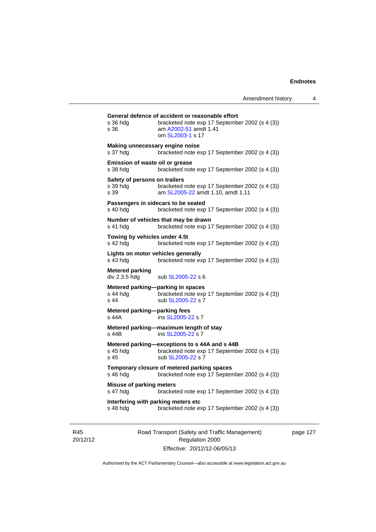| s 36 hdg<br>s 36                                  | bracketed note exp 17 September 2002 (s 4 (3))<br>am A2002-51 amdt 1.41<br>om SL2003-1 s 17                          |
|---------------------------------------------------|----------------------------------------------------------------------------------------------------------------------|
| Making unnecessary engine noise<br>s 37 hdg       | bracketed note exp 17 September 2002 (s 4 (3))                                                                       |
| Emission of waste oil or grease<br>s 38 hdg       | bracketed note exp 17 September 2002 (s 4 (3))                                                                       |
| Safety of persons on trailers<br>s 39 hda<br>s.39 | bracketed note exp 17 September 2002 (s 4 (3))<br>am SL2005-22 amdt 1.10, amdt 1.11                                  |
| s 40 hdg                                          | Passengers in sidecars to be seated<br>bracketed note exp 17 September 2002 (s 4 (3))                                |
| s 41 hdg                                          | Number of vehicles that may be drawn<br>bracketed note exp 17 September 2002 (s 4 (3))                               |
| Towing by vehicles under 4.5t<br>s 42 hda         | bracketed note exp 17 September 2002 (s 4 (3))                                                                       |
| Lights on motor vehicles generally<br>s 43 hdg    | bracketed note exp 17 September 2002 (s 4 (3))                                                                       |
| <b>Metered parking</b><br>div 2.3.5 hdg           | sub SL2005-22 s 6                                                                                                    |
| s 44 hdg<br>s <sub>44</sub>                       | Metered parking-parking in spaces<br>bracketed note exp 17 September 2002 (s 4 (3))<br>sub SL2005-22 s 7             |
| Metered parking-parking fees<br>s 44A             | ins SL2005-22 s 7                                                                                                    |
| s 44B                                             | Metered parking-maximum length of stay<br>ins SL2005-22 s 7                                                          |
| s 45 hdg<br>s <sub>45</sub>                       | Metered parking-exceptions to s 44A and s 44B<br>bracketed note exp 17 September 2002 (s 4 (3))<br>sub SL2005-22 s 7 |
| s 46 hdg                                          | Temporary closure of metered parking spaces<br>bracketed note exp 17 September 2002 (s 4 (3))                        |
| <b>Misuse of parking meters</b><br>s 47 hdg       | bracketed note exp 17 September 2002 (s 4 (3))                                                                       |
|                                                   | Interfering with parking meters etc                                                                                  |

R45 20/12/12 Road Transport (Safety and Traffic Management) Regulation 2000 Effective: 20/12/12-06/05/13

page 127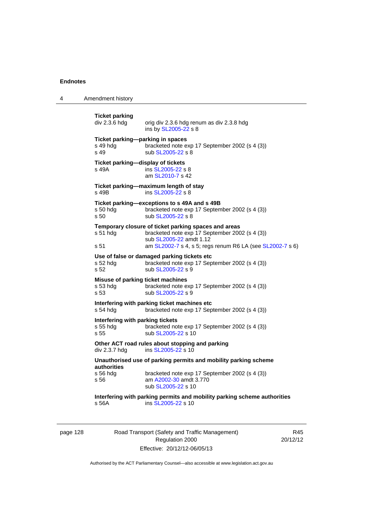4 Amendment history

**Ticket parking**  orig div 2.3.6 hdg renum as div 2.3.8 hdg ins by [SL2005-22](http://www.legislation.act.gov.au/sl/2005-22) s 8 **Ticket parking—parking in spaces**  s 49 hdg bracketed note exp 17 September 2002 (s 4 (3)) s 49 sub [SL2005-22](http://www.legislation.act.gov.au/sl/2005-22) s 8 **Ticket parking—display of tickets**  s 49A ins [SL2005-22](http://www.legislation.act.gov.au/sl/2005-22) s 8 am [SL2010-7](http://www.legislation.act.gov.au/sl/2010-7) s 42 **Ticket parking—maximum length of stay**  s 49B ins [SL2005-22](http://www.legislation.act.gov.au/sl/2005-22) s 8 **Ticket parking—exceptions to s 49A and s 49B**  s 50 hdg bracketed note exp 17 September 2002 (s 4 (3)) s 50 sub [SL2005-22](http://www.legislation.act.gov.au/sl/2005-22) s 8 **Temporary closure of ticket parking spaces and areas**  s 51 hdg bracketed note exp 17 September 2002 (s 4 (3)) sub [SL2005-22](http://www.legislation.act.gov.au/sl/2005-22) amdt 1.12 s 51 am [SL2002-7](http://www.legislation.act.gov.au/sl/2002-7) s 4, s 5; regs renum R6 LA (see [SL2002-7](http://www.legislation.act.gov.au/sl/2002-7) s 6) **Use of false or damaged parking tickets etc**  s 52 hdg bracketed note exp 17 September 2002 (s 4 (3)) s 52 sub [SL2005-22](http://www.legislation.act.gov.au/sl/2005-22) s 9 **Misuse of parking ticket machines**<br>s 53 hdg bracketed note e bracketed note exp 17 September 2002 (s 4 (3)) s 53 sub [SL2005-22](http://www.legislation.act.gov.au/sl/2005-22) s 9 **Interfering with parking ticket machines etc**  s 54 hdg bracketed note exp 17 September 2002 (s 4 (3)) **Interfering with parking tickets**  bracketed note exp 17 September 2002 (s 4 (3)) s 55 sub [SL2005-22](http://www.legislation.act.gov.au/sl/2005-22) s 10 **Other ACT road rules about stopping and parking div 2.3.7 hdg ins SL2005-22 s 10** ins  $SL2005-22$  s 10 **Unauthorised use of parking permits and mobility parking scheme authorities**  bracketed note exp 17 September 2002 (s 4 (3)) s 56 am [A2002-30](http://www.legislation.act.gov.au/a/2002-30) amdt 3.770 sub [SL2005-22](http://www.legislation.act.gov.au/sl/2005-22) s 10 **Interfering with parking permits and mobility parking scheme authorities**  s 56A ins [SL2005-22](http://www.legislation.act.gov.au/sl/2005-22) s 10

page 128 Road Transport (Safety and Traffic Management) Regulation 2000

R45 20/12/12

Authorised by the ACT Parliamentary Counsel—also accessible at www.legislation.act.gov.au

Effective: 20/12/12-06/05/13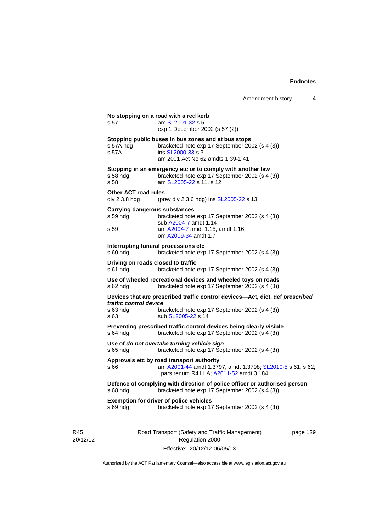# Road Transport (Safety and Traffic Management) page 129 **No stopping on a road with a red kerb**  s 57 am [SL2001-32](http://www.legislation.act.gov.au/sl/2001-32) s 5 exp 1 December 2002 (s 57 (2)) **Stopping public buses in bus zones and at bus stops**  s 57A hdg bracketed note exp 17 September 2002 (s 4 (3)) s 57A ins [SL2000-33](http://www.legislation.act.gov.au/sl/2000-33) s 3 am 2001 Act No 62 amdts 1.39-1.41 **Stopping in an emergency etc or to comply with another law**  s 58 hdg bracketed note exp 17 September 2002 (s 4 (3)) s 58 am [SL2005-22](http://www.legislation.act.gov.au/sl/2005-22) s 11, s 12 **Other ACT road rules**  div 2.3.8 hdg (prev div 2.3.6 hdg) ins [SL2005-22](http://www.legislation.act.gov.au/sl/2005-22) s 13 **Carrying dangerous substances**  s 59 hdg bracketed note exp 17 September 2002 (s 4 (3)) sub [A2004-7](http://www.legislation.act.gov.au/a/2004-7) amdt 1.14 s 59 am [A2004-7](http://www.legislation.act.gov.au/a/2004-7) amdt 1.15, amdt 1.16 om [A2009-34](http://www.legislation.act.gov.au/a/2009-34) amdt 1.7 **Interrupting funeral processions etc**  s 60 hdg bracketed note exp 17 September 2002 (s 4 (3)) **Driving on roads closed to traffic**  s 61 hdg bracketed note exp 17 September 2002 (s 4 (3)) **Use of wheeled recreational devices and wheeled toys on roads**  s 62 hdg bracketed note exp 17 September 2002 (s 4 (3)) **Devices that are prescribed traffic control devices—Act, dict, def** *prescribed traffic control device* s 63 hdg bracketed note exp 17 September 2002 (s 4 (3))<br>s 63 sub SL2005-22 s 14 sub [SL2005-22](http://www.legislation.act.gov.au/sl/2005-22) s 14 **Preventing prescribed traffic control devices being clearly visible**  s 64 hdg bracketed note exp 17 September 2002 (s 4 (3)) **Use of** *do not overtake turning vehicle sign*  s 65 hdg bracketed note exp 17 September 2002 (s 4 (3)) **Approvals etc by road transport authority**  s 66 **am [A2001-44](http://www.legislation.act.gov.au/a/2001-44) amdt 1.3797, amdt 1.3798**; [SL2010-5](http://www.legislation.act.gov.au/sl/2010-5) s 61, s 62; pars renum R41 LA; [A2011-52](http://www.legislation.act.gov.au/a/2011-52) amdt 3.184 **Defence of complying with direction of police officer or authorised person**  s 68 hdg bracketed note exp 17 September 2002 (s 4 (3)) **Exemption for driver of police vehicles**  s 69 hdg bracketed note exp 17 September 2002 (s 4 (3))

R45 20/12/12

Regulation 2000 Effective: 20/12/12-06/05/13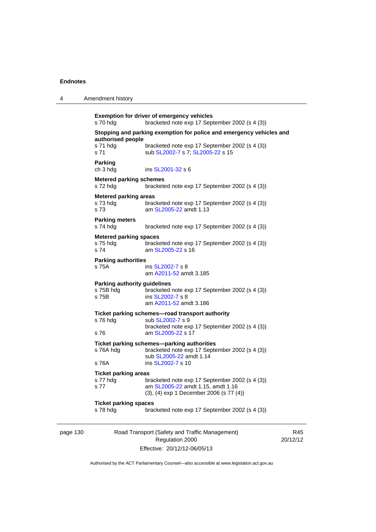| 4        | Amendment history                                         |                                                                                                                                |      |
|----------|-----------------------------------------------------------|--------------------------------------------------------------------------------------------------------------------------------|------|
|          | s 70 hdg                                                  | <b>Exemption for driver of emergency vehicles</b><br>bracketed note exp 17 September 2002 (s 4 (3))                            |      |
|          | authorised people                                         | Stopping and parking exemption for police and emergency vehicles and                                                           |      |
|          | s 71 hdg<br>s 71                                          | bracketed note exp 17 September 2002 (s 4 (3))<br>sub SL2002-7 s 7; SL2005-22 s 15                                             |      |
|          | <b>Parking</b><br>ch 3 hdg                                | ins SL2001-32 s 6                                                                                                              |      |
|          | <b>Metered parking schemes</b><br>s 72 hdg                | bracketed note exp 17 September 2002 (s 4 (3))                                                                                 |      |
|          | <b>Metered parking areas</b><br>s 73 hdg<br>s 73          | bracketed note exp 17 September 2002 (s 4 (3))<br>am SL2005-22 amdt 1.13                                                       |      |
|          | <b>Parking meters</b><br>s 74 hdg                         | bracketed note exp 17 September 2002 (s 4 (3))                                                                                 |      |
|          | <b>Metered parking spaces</b><br>s 75 hdg<br>s 74         | bracketed note exp 17 September 2002 (s 4 (3))<br>am SL2005-22 s 16                                                            |      |
|          | <b>Parking authorities</b><br>s 75A                       | ins SL2002-7 s 8<br>am A2011-52 amdt 3.185                                                                                     |      |
|          | <b>Parking authority guidelines</b><br>s 75B hdg<br>s 75B | bracketed note exp 17 September 2002 (s 4 (3))<br>ins SL2002-7 s 8<br>am A2011-52 amdt 3.186                                   |      |
|          | s 76 hdg                                                  | Ticket parking schemes-road transport authority<br>sub SL2002-7 s 9                                                            |      |
|          | s 76                                                      | bracketed note exp 17 September 2002 (s 4 (3))<br>am SL2005-22 s 17                                                            |      |
|          | s 76A hdg                                                 | Ticket parking schemes-parking authorities<br>bracketed note exp 17 September 2002 (s 4 (3))<br>sub SL2005-22 amdt 1.14        |      |
|          | s 76A                                                     | ins SL2002-7 s 10                                                                                                              |      |
|          | <b>Ticket parking areas</b><br>s 77 hdg<br>s 77           | bracketed note exp 17 September 2002 (s 4 (3))<br>am SL2005-22 amdt 1.15, amdt 1.16<br>(3), (4) exp 1 December 2006 (s 77 (4)) |      |
|          | <b>Ticket parking spaces</b><br>s 78 hdg                  | bracketed note exp 17 September 2002 (s 4 (3))                                                                                 |      |
| page 130 |                                                           | Road Transport (Safety and Traffic Management)<br>Regulation 2000                                                              | 20/1 |

Effective: 20/12/12-06/05/13

R45 12/12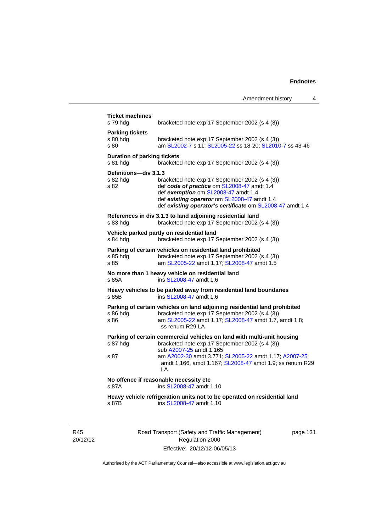| s 79 hdg                                       | <b>Ticket machines</b><br>bracketed note exp 17 September 2002 (s 4 (3))                                                                                                                                                                        |
|------------------------------------------------|-------------------------------------------------------------------------------------------------------------------------------------------------------------------------------------------------------------------------------------------------|
| <b>Parking tickets</b><br>s 80 hda<br>s 80     | bracketed note exp 17 September 2002 (s 4 (3))<br>am SL2002-7 s 11; SL2005-22 ss 18-20; SL2010-7 ss 43-46                                                                                                                                       |
| <b>Duration of parking tickets</b><br>s 81 hdg | bracketed note exp 17 September 2002 (s 4 (3))                                                                                                                                                                                                  |
| Definitions-div 3.1.3<br>s 82 hda<br>s 82      | bracketed note exp 17 September 2002 (s 4 (3))<br>def code of practice om SL2008-47 amdt 1.4<br>def exemption om SL2008-47 amdt 1.4<br>def existing operator om SL2008-47 amdt 1.4<br>def existing operator's certificate om SL2008-47 amdt 1.4 |
| s 83 hdg                                       | References in div 3.1.3 to land adjoining residential land<br>bracketed note exp 17 September 2002 (s 4 (3))                                                                                                                                    |
| s 84 hdg                                       | Vehicle parked partly on residential land<br>bracketed note exp 17 September 2002 (s 4 (3))                                                                                                                                                     |
| s 85 hdg<br>s 85                               | Parking of certain vehicles on residential land prohibited<br>bracketed note exp 17 September 2002 (s 4 (3))<br>am SL2005-22 amdt 1.17; SL2008-47 amdt 1.5                                                                                      |
| s 85A                                          | No more than 1 heavy vehicle on residential land<br>ins SL 2008-47 amdt 1.6                                                                                                                                                                     |
| s 85B                                          | Heavy vehicles to be parked away from residential land boundaries<br>ins SL 2008-47 amdt 1.6                                                                                                                                                    |
| s 86 hda<br>s 86                               | Parking of certain vehicles on land adjoining residential land prohibited<br>bracketed note exp 17 September 2002 (s 4 (3))<br>am SL2005-22 amdt 1.17; SL2008-47 amdt 1.7, amdt 1.8;<br>ss renum R29 LA                                         |
| s 87 hdg                                       | Parking of certain commercial vehicles on land with multi-unit housing<br>bracketed note exp 17 September 2002 (s 4 (3))<br>sub A2007-25 amdt 1.165                                                                                             |
| s 87                                           | am A2002-30 amdt 3.771; SL2005-22 amdt 1.17; A2007-25<br>amdt 1.166, amdt 1.167; SL2008-47 amdt 1.9; ss renum R29<br>LА                                                                                                                         |
|                                                |                                                                                                                                                                                                                                                 |
| s 87A                                          | No offence if reasonable necessity etc<br>ins SL2008-47 amdt 1.10                                                                                                                                                                               |

R45 20/12/12 Road Transport (Safety and Traffic Management) Regulation 2000 Effective: 20/12/12-06/05/13

page 131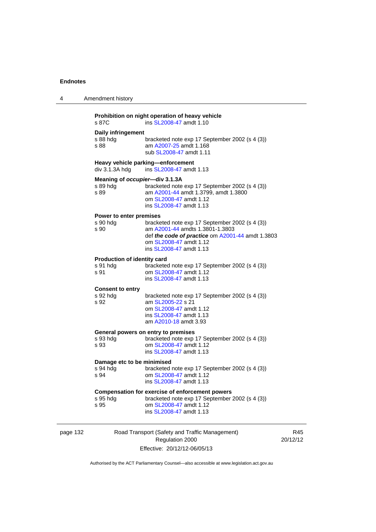| 4        | Amendment history                                      |                                                                                                                                                                                            |  |
|----------|--------------------------------------------------------|--------------------------------------------------------------------------------------------------------------------------------------------------------------------------------------------|--|
|          | s 87C                                                  | Prohibition on night operation of heavy vehicle<br>ins SL2008-47 amdt 1.10                                                                                                                 |  |
|          | Daily infringement<br>s 88 hdg<br>s 88                 | bracketed note exp 17 September 2002 (s 4 (3))<br>am A2007-25 amdt 1.168<br>sub SL2008-47 amdt 1.11                                                                                        |  |
|          | $div$ 3.1.3A hdg                                       | Heavy vehicle parking-enforcement<br>ins SL2008-47 amdt 1.13                                                                                                                               |  |
|          | Meaning of occupier-div 3.1.3A<br>s 89 hdg<br>s 89     | bracketed note exp 17 September 2002 (s 4 (3))<br>am A2001-44 amdt 1.3799, amdt 1.3800<br>om SL2008-47 amdt 1.12<br>ins SL2008-47 amdt 1.13                                                |  |
|          | Power to enter premises<br>s 90 hdg<br>s 90            | bracketed note exp 17 September 2002 (s 4 (3))<br>am A2001-44 amdts 1.3801-1.3803<br>def the code of practice om A2001-44 amdt 1.3803<br>om SL2008-47 amdt 1.12<br>ins SL2008-47 amdt 1.13 |  |
|          | <b>Production of identity card</b><br>s 91 hdg<br>s 91 | bracketed note exp 17 September 2002 (s 4 (3))<br>om SL2008-47 amdt 1.12<br>ins SL2008-47 amdt 1.13                                                                                        |  |
|          | <b>Consent to entry</b><br>s 92 hdg<br>s 92            | bracketed note exp 17 September 2002 (s 4 (3))<br>am SL2005-22 s 21<br>om SL2008-47 amdt 1.12<br>ins SL2008-47 amdt 1.13<br>am A2010-18 amdt 3.93                                          |  |
|          | s 93 hdg<br>s 93                                       | General powers on entry to premises<br>bracketed note exp 17 September 2002 (s 4 (3))<br>om SL2008-47 amdt 1.12<br>ins SL2008-47 amdt 1.13                                                 |  |
|          | Damage etc to be minimised<br>s 94 hdg<br>s 94         | bracketed note exp 17 September 2002 (s 4 (3))<br>om SL2008-47 amdt 1.12<br>ins SL2008-47 amdt 1.13                                                                                        |  |
|          | s 95 hdg<br>s 95                                       | Compensation for exercise of enforcement powers<br>bracketed note exp 17 September 2002 (s 4 (3))<br>om SL2008-47 amdt 1.12<br>ins SL2008-47 amdt 1.13                                     |  |
| page 132 |                                                        | Road Transport (Safety and Traffic Management)                                                                                                                                             |  |

Regulation 2000 Effective: 20/12/12-06/05/13

R45 20/12/12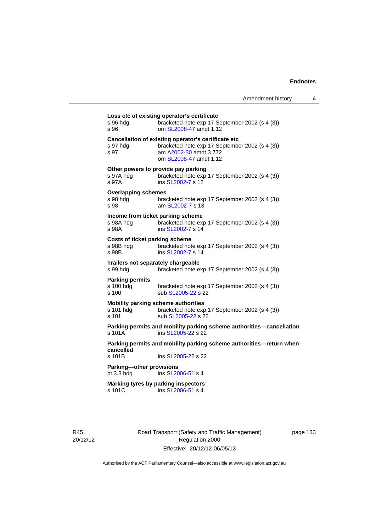| s 96 hda<br>s 96                                     | bracketed note exp 17 September 2002 (s 4 (3))<br>om SL2008-47 amdt 1.12                                                                                  |
|------------------------------------------------------|-----------------------------------------------------------------------------------------------------------------------------------------------------------|
| s 97 hda<br>s 97                                     | Cancellation of existing operator's certificate etc<br>bracketed note exp 17 September 2002 (s 4 (3))<br>am A2002-30 amdt 3.772<br>om SL2008-47 amdt 1.12 |
| s 97A hdg<br>s 97A                                   | Other powers to provide pay parking<br>bracketed note exp 17 September 2002 (s 4 (3))<br>ins SL2002-7 s 12                                                |
| <b>Overlapping schemes</b><br>s 98 hda<br>s 98       | bracketed note exp 17 September 2002 (s 4 (3))<br>am SL 2002-7 s 13                                                                                       |
| s 98A hdg<br>s 98A                                   | Income from ticket parking scheme<br>bracketed note exp 17 September 2002 (s 4 (3))<br>ins SL2002-7 s 14                                                  |
| Costs of ticket parking scheme<br>s 98B hdg<br>s 98B | bracketed note exp 17 September 2002 (s 4 (3))<br>ins SL2002-7 s 14                                                                                       |
| s 99 hdg                                             | Trailers not separately chargeable<br>bracketed note exp 17 September 2002 (s 4 (3))                                                                      |
| <b>Parking permits</b><br>s 100 hdg<br>s 100         | bracketed note exp 17 September 2002 (s 4 (3))<br>sub SL2005-22 s 22                                                                                      |
| s 101 hda<br>s 101                                   | Mobility parking scheme authorities<br>bracketed note exp 17 September 2002 (s 4 (3))<br>sub SL2005-22 s 22                                               |
| $s$ 101 $A$                                          | Parking permits and mobility parking scheme authorities-cancellation<br>ins SL2005-22 s 22                                                                |
| cancelled                                            | Parking permits and mobility parking scheme authorities—return when                                                                                       |
| s 101B                                               | ins SL2005-22 s 22                                                                                                                                        |
| Parking-other provisions<br>pt $3.3$ hdg             | ins SL2006-51 s 4                                                                                                                                         |
|                                                      | Marking tyres by parking inspectors                                                                                                                       |

R45 20/12/12 Road Transport (Safety and Traffic Management) Regulation 2000 Effective: 20/12/12-06/05/13

page 133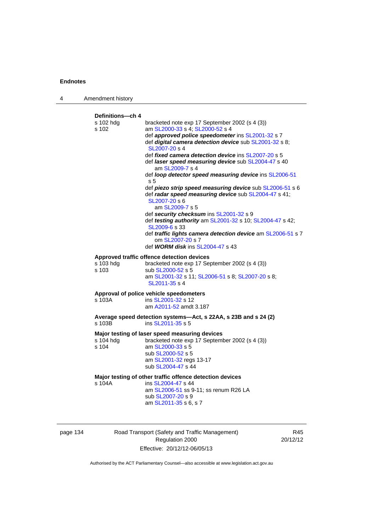| 4 | Amendment history                        |                                                                                                                                                                                                                                                                                                                                                                                                                                                                                                                                                                                                                                                                                                                                                                                                                                              |
|---|------------------------------------------|----------------------------------------------------------------------------------------------------------------------------------------------------------------------------------------------------------------------------------------------------------------------------------------------------------------------------------------------------------------------------------------------------------------------------------------------------------------------------------------------------------------------------------------------------------------------------------------------------------------------------------------------------------------------------------------------------------------------------------------------------------------------------------------------------------------------------------------------|
|   | Definitions---ch 4<br>s 102 hdg<br>s 102 | bracketed note exp 17 September 2002 (s 4 (3))<br>am SL2000-33 s 4; SL2000-52 s 4<br>def approved police speedometer ins SL2001-32 s 7<br>def digital camera detection device sub SL2001-32 s 8;<br>SL2007-20 s 4<br>def fixed camera detection device ins SL2007-20 s 5<br>def <i>laser speed measuring device</i> sub SL2004-47 s 40<br>am SL2009-7 s 4<br>def loop detector speed measuring device ins SL2006-51<br>s <sub>5</sub><br>def piezo strip speed measuring device sub SL2006-51 s 6<br>def radar speed measuring device sub SL2004-47 s 41;<br>SL2007-20 s 6<br>am SL2009-7 s 5<br>def security checksum ins SL2001-32 s 9<br>def testing authority am SL2001-32 s 10; SL2004-47 s 42;<br>SL2009-6 s 33<br>def traffic lights camera detection device am SL2006-51 s 7<br>om SL2007-20 s 7<br>def WORM disk ins SL2004-47 s 43 |
|   | s 103 hdg<br>s 103                       | Approved traffic offence detection devices<br>bracketed note exp 17 September 2002 (s 4 (3))<br>sub SL2000-52 s 5<br>am SL2001-32 s 11; SL2006-51 s 8; SL2007-20 s 8;<br>SL2011-35 s 4                                                                                                                                                                                                                                                                                                                                                                                                                                                                                                                                                                                                                                                       |
|   | s 103A                                   | Approval of police vehicle speedometers<br>ins SL2001-32 s 12<br>am A2011-52 amdt 3.187                                                                                                                                                                                                                                                                                                                                                                                                                                                                                                                                                                                                                                                                                                                                                      |
|   | s 103B                                   | Average speed detection systems-Act, s 22AA, s 23B and s 24 (2)<br>ins SL2011-35 s 5                                                                                                                                                                                                                                                                                                                                                                                                                                                                                                                                                                                                                                                                                                                                                         |
|   | s 104 hdg<br>s 104                       | Major testing of laser speed measuring devices<br>bracketed note exp 17 September 2002 (s 4 (3))<br>am SL2000-33 s 5<br>sub SL2000-52 s 5<br>am SL2001-32 regs 13-17<br>sub SL2004-47 s 44                                                                                                                                                                                                                                                                                                                                                                                                                                                                                                                                                                                                                                                   |
|   | s 104A                                   | Major testing of other traffic offence detection devices<br>ins SL2004-47 s 44<br>am SL2006-51 ss 9-11; ss renum R26 LA<br>sub SL2007-20 s 9<br>am SL2011-35 s 6, s 7                                                                                                                                                                                                                                                                                                                                                                                                                                                                                                                                                                                                                                                                        |

Road Transport (Safety and Traffic Management) Regulation 2000 Effective: 20/12/12-06/05/13

R45 20/12/12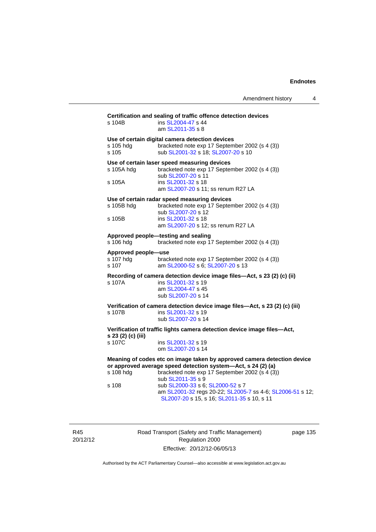| Amendment history |  |
|-------------------|--|
|-------------------|--|

| Certification and sealing of traffic offence detection devices<br>ins SL2004-47 s 44 |                                                                                                         |  |  |  |
|--------------------------------------------------------------------------------------|---------------------------------------------------------------------------------------------------------|--|--|--|
| s 104B                                                                               | am SL2011-35 s 8                                                                                        |  |  |  |
| Use of certain digital camera detection devices                                      |                                                                                                         |  |  |  |
| s 105 hdg<br>s 105                                                                   | bracketed note exp 17 September 2002 (s 4 (3))<br>sub SL2001-32 s 18; SL2007-20 s 10                    |  |  |  |
| Use of certain laser speed measuring devices                                         |                                                                                                         |  |  |  |
| s 105A hdg                                                                           | bracketed note exp 17 September 2002 (s 4 (3))<br>sub SL2007-20 s 11                                    |  |  |  |
| s 105A                                                                               | ins SL2001-32 s 18                                                                                      |  |  |  |
|                                                                                      | am SL2007-20 s 11; ss renum R27 LA                                                                      |  |  |  |
| s 105B hdg                                                                           | Use of certain radar speed measuring devices<br>bracketed note exp 17 September 2002 (s 4 (3))          |  |  |  |
|                                                                                      | sub SL2007-20 s 12                                                                                      |  |  |  |
| s 105B                                                                               | ins SL2001-32 s 18<br>am SL2007-20 s 12; ss renum R27 LA                                                |  |  |  |
|                                                                                      | Approved people-testing and sealing                                                                     |  |  |  |
| s 106 hdg                                                                            | bracketed note exp 17 September 2002 (s 4 (3))                                                          |  |  |  |
| Approved people-use                                                                  |                                                                                                         |  |  |  |
| s 107 hdg<br>s 107                                                                   | bracketed note exp 17 September 2002 (s 4 (3))<br>am SL2000-52 s 6; SL2007-20 s 13                      |  |  |  |
|                                                                                      | Recording of camera detection device image files-Act, s 23 (2) (c) (ii)                                 |  |  |  |
| s 107A                                                                               | ins SL2001-32 s 19<br>am SL2004-47 s 45                                                                 |  |  |  |
|                                                                                      | sub SL2007-20 s 14                                                                                      |  |  |  |
|                                                                                      | Verification of camera detection device image files-Act, s 23 (2) (c) (iii)                             |  |  |  |
| s 107B                                                                               | ins SL2001-32 s 19<br>sub SL2007-20 s 14                                                                |  |  |  |
|                                                                                      | Verification of traffic lights camera detection device image files-Act,                                 |  |  |  |
| s 23 (2) (c) (iii)                                                                   |                                                                                                         |  |  |  |
| s 107C                                                                               | ins SL2001-32 s 19<br>om SL2007-20 s 14                                                                 |  |  |  |
| Meaning of codes etc on image taken by approved camera detection device              |                                                                                                         |  |  |  |
| or approved average speed detection system-Act, s 24 (2) (a)                         |                                                                                                         |  |  |  |
| s 108 hdg                                                                            | bracketed note exp 17 September 2002 (s 4 (3))<br>sub SL2011-35 s 9                                     |  |  |  |
| s 108                                                                                | sub SL2000-33 s 6; SL2000-52 s 7                                                                        |  |  |  |
|                                                                                      | am SL2001-32 regs 20-22; SL2005-7 ss 4-6; SL2006-51 s 12;<br>SL2007-20 s 15, s 16; SL2011-35 s 10, s 11 |  |  |  |
|                                                                                      |                                                                                                         |  |  |  |

R45 20/12/12 Road Transport (Safety and Traffic Management) Regulation 2000 Effective: 20/12/12-06/05/13

page 135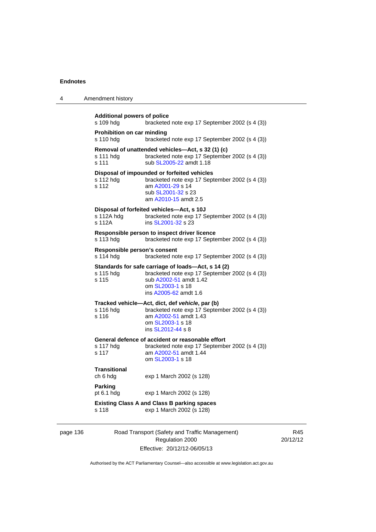| 4 | Amendment history                                                                                                                                                                                 |
|---|---------------------------------------------------------------------------------------------------------------------------------------------------------------------------------------------------|
|   | <b>Additional powers of police</b><br>s 109 hdg<br>bracketed note exp 17 September 2002 (s 4 (3))                                                                                                 |
|   | Prohibition on car minding<br>s 110 hdg<br>bracketed note exp 17 September 2002 (s 4 (3))                                                                                                         |
|   | Removal of unattended vehicles—Act, s 32 (1) (c)<br>bracketed note exp 17 September 2002 (s 4 (3))<br>s 111 hdg<br>sub SL2005-22 amdt 1.18<br>s 111                                               |
|   | Disposal of impounded or forfeited vehicles<br>s 112 hdg<br>bracketed note exp 17 September 2002 (s 4 (3))<br>s 112<br>am A2001-29 s 14<br>sub SL2001-32 s 23<br>am A2010-15 amdt 2.5             |
|   | Disposal of forfeited vehicles-Act, s 10J<br>s 112A hdg<br>bracketed note exp 17 September 2002 (s 4 (3))<br>s 112A<br>ins SL2001-32 s 23                                                         |
|   | Responsible person to inspect driver licence<br>s 113 hdg<br>bracketed note exp 17 September 2002 (s 4 (3))                                                                                       |
|   | Responsible person's consent<br>s 114 hdg<br>bracketed note exp 17 September 2002 (s 4 (3))                                                                                                       |
|   | Standards for safe carriage of loads—Act, s 14 (2)<br>bracketed note exp 17 September 2002 (s 4 (3))<br>s 115 hda<br>s 115<br>sub A2002-51 amdt 1.42<br>om SL2003-1 s 18<br>ins A2005-62 amdt 1.6 |
|   | Tracked vehicle-Act, dict, def vehicle, par (b)<br>s 116 hdg<br>bracketed note exp 17 September 2002 (s 4 (3))<br>s 116<br>am A2002-51 amdt 1.43<br>om SL2003-1 s 18<br>ins SL2012-44 s 8         |
|   | General defence of accident or reasonable effort<br>s 117 hdg<br>bracketed note exp 17 September 2002 (s 4 (3))<br>s 117<br>am A2002-51 amdt 1.44<br>om SL2003-1 s 18                             |
|   | <b>Transitional</b><br>ch 6 hdg<br>exp 1 March 2002 (s 128)                                                                                                                                       |
|   | Parking<br>pt 6.1 hdg<br>exp 1 March 2002 (s 128)                                                                                                                                                 |
|   | <b>Existing Class A and Class B parking spaces</b><br>s 118<br>exp 1 March 2002 (s 128)                                                                                                           |
|   |                                                                                                                                                                                                   |

## page 136 Road Transport (Safety and Traffic Management) Regulation 2000 Effective: 20/12/12-06/05/13

R45 20/12/12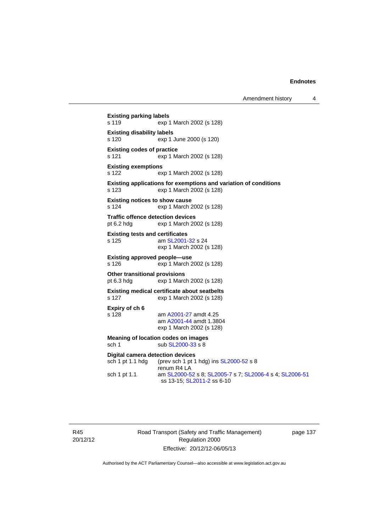```
Existing parking labels 
s 119 exp 1 March 2002 (s 128) 
Existing disability labels 
s 120 exp 1 June 2000 (s 120) 
Existing codes of practice 
s 121 exp 1 March 2002 (s 128) 
Existing exemptions 
s 122 exp 1 March 2002 (s 128) 
Existing applications for exemptions and variation of conditions 
s 123 exp 1 March 2002 (s 128) 
Existing notices to show cause 
s 124 exp 1 March 2002 (s 128) 
Traffic offence detection devices 
pt 6.2 hdg exp 1 March 2002 (s 128) 
Existing tests and certificates 
SL2001-32 s 24
                exp 1 March 2002 (s 128) 
Existing approved people—use 
s 126 exp 1 March 2002 (s 128) 
Other transitional provisions 
pt 6.3 hdg exp 1 March 2002 (s 128) 
Existing medical certificate about seatbelts 
s 127 exp 1 March 2002 (s 128) 
Expiry of ch 6 
                A2001-27 amdt 4.25
                 am A2001-44 amdt 1.3804 
                exp 1 March 2002 (s 128) 
Meaning of location codes on images 
 SL2000-33 s 8
Digital camera detection devices 
 SL2000-52 s 8
                renum R4 LA 
sch 1 pt 1.1 am SL2000-52 s 8; SL2005-7 s 7; SL2006-4 s 4; SL2006-51
                ss 13-15; SL2011-2 ss 6-10
```
R45 20/12/12 Road Transport (Safety and Traffic Management) Regulation 2000 Effective: 20/12/12-06/05/13

page 137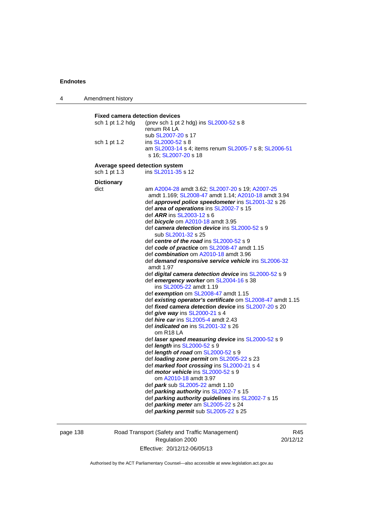| 4 | Amendment history                     |                                                                                         |  |  |
|---|---------------------------------------|-----------------------------------------------------------------------------------------|--|--|
|   |                                       |                                                                                         |  |  |
|   | <b>Fixed camera detection devices</b> |                                                                                         |  |  |
|   | sch 1 pt 1.2 hdg                      | (prev sch 1 pt 2 hdg) ins SL2000-52 s 8                                                 |  |  |
|   |                                       | renum R4 LA                                                                             |  |  |
|   |                                       | sub SL2007-20 s 17                                                                      |  |  |
|   | sch 1 pt 1.2                          | ins SL2000-52 s 8                                                                       |  |  |
|   |                                       | am SL2003-14 s 4; items renum SL2005-7 s 8; SL2006-51                                   |  |  |
|   |                                       | s 16, SL2007-20 s 18                                                                    |  |  |
|   |                                       | Average speed detection system                                                          |  |  |
|   | sch 1 pt 1.3                          | ins SL2011-35 s 12                                                                      |  |  |
|   | <b>Dictionary</b>                     |                                                                                         |  |  |
|   | dict                                  | am A2004-28 amdt 3.62; SL2007-20 s 19; A2007-25                                         |  |  |
|   |                                       | amdt 1.169; SL2008-47 amdt 1.14; A2010-18 amdt 3.94                                     |  |  |
|   |                                       | def approved police speedometer ins SL2001-32 s 26                                      |  |  |
|   |                                       | def area of operations ins SL2002-7 s 15                                                |  |  |
|   |                                       | def <i>ARR</i> ins SL2003-12 s 6                                                        |  |  |
|   |                                       | def <b>bicycle</b> om A2010-18 amdt 3.95                                                |  |  |
|   |                                       | def camera detection device ins SL2000-52 s 9                                           |  |  |
|   |                                       | sub SL2001-32 s 25                                                                      |  |  |
|   |                                       | def centre of the road ins SL2000-52 s 9                                                |  |  |
|   |                                       | def code of practice om SL2008-47 amdt 1.15                                             |  |  |
|   |                                       | def combination om A2010-18 amdt 3.96                                                   |  |  |
|   |                                       | def demand responsive service vehicle ins SL2006-32<br>amdt 1.97                        |  |  |
|   |                                       | def <i>digital camera detection device</i> ins SL2000-52 s 9                            |  |  |
|   |                                       | def emergency worker om SL2004-16 s 38                                                  |  |  |
|   |                                       | ins SL2005-22 amdt 1.19                                                                 |  |  |
|   |                                       | def exemption om SL2008-47 amdt 1.15                                                    |  |  |
|   |                                       | def existing operator's certificate om SL2008-47 amdt 1.15                              |  |  |
|   |                                       | def fixed camera detection device ins SL2007-20 s 20                                    |  |  |
|   |                                       | def give way ins SL2000-21 s 4                                                          |  |  |
|   |                                       | def hire car ins SL2005-4 amdt 2.43                                                     |  |  |
|   |                                       | def <i>indicated on</i> ins SL2001-32 s 26                                              |  |  |
|   |                                       | om R <sub>18</sub> LA                                                                   |  |  |
|   |                                       | def laser speed measuring device ins SL2000-52 s 9                                      |  |  |
|   |                                       | def <i>length</i> ins SL2000-52 s 9                                                     |  |  |
|   |                                       | def length of road om SL2000-52 s 9                                                     |  |  |
|   |                                       | def loading zone permit om SL2005-22 s 23<br>def marked foot crossing ins SL2000-21 s 4 |  |  |
|   |                                       | def <i>motor vehicle</i> ins SL2000-52 s 9                                              |  |  |
|   |                                       | om A2010-18 amdt 3.97                                                                   |  |  |
|   |                                       | def <i>park</i> sub SL2005-22 amdt 1.10                                                 |  |  |
|   |                                       | def parking authority ins SL2002-7 s 15                                                 |  |  |
|   |                                       | def parking authority guidelines ins SL2002-7 s 15                                      |  |  |
|   |                                       | def parking meter am SL2005-22 s 24                                                     |  |  |
|   |                                       | def parking permit sub SL2005-22 s 25                                                   |  |  |
|   |                                       |                                                                                         |  |  |
|   |                                       |                                                                                         |  |  |

## page 138 Road Transport (Safety and Traffic Management) Regulation 2000 Effective: 20/12/12-06/05/13

R45 20/12/12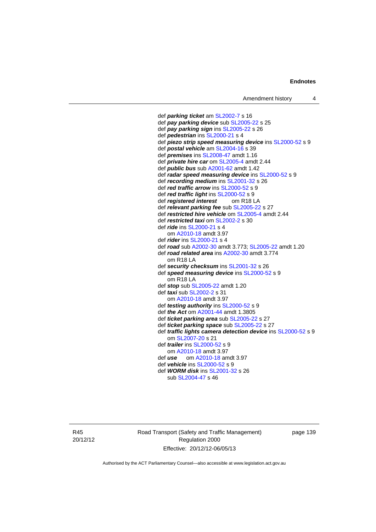def *parking ticket* am [SL2002-7](http://www.legislation.act.gov.au/sl/2002-7) s 16 def *pay parking device* sub [SL2005-22](http://www.legislation.act.gov.au/sl/2005-22) s 25 def *pay parking sign* ins [SL2005-22](http://www.legislation.act.gov.au/sl/2005-22) s 26 def *pedestrian* ins [SL2000-21](http://www.legislation.act.gov.au/sl/2000-21) s 4 def *piezo strip speed measuring device* ins [SL2000-52](http://www.legislation.act.gov.au/sl/2000-52) s 9 def *postal vehicle* am [SL2004-16](http://www.legislation.act.gov.au/sl/2004-16) s 39 def *premises* ins [SL2008-47](http://www.legislation.act.gov.au/sl/2008-47) amdt 1.16 def *private hire car* om [SL2005-4](http://www.legislation.act.gov.au/sl/2005-4) amdt 2.44 def *public bus* sub [A2001-62](http://www.legislation.act.gov.au/a/2001-62) amdt 1.42 def *radar speed measuring device* ins [SL2000-52](http://www.legislation.act.gov.au/sl/2000-52) s 9 def *recording medium* ins [SL2001-32](http://www.legislation.act.gov.au/sl/2001-32) s 26 def *red traffic arrow* ins [SL2000-52](http://www.legislation.act.gov.au/sl/2000-52) s 9 def *red traffic light* ins [SL2000-52](http://www.legislation.act.gov.au/sl/2000-52) s 9 def *registered interest* om R18 LA def *relevant parking fee* sub [SL2005-22](http://www.legislation.act.gov.au/sl/2005-22) s 27 def *restricted hire vehicle* om [SL2005-4](http://www.legislation.act.gov.au/sl/2005-4) amdt 2.44 def *restricted taxi* om [SL2002-2](http://www.legislation.act.gov.au/sl/2002-2) s 30 def *ride* ins [SL2000-21](http://www.legislation.act.gov.au/sl/2000-21) s 4 om [A2010-18](http://www.legislation.act.gov.au/a/2010-18) amdt 3.97 def *rider* ins [SL2000-21](http://www.legislation.act.gov.au/sl/2000-21) s 4 def *road* sub [A2002-30](http://www.legislation.act.gov.au/a/2002-30) amdt 3.773; [SL2005-22](http://www.legislation.act.gov.au/sl/2005-22) amdt 1.20 def *road related area* ins [A2002-30](http://www.legislation.act.gov.au/a/2002-30) amdt 3.774 om R18 LA def *security checksum* ins [SL2001-32](http://www.legislation.act.gov.au/sl/2001-32) s 26 def *speed measuring device* ins [SL2000-52](http://www.legislation.act.gov.au/sl/2000-52) s 9 om R18 LA def *stop* sub [SL2005-22](http://www.legislation.act.gov.au/sl/2005-22) amdt 1.20 def *taxi* sub [SL2002-2](http://www.legislation.act.gov.au/sl/2002-2) s 31 om [A2010-18](http://www.legislation.act.gov.au/a/2010-18) amdt 3.97 def *testing authority* ins [SL2000-52](http://www.legislation.act.gov.au/sl/2000-52) s 9 def *the Act* om [A2001-44](http://www.legislation.act.gov.au/a/2001-44) amdt 1.3805 def *ticket parking area* sub [SL2005-22](http://www.legislation.act.gov.au/sl/2005-22) s 27 def *ticket parking space* sub [SL2005-22](http://www.legislation.act.gov.au/sl/2005-22) s 27 def *traffic lights camera detection device* ins [SL2000-52](http://www.legislation.act.gov.au/sl/2000-52) s 9 om [SL2007-20](http://www.legislation.act.gov.au/sl/2007-20) s 21 def *trailer* ins [SL2000-52](http://www.legislation.act.gov.au/sl/2000-52) s 9 om [A2010-18](http://www.legislation.act.gov.au/a/2010-18) amdt 3.97 def *use* om [A2010-18](http://www.legislation.act.gov.au/a/2010-18) amdt 3.97 def *vehicle* ins [SL2000-52](http://www.legislation.act.gov.au/sl/2000-52) s 9 def *WORM disk* ins [SL2001-32](http://www.legislation.act.gov.au/sl/2001-32) s 26 sub [SL2004-47](http://www.legislation.act.gov.au/sl/2004-47) s 46

R45 20/12/12 Road Transport (Safety and Traffic Management) Regulation 2000 Effective: 20/12/12-06/05/13

page 139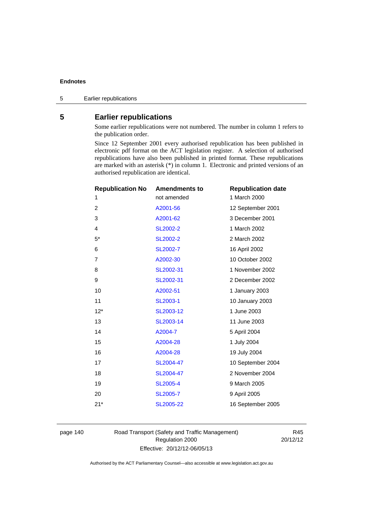# **5 Earlier republications**

Some earlier republications were not numbered. The number in column 1 refers to the publication order.

Since 12 September 2001 every authorised republication has been published in electronic pdf format on the ACT legislation register. A selection of authorised republications have also been published in printed format. These republications are marked with an asterisk (\*) in column 1. Electronic and printed versions of an authorised republication are identical.

| <b>Republication No</b> | <b>Amendments to</b> | <b>Republication date</b> |
|-------------------------|----------------------|---------------------------|
| 1                       | not amended          | 1 March 2000              |
| 2                       | A2001-56             | 12 September 2001         |
| 3                       | A2001-62             | 3 December 2001           |
| 4                       | SL2002-2             | 1 March 2002              |
| $5^*$                   | SL2002-2             | 2 March 2002              |
| 6                       | SL2002-7             | 16 April 2002             |
| $\overline{7}$          | A2002-30             | 10 October 2002           |
| 8                       | SL2002-31            | 1 November 2002           |
| 9                       | SL2002-31            | 2 December 2002           |
| 10                      | A2002-51             | 1 January 2003            |
| 11                      | SL2003-1             | 10 January 2003           |
| $12*$                   | SL2003-12            | 1 June 2003               |
| 13                      | SL2003-14            | 11 June 2003              |
| 14                      | A2004-7              | 5 April 2004              |
| 15                      | A2004-28             | 1 July 2004               |
| 16                      | A2004-28             | 19 July 2004              |
| 17                      | SL2004-47            | 10 September 2004         |
| 18                      | SL2004-47            | 2 November 2004           |
| 19                      | <b>SL2005-4</b>      | 9 March 2005              |
| 20                      | <b>SL2005-7</b>      | 9 April 2005              |
| $21*$                   | SL2005-22            | 16 September 2005         |
|                         |                      |                           |

page 140 Road Transport (Safety and Traffic Management) Regulation 2000 Effective: 20/12/12-06/05/13

R45 20/12/12